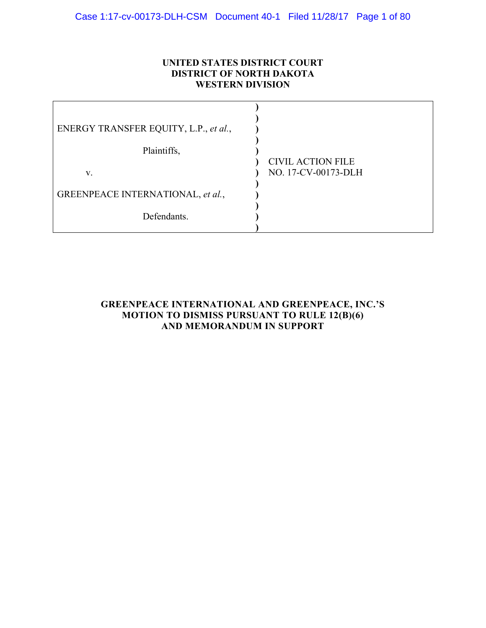## **UNITED STATES DISTRICT COURT DISTRICT OF NORTH DAKOTA WESTERN DIVISION**

| <b>CIVIL ACTION FILE</b><br>NO. 17-CV-00173-DLH |
|-------------------------------------------------|
|                                                 |
|                                                 |
|                                                 |

## **GREENPEACE INTERNATIONAL AND GREENPEACE, INC.'S MOTION TO DISMISS PURSUANT TO RULE 12(B)(6) AND MEMORANDUM IN SUPPORT**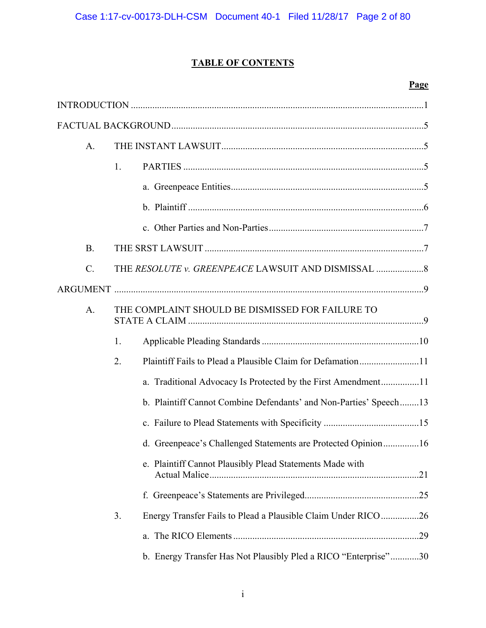## **TABLE OF CONTENTS**

## **Page**

| A <sub>1</sub>  |                                                                     |
|-----------------|---------------------------------------------------------------------|
|                 | 1.                                                                  |
|                 |                                                                     |
|                 |                                                                     |
|                 |                                                                     |
| <b>B.</b>       |                                                                     |
| $\mathcal{C}$ . |                                                                     |
|                 |                                                                     |
| A.              | THE COMPLAINT SHOULD BE DISMISSED FOR FAILURE TO                    |
|                 | 1.                                                                  |
|                 | Plaintiff Fails to Plead a Plausible Claim for Defamation11<br>2.   |
|                 | a. Traditional Advocacy Is Protected by the First Amendment11       |
|                 | b. Plaintiff Cannot Combine Defendants' and Non-Parties' Speech13   |
|                 |                                                                     |
|                 | d. Greenpeace's Challenged Statements are Protected Opinion16       |
|                 | e. Plaintiff Cannot Plausibly Plead Statements Made with            |
|                 |                                                                     |
|                 | 3.<br>Energy Transfer Fails to Plead a Plausible Claim Under RICO26 |
|                 |                                                                     |
|                 | b. Energy Transfer Has Not Plausibly Pled a RICO "Enterprise"30     |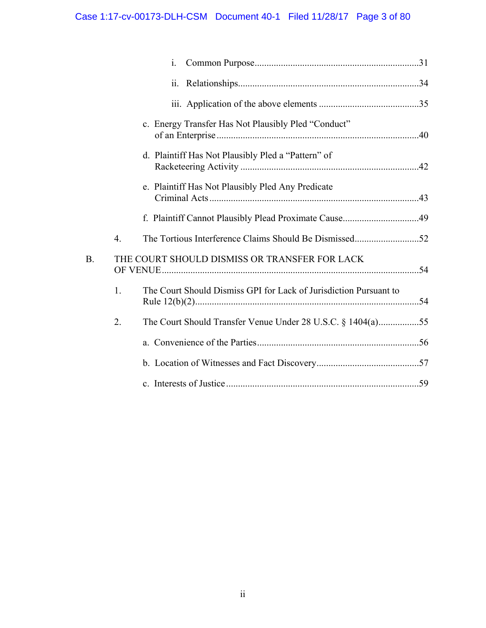# Case 1:17-cv-00173-DLH-CSM Document 40-1 Filed 11/28/17 Page 3 of 80

|                |                  | $\mathbf{i}$ .                                                    |  |
|----------------|------------------|-------------------------------------------------------------------|--|
|                |                  | 11.                                                               |  |
|                |                  |                                                                   |  |
|                |                  | c. Energy Transfer Has Not Plausibly Pled "Conduct"               |  |
|                |                  | d. Plaintiff Has Not Plausibly Pled a "Pattern" of                |  |
|                |                  | e. Plaintiff Has Not Plausibly Pled Any Predicate                 |  |
|                |                  |                                                                   |  |
|                | $\overline{4}$ . |                                                                   |  |
| B <sub>1</sub> |                  | THE COURT SHOULD DISMISS OR TRANSFER FOR LACK                     |  |
|                | 1.               | The Court Should Dismiss GPI for Lack of Jurisdiction Pursuant to |  |
|                | 2.               | The Court Should Transfer Venue Under 28 U.S.C. § 1404(a)55       |  |
|                |                  |                                                                   |  |
|                |                  |                                                                   |  |
|                |                  |                                                                   |  |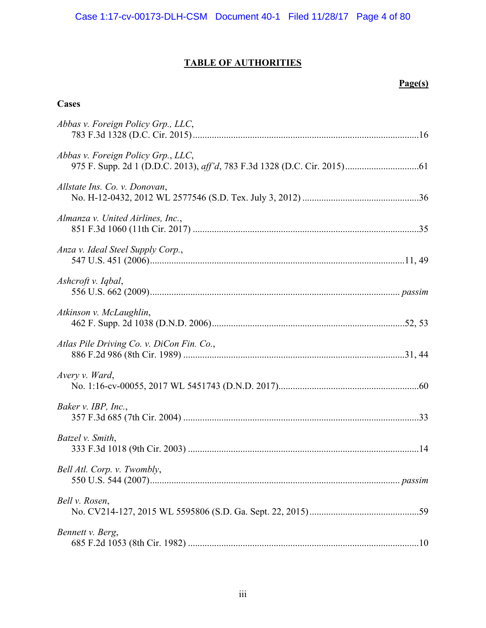## **TABLE OF AUTHORITIES**

## **Page(s)**

## **Cases**

| Abbas v. Foreign Policy Grp., LLC,        |  |
|-------------------------------------------|--|
| Abbas v. Foreign Policy Grp., LLC,        |  |
| Allstate Ins. Co. v. Donovan,             |  |
| Almanza v. United Airlines, Inc.,         |  |
| Anza v. Ideal Steel Supply Corp.,         |  |
| Ashcroft v. Iqbal,                        |  |
| Atkinson v. McLaughlin,                   |  |
| Atlas Pile Driving Co. v. DiCon Fin. Co., |  |
| Avery v. Ward,                            |  |
| Baker v. IBP, Inc.,                       |  |
| Batzel v. Smith,                          |  |
| Bell Atl. Corp. v. Twombly,               |  |
| Bell v. Rosen,                            |  |
| Bennett v. Berg,                          |  |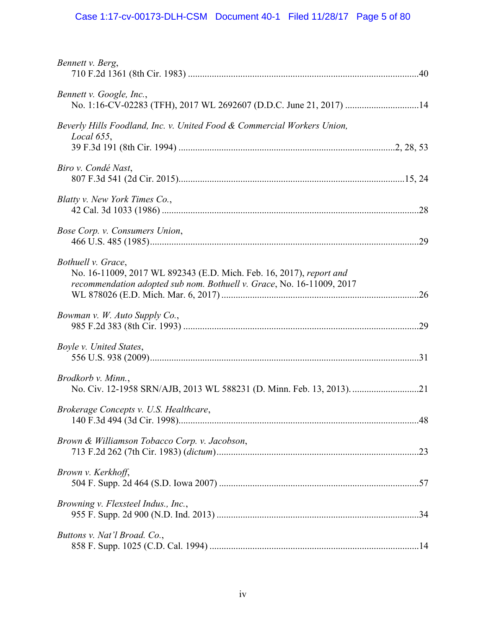# Case 1:17-cv-00173-DLH-CSM Document 40-1 Filed 11/28/17 Page 5 of 80

| Bennett v. Berg,                                                                                                                                                   |  |
|--------------------------------------------------------------------------------------------------------------------------------------------------------------------|--|
| Bennett v. Google, Inc.,<br>No. 1:16-CV-02283 (TFH), 2017 WL 2692607 (D.D.C. June 21, 2017) 14                                                                     |  |
| Beverly Hills Foodland, Inc. v. United Food & Commercial Workers Union,<br>Local $655$ ,                                                                           |  |
| Biro v. Condé Nast,                                                                                                                                                |  |
| Blatty v. New York Times Co.,                                                                                                                                      |  |
| Bose Corp. v. Consumers Union,                                                                                                                                     |  |
| Bothuell v. Grace,<br>No. 16-11009, 2017 WL 892343 (E.D. Mich. Feb. 16, 2017), report and<br>recommendation adopted sub nom. Bothuell v. Grace, No. 16-11009, 2017 |  |
| Bowman v. W. Auto Supply Co.,                                                                                                                                      |  |
| Boyle v. United States,                                                                                                                                            |  |
| Brodkorb v. Minn.,                                                                                                                                                 |  |
| Brokerage Concepts v. U.S. Healthcare,                                                                                                                             |  |
| Brown & Williamson Tobacco Corp. v. Jacobson,                                                                                                                      |  |
| Brown v. Kerkhoff,                                                                                                                                                 |  |
| Browning v. Flexsteel Indus., Inc.,                                                                                                                                |  |
| Buttons v. Nat'l Broad. Co.,                                                                                                                                       |  |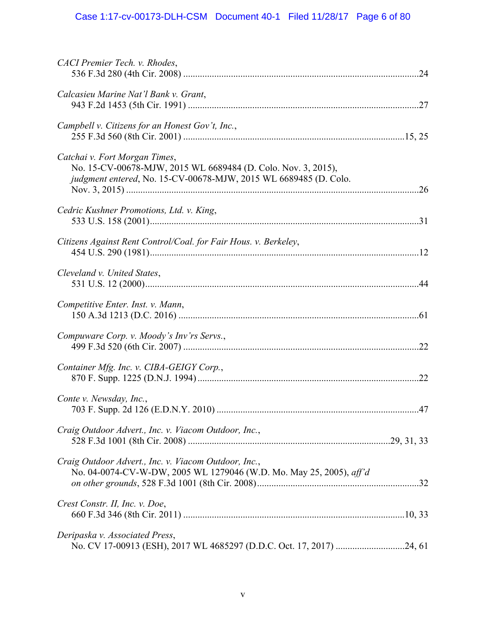# Case 1:17-cv-00173-DLH-CSM Document 40-1 Filed 11/28/17 Page 6 of 80

| CACI Premier Tech. v. Rhodes,                                                                                                                                      |  |
|--------------------------------------------------------------------------------------------------------------------------------------------------------------------|--|
| Calcasieu Marine Nat'l Bank v. Grant,                                                                                                                              |  |
| Campbell v. Citizens for an Honest Gov't, Inc.,                                                                                                                    |  |
| Catchai v. Fort Morgan Times,<br>No. 15-CV-00678-MJW, 2015 WL 6689484 (D. Colo. Nov. 3, 2015),<br>judgment entered, No. 15-CV-00678-MJW, 2015 WL 6689485 (D. Colo. |  |
| Cedric Kushner Promotions, Ltd. v. King,                                                                                                                           |  |
| Citizens Against Rent Control/Coal. for Fair Hous. v. Berkeley,                                                                                                    |  |
| Cleveland v. United States,                                                                                                                                        |  |
| Competitive Enter. Inst. v. Mann,                                                                                                                                  |  |
| Compuware Corp. v. Moody's Inv'rs Servs.,                                                                                                                          |  |
| Container Mfg. Inc. v. CIBA-GEIGY Corp.,                                                                                                                           |  |
| Conte v. Newsday, Inc.,                                                                                                                                            |  |
| Craig Outdoor Advert., Inc. v. Viacom Outdoor, Inc.,                                                                                                               |  |
| Craig Outdoor Advert., Inc. v. Viacom Outdoor, Inc.,<br>No. 04-0074-CV-W-DW, 2005 WL 1279046 (W.D. Mo. May 25, 2005), aff'd                                        |  |
| Crest Constr. II, Inc. v. Doe,                                                                                                                                     |  |
| Deripaska v. Associated Press,<br>No. CV 17-00913 (ESH), 2017 WL 4685297 (D.D.C. Oct. 17, 2017) 24, 61                                                             |  |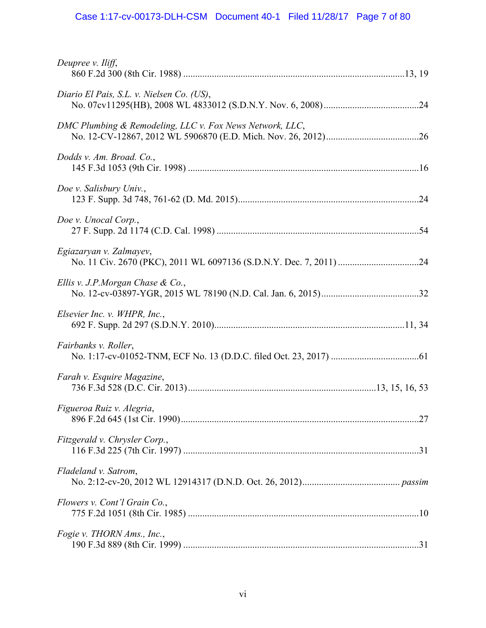# Case 1:17-cv-00173-DLH-CSM Document 40-1 Filed 11/28/17 Page 7 of 80

| Deupree v. Iliff,                                        |  |
|----------------------------------------------------------|--|
| Diario El Pais, S.L. v. Nielsen Co. (US),                |  |
| DMC Plumbing & Remodeling, LLC v. Fox News Network, LLC, |  |
| Dodds v. Am. Broad. Co.,                                 |  |
| Doe v. Salisbury Univ.,                                  |  |
| Doe v. Unocal Corp.,                                     |  |
| Egiazaryan v. Zalmayev,                                  |  |
| Ellis v. J.P.Morgan Chase & Co.,                         |  |
| Elsevier Inc. v. WHPR, Inc.,                             |  |
| Fairbanks v. Roller,                                     |  |
| Farah v. Esquire Magazine,                               |  |
| Figueroa Ruiz v. Alegria,                                |  |
| Fitzgerald v. Chrysler Corp.,                            |  |
| Fladeland v. Satrom,                                     |  |
| Flowers v. Cont'l Grain Co.,                             |  |
| Fogie v. THORN Ams., Inc.,                               |  |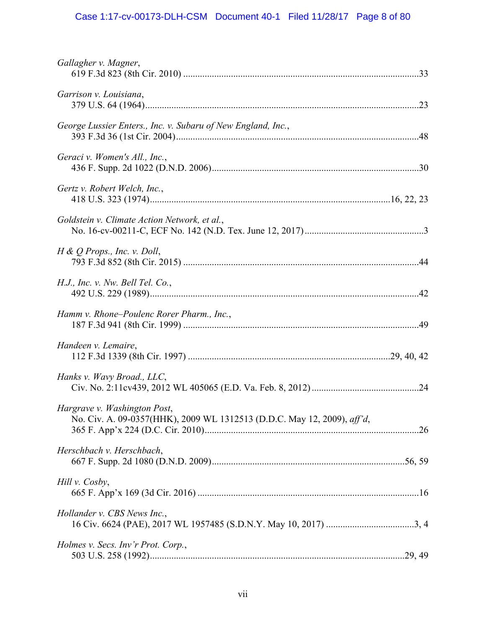# Case 1:17-cv-00173-DLH-CSM Document 40-1 Filed 11/28/17 Page 8 of 80

| Gallagher v. Magner,                                                                                    |  |
|---------------------------------------------------------------------------------------------------------|--|
| Garrison v. Louisiana,                                                                                  |  |
| George Lussier Enters., Inc. v. Subaru of New England, Inc.,                                            |  |
| Geraci v. Women's All., Inc.,                                                                           |  |
| Gertz v. Robert Welch, Inc.,                                                                            |  |
| Goldstein v. Climate Action Network, et al.,                                                            |  |
| $H \& Q$ Props., Inc. v. Doll,                                                                          |  |
| $H.J.,$ Inc. v. Nw. Bell Tel. Co.,                                                                      |  |
| Hamm v. Rhone-Poulenc Rorer Pharm., Inc.,                                                               |  |
| Handeen v. Lemaire,                                                                                     |  |
| Hanks v. Wavy Broad., LLC,                                                                              |  |
| Hargrave v. Washington Post,<br>No. Civ. A. 09-0357(HHK), 2009 WL 1312513 (D.D.C. May 12, 2009), aff'd, |  |
| Herschbach v. Herschbach,                                                                               |  |
| Hill v. Cosby,                                                                                          |  |
| Hollander v. CBS News Inc.,                                                                             |  |
| Holmes v. Secs. Inv'r Prot. Corp.,                                                                      |  |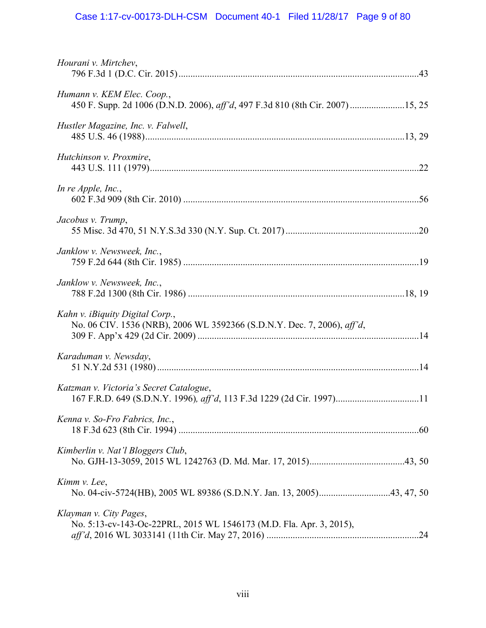# Case 1:17-cv-00173-DLH-CSM Document 40-1 Filed 11/28/17 Page 9 of 80

| Hourani v. Mirtchev,                                                                                             |  |
|------------------------------------------------------------------------------------------------------------------|--|
| Humann v. KEM Elec. Coop.,<br>450 F. Supp. 2d 1006 (D.N.D. 2006), aff'd, 497 F.3d 810 (8th Cir. 2007) 15, 25     |  |
| Hustler Magazine, Inc. v. Falwell,                                                                               |  |
| Hutchinson v. Proxmire,                                                                                          |  |
| In re Apple, Inc.,                                                                                               |  |
| Jacobus v. Trump,                                                                                                |  |
| Janklow v. Newsweek, Inc.,                                                                                       |  |
| Janklow v. Newsweek, Inc.,                                                                                       |  |
| Kahn v. iBiquity Digital Corp.,<br>No. 06 CIV. 1536 (NRB), 2006 WL 3592366 (S.D.N.Y. Dec. 7, 2006), aff'd,       |  |
| Karaduman v. Newsday,                                                                                            |  |
| Katzman v. Victoria's Secret Catalogue,<br>167 F.R.D. 649 (S.D.N.Y. 1996), aff'd, 113 F.3d 1229 (2d Cir. 1997)11 |  |
| Kenna v. So-Fro Fabrics, Inc.,                                                                                   |  |
| Kimberlin v. Nat'l Bloggers Club,                                                                                |  |
| Kimm v. Lee,                                                                                                     |  |
| Klayman v. City Pages,<br>No. 5:13-cv-143-Oc-22PRL, 2015 WL 1546173 (M.D. Fla. Apr. 3, 2015),                    |  |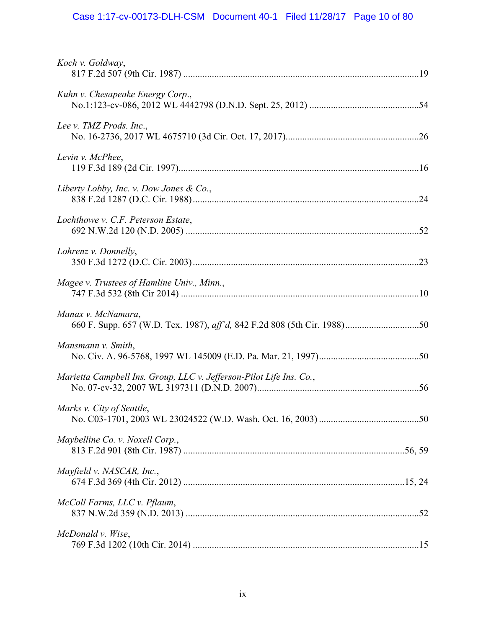# Case 1:17-cv-00173-DLH-CSM Document 40-1 Filed 11/28/17 Page 10 of 80

| Koch v. Goldway,                                                    |  |
|---------------------------------------------------------------------|--|
| Kuhn v. Chesapeake Energy Corp.,                                    |  |
| Lee v. TMZ Prods. Inc.,                                             |  |
| Levin v. McPhee,                                                    |  |
| Liberty Lobby, Inc. v. Dow Jones & Co.,                             |  |
| Lochthowe v. C.F. Peterson Estate,                                  |  |
| Lohrenz v. Donnelly,                                                |  |
| Magee v. Trustees of Hamline Univ., Minn.,                          |  |
| Manax v. McNamara,                                                  |  |
| Mansmann v. Smith,                                                  |  |
| Marietta Campbell Ins. Group, LLC v. Jefferson-Pilot Life Ins. Co., |  |
| Marks v. City of Seattle,                                           |  |
| Maybelline Co. v. Noxell Corp.,                                     |  |
| Mayfield v. NASCAR, Inc.,                                           |  |
| McColl Farms, LLC v. Pflaum,                                        |  |
| McDonald v. Wise,                                                   |  |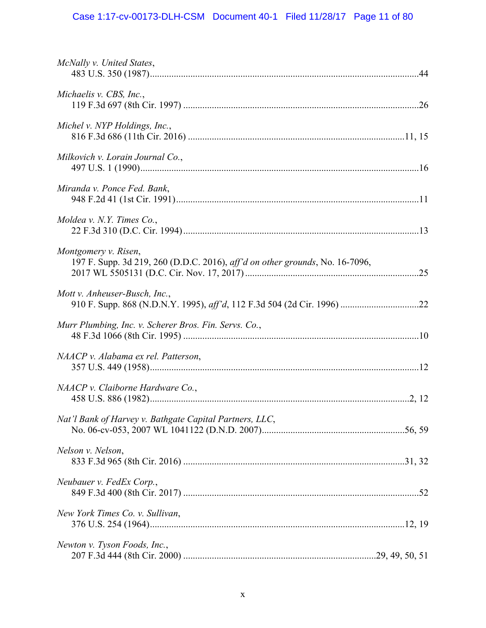# Case 1:17-cv-00173-DLH-CSM Document 40-1 Filed 11/28/17 Page 11 of 80

| McNally v. United States,                                                                            |  |
|------------------------------------------------------------------------------------------------------|--|
| Michaelis v. CBS, Inc.,                                                                              |  |
| Michel v. NYP Holdings, Inc.,                                                                        |  |
| Milkovich v. Lorain Journal Co.,                                                                     |  |
| Miranda v. Ponce Fed. Bank,                                                                          |  |
| Moldea v. N.Y. Times $Co.$ ,                                                                         |  |
| Montgomery v. Risen,<br>197 F. Supp. 3d 219, 260 (D.D.C. 2016), aff'd on other grounds, No. 16-7096, |  |
| Mott v. Anheuser-Busch, Inc.,                                                                        |  |
| Murr Plumbing, Inc. v. Scherer Bros. Fin. Servs. Co.,                                                |  |
| NAACP v. Alabama ex rel. Patterson,                                                                  |  |
| NAACP v. Claiborne Hardware Co.,                                                                     |  |
| Nat'l Bank of Harvey v. Bathgate Capital Partners, LLC,                                              |  |
| Nelson v. Nelson,                                                                                    |  |
| Neubauer v. FedEx Corp.,                                                                             |  |
| New York Times Co. v. Sullivan,                                                                      |  |
| Newton v. Tyson Foods, Inc.,                                                                         |  |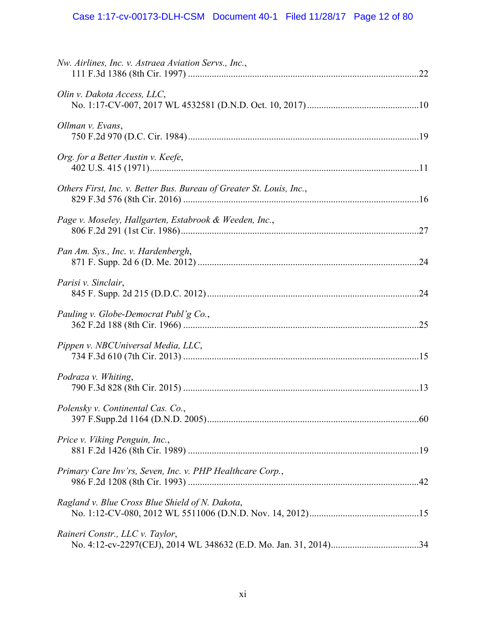| Nw. Airlines, Inc. v. Astraea Aviation Servs., Inc.,                 |  |
|----------------------------------------------------------------------|--|
| Olin v. Dakota Access, LLC,                                          |  |
| Ollman v. Evans,                                                     |  |
| Org. for a Better Austin v. Keefe,                                   |  |
| Others First, Inc. v. Better Bus. Bureau of Greater St. Louis, Inc., |  |
| Page v. Moseley, Hallgarten, Estabrook & Weeden, Inc.,               |  |
| Pan Am. Sys., Inc. v. Hardenbergh,                                   |  |
| Parisi v. Sinclair,                                                  |  |
| Pauling v. Globe-Democrat Publ'g Co.,                                |  |
| Pippen v. NBCUniversal Media, LLC,                                   |  |
| Podraza v. Whiting,                                                  |  |
| Polensky v. Continental Cas. Co.,                                    |  |
| Price v. Viking Penguin, Inc.,                                       |  |
| Primary Care Inv'rs, Seven, Inc. v. PHP Healthcare Corp.,            |  |
| Ragland v. Blue Cross Blue Shield of N. Dakota,                      |  |
| Raineri Constr., LLC v. Taylor,                                      |  |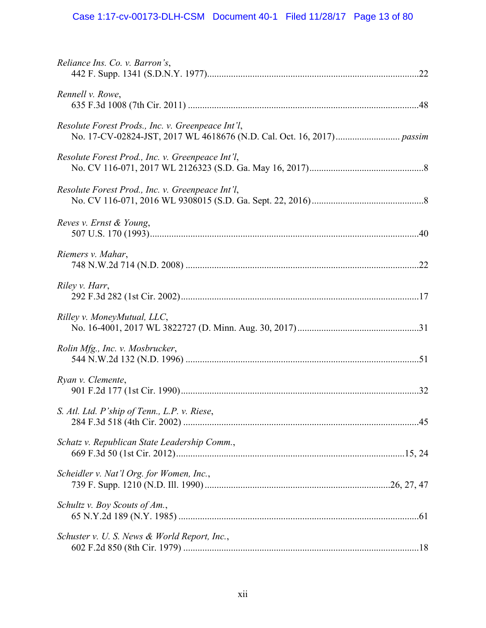# Case 1:17-cv-00173-DLH-CSM Document 40-1 Filed 11/28/17 Page 13 of 80

| Reliance Ins. Co. v. Barron's,                    |  |
|---------------------------------------------------|--|
| Rennell v. Rowe,                                  |  |
| Resolute Forest Prods., Inc. v. Greenpeace Int'l, |  |
| Resolute Forest Prod., Inc. v. Greenpeace Int'l,  |  |
| Resolute Forest Prod., Inc. v. Greenpeace Int'l,  |  |
| Reves v. Ernst & Young,                           |  |
| Riemers v. Mahar,                                 |  |
| Riley v. Harr,                                    |  |
| Rilley v. MoneyMutual, LLC,                       |  |
| Rolin Mfg., Inc. v. Mosbrucker,                   |  |
| Ryan v. Clemente,                                 |  |
| S. Atl. Ltd. P'ship of Tenn., L.P. v. Riese,      |  |
| Schatz v. Republican State Leadership Comm.,      |  |
| Scheidler v. Nat'l Org. for Women, Inc.,          |  |
| Schultz v. Boy Scouts of Am.,                     |  |
| Schuster v. U. S. News & World Report, Inc.,      |  |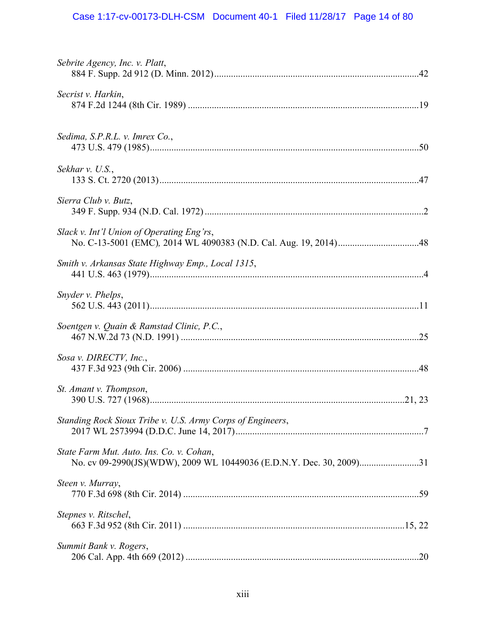# Case 1:17-cv-00173-DLH-CSM Document 40-1 Filed 11/28/17 Page 14 of 80

| Sebrite Agency, Inc. v. Platt,                             |  |
|------------------------------------------------------------|--|
| Secrist v. Harkin,                                         |  |
| Sedima, S.P.R.L. v. Imrex Co.,                             |  |
| Sekhar v. U.S.,                                            |  |
| Sierra Club v. Butz,                                       |  |
| Slack v. Int'l Union of Operating Eng'rs,                  |  |
| Smith v. Arkansas State Highway Emp., Local 1315,          |  |
| Snyder v. Phelps,                                          |  |
| Soentgen v. Quain & Ramstad Clinic, P.C.,                  |  |
| Sosa v. DIRECTV, Inc.,                                     |  |
| St. Amant v. Thompson,                                     |  |
| Standing Rock Sioux Tribe v. U.S. Army Corps of Engineers, |  |
| State Farm Mut. Auto. Ins. Co. v. Cohan,                   |  |
| Steen v. Murray,                                           |  |
| Stepnes v. Ritschel,                                       |  |
| Summit Bank v. Rogers,                                     |  |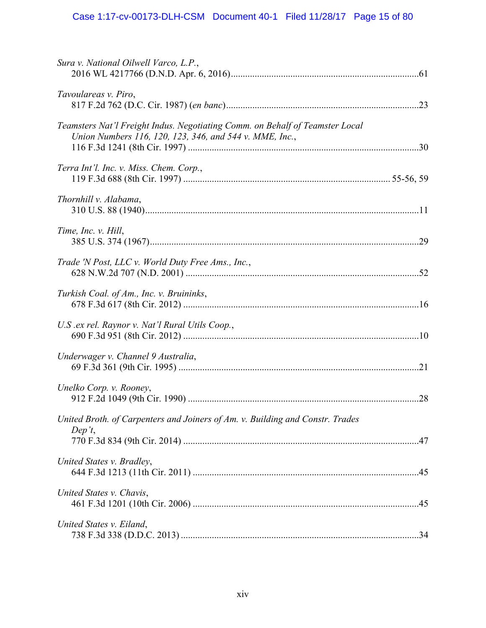| Sura v. National Oilwell Varco, L.P.,                                                                                                   |  |
|-----------------------------------------------------------------------------------------------------------------------------------------|--|
| Tavoulareas v. Piro,                                                                                                                    |  |
| Teamsters Nat'l Freight Indus. Negotiating Comm. on Behalf of Teamster Local<br>Union Numbers 116, 120, 123, 346, and 544 v. MME, Inc., |  |
| Terra Int'l. Inc. v. Miss. Chem. Corp.,                                                                                                 |  |
| Thornhill v. Alabama,                                                                                                                   |  |
| Time, Inc. v. Hill,                                                                                                                     |  |
| Trade 'N Post, LLC v. World Duty Free Ams., Inc.,                                                                                       |  |
| Turkish Coal. of Am., Inc. v. Bruininks,                                                                                                |  |
| U.S. ex rel. Raynor v. Nat'l Rural Utils Coop.,                                                                                         |  |
| Underwager v. Channel 9 Australia,                                                                                                      |  |
| Unelko Corp. v. Rooney,                                                                                                                 |  |
| United Broth. of Carpenters and Joiners of Am. v. Building and Constr. Trades<br>Dep't,                                                 |  |
| United States v. Bradley,                                                                                                               |  |
| United States v. Chavis,                                                                                                                |  |
| United States v. Eiland,                                                                                                                |  |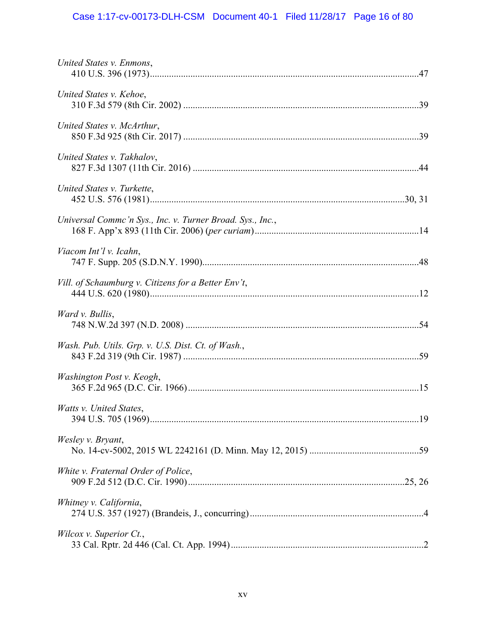# Case 1:17-cv-00173-DLH-CSM Document 40-1 Filed 11/28/17 Page 16 of 80

| United States v. Enmons,                                  |  |
|-----------------------------------------------------------|--|
| United States v. Kehoe,                                   |  |
| United States v. McArthur,                                |  |
| United States v. Takhalov,                                |  |
| United States v. Turkette,                                |  |
| Universal Commc'n Sys., Inc. v. Turner Broad. Sys., Inc., |  |
| Viacom Int'l v. Icahn,                                    |  |
| Vill. of Schaumburg v. Citizens for a Better Env't,       |  |
| Ward v. Bullis,                                           |  |
| Wash. Pub. Utils. Grp. v. U.S. Dist. Ct. of Wash.,        |  |
| Washington Post v. Keogh,                                 |  |
| Watts v. United States,                                   |  |
| Wesley v. Bryant,                                         |  |
| White v. Fraternal Order of Police,                       |  |
| Whitney v. California,                                    |  |
| Wilcox v. Superior Ct.,                                   |  |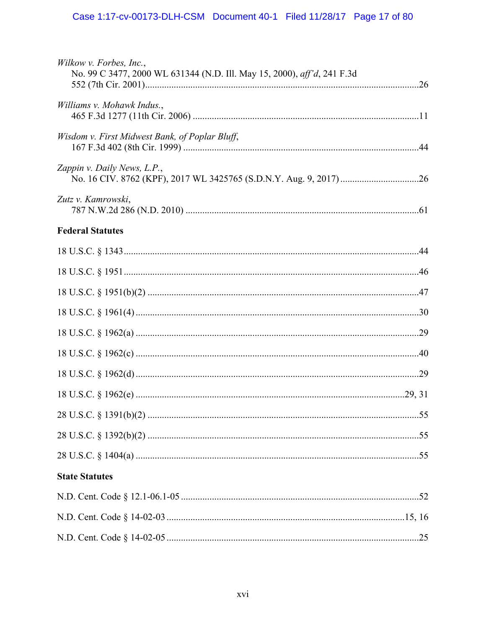| Wilkow v. Forbes, Inc.,<br>No. 99 C 3477, 2000 WL 631344 (N.D. Ill. May 15, 2000), aff'd, 241 F.3d |  |
|----------------------------------------------------------------------------------------------------|--|
|                                                                                                    |  |
| Williams v. Mohawk Indus.,                                                                         |  |
| Wisdom v. First Midwest Bank, of Poplar Bluff,                                                     |  |
| Zappin v. Daily News, L.P.,                                                                        |  |
| Zutz v. Kamrowski,                                                                                 |  |
| <b>Federal Statutes</b>                                                                            |  |
|                                                                                                    |  |
|                                                                                                    |  |
|                                                                                                    |  |
|                                                                                                    |  |
|                                                                                                    |  |
|                                                                                                    |  |
|                                                                                                    |  |
|                                                                                                    |  |
|                                                                                                    |  |
|                                                                                                    |  |
|                                                                                                    |  |
| <b>State Statutes</b>                                                                              |  |
|                                                                                                    |  |
|                                                                                                    |  |
|                                                                                                    |  |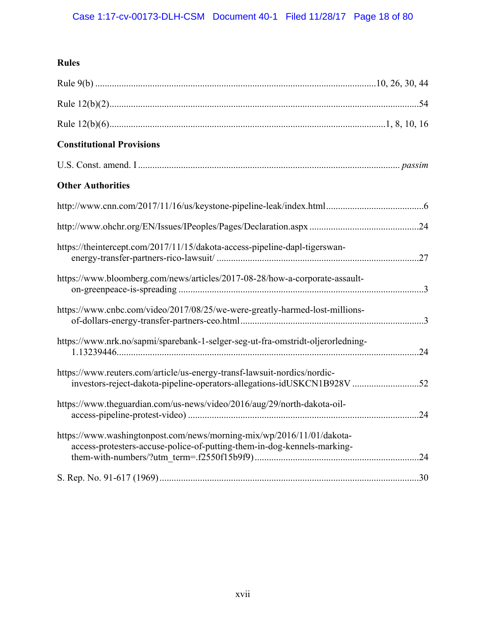## **Rules**

| <b>Constitutional Provisions</b>                                                                                                                    |  |
|-----------------------------------------------------------------------------------------------------------------------------------------------------|--|
|                                                                                                                                                     |  |
| <b>Other Authorities</b>                                                                                                                            |  |
|                                                                                                                                                     |  |
|                                                                                                                                                     |  |
| https://theintercept.com/2017/11/15/dakota-access-pipeline-dapl-tigerswan-                                                                          |  |
| https://www.bloomberg.com/news/articles/2017-08-28/how-a-corporate-assault-                                                                         |  |
| https://www.cnbc.com/video/2017/08/25/we-were-greatly-harmed-lost-millions-                                                                         |  |
| https://www.nrk.no/sapmi/sparebank-1-selger-seg-ut-fra-omstridt-oljerorledning-                                                                     |  |
| https://www.reuters.com/article/us-energy-transf-lawsuit-nordics/nordic-<br>investors-reject-dakota-pipeline-operators-allegations-idUSKCN1B928V 52 |  |
| https://www.theguardian.com/us-news/video/2016/aug/29/north-dakota-oil-                                                                             |  |
| https://www.washingtonpost.com/news/morning-mix/wp/2016/11/01/dakota-<br>access-protesters-accuse-police-of-putting-them-in-dog-kennels-marking-    |  |
|                                                                                                                                                     |  |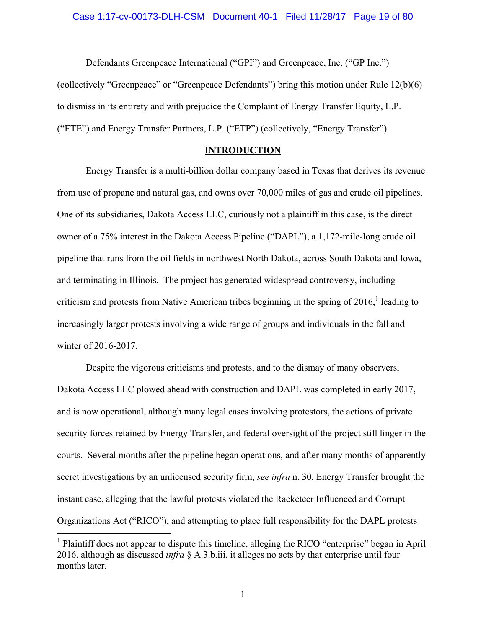Defendants Greenpeace International ("GPI") and Greenpeace, Inc. ("GP Inc.") (collectively "Greenpeace" or "Greenpeace Defendants") bring this motion under Rule 12(b)(6) to dismiss in its entirety and with prejudice the Complaint of Energy Transfer Equity, L.P. ("ETE") and Energy Transfer Partners, L.P. ("ETP") (collectively, "Energy Transfer").

## **INTRODUCTION**

Energy Transfer is a multi-billion dollar company based in Texas that derives its revenue from use of propane and natural gas, and owns over 70,000 miles of gas and crude oil pipelines. One of its subsidiaries, Dakota Access LLC, curiously not a plaintiff in this case, is the direct owner of a 75% interest in the Dakota Access Pipeline ("DAPL"), a 1,172-mile-long crude oil pipeline that runs from the oil fields in northwest North Dakota, across South Dakota and Iowa, and terminating in Illinois. The project has generated widespread controversy, including criticism and protests from Native American tribes beginning in the spring of  $2016$ , leading to increasingly larger protests involving a wide range of groups and individuals in the fall and winter of 2016-2017.

Despite the vigorous criticisms and protests, and to the dismay of many observers, Dakota Access LLC plowed ahead with construction and DAPL was completed in early 2017, and is now operational, although many legal cases involving protestors, the actions of private security forces retained by Energy Transfer, and federal oversight of the project still linger in the courts. Several months after the pipeline began operations, and after many months of apparently secret investigations by an unlicensed security firm, *see infra* n. 30, Energy Transfer brought the instant case, alleging that the lawful protests violated the Racketeer Influenced and Corrupt Organizations Act ("RICO"), and attempting to place full responsibility for the DAPL protests

<sup>&</sup>lt;sup>1</sup> Plaintiff does not appear to dispute this timeline, alleging the RICO "enterprise" began in April 2016, although as discussed *infra* § A.3.b.iii, it alleges no acts by that enterprise until four months later.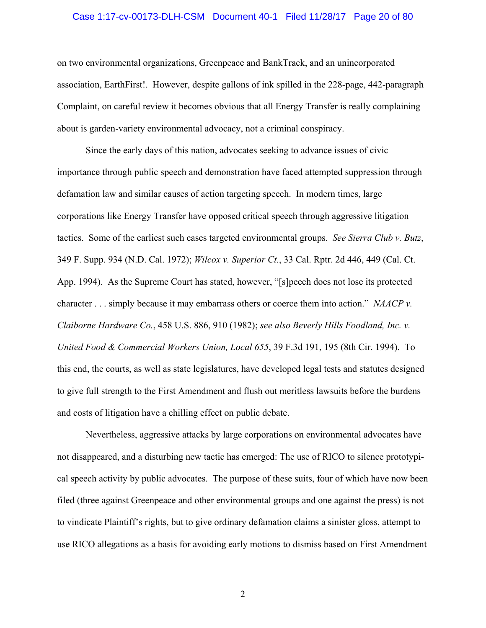#### Case 1:17-cv-00173-DLH-CSM Document 40-1 Filed 11/28/17 Page 20 of 80

on two environmental organizations, Greenpeace and BankTrack, and an unincorporated association, EarthFirst!. However, despite gallons of ink spilled in the 228-page, 442-paragraph Complaint, on careful review it becomes obvious that all Energy Transfer is really complaining about is garden-variety environmental advocacy, not a criminal conspiracy.

Since the early days of this nation, advocates seeking to advance issues of civic importance through public speech and demonstration have faced attempted suppression through defamation law and similar causes of action targeting speech. In modern times, large corporations like Energy Transfer have opposed critical speech through aggressive litigation tactics. Some of the earliest such cases targeted environmental groups. *See Sierra Club v. Butz*, 349 F. Supp. 934 (N.D. Cal. 1972); *Wilcox v. Superior Ct.*, 33 Cal. Rptr. 2d 446, 449 (Cal. Ct. App. 1994). As the Supreme Court has stated, however, "[s]peech does not lose its protected character . . . simply because it may embarrass others or coerce them into action." *NAACP v. Claiborne Hardware Co.*, 458 U.S. 886, 910 (1982); *see also Beverly Hills Foodland, Inc. v. United Food & Commercial Workers Union, Local 655*, 39 F.3d 191, 195 (8th Cir. 1994). To this end, the courts, as well as state legislatures, have developed legal tests and statutes designed to give full strength to the First Amendment and flush out meritless lawsuits before the burdens and costs of litigation have a chilling effect on public debate.

Nevertheless, aggressive attacks by large corporations on environmental advocates have not disappeared, and a disturbing new tactic has emerged: The use of RICO to silence prototypical speech activity by public advocates. The purpose of these suits, four of which have now been filed (three against Greenpeace and other environmental groups and one against the press) is not to vindicate Plaintiff's rights, but to give ordinary defamation claims a sinister gloss, attempt to use RICO allegations as a basis for avoiding early motions to dismiss based on First Amendment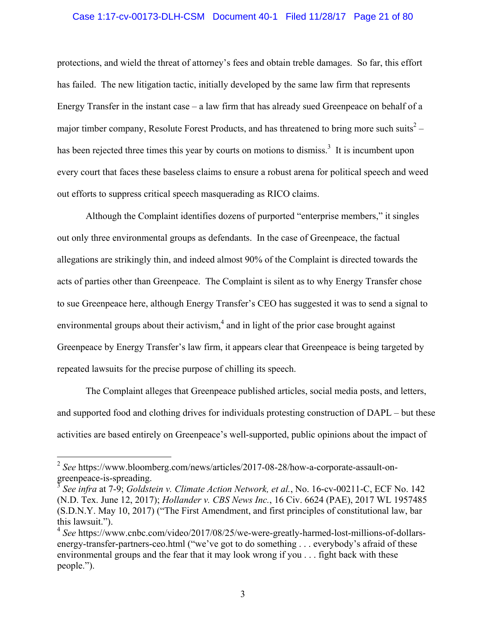### Case 1:17-cv-00173-DLH-CSM Document 40-1 Filed 11/28/17 Page 21 of 80

protections, and wield the threat of attorney's fees and obtain treble damages. So far, this effort has failed. The new litigation tactic, initially developed by the same law firm that represents Energy Transfer in the instant case – a law firm that has already sued Greenpeace on behalf of a major timber company, Resolute Forest Products, and has threatened to bring more such suits<sup>2</sup> – has been rejected three times this year by courts on motions to dismiss.<sup>3</sup> It is incumbent upon every court that faces these baseless claims to ensure a robust arena for political speech and weed out efforts to suppress critical speech masquerading as RICO claims.

Although the Complaint identifies dozens of purported "enterprise members," it singles out only three environmental groups as defendants. In the case of Greenpeace, the factual allegations are strikingly thin, and indeed almost 90% of the Complaint is directed towards the acts of parties other than Greenpeace. The Complaint is silent as to why Energy Transfer chose to sue Greenpeace here, although Energy Transfer's CEO has suggested it was to send a signal to environmental groups about their activism, $<sup>4</sup>$  and in light of the prior case brought against</sup> Greenpeace by Energy Transfer's law firm, it appears clear that Greenpeace is being targeted by repeated lawsuits for the precise purpose of chilling its speech.

The Complaint alleges that Greenpeace published articles, social media posts, and letters, and supported food and clothing drives for individuals protesting construction of DAPL – but these activities are based entirely on Greenpeace's well-supported, public opinions about the impact of

<sup>2</sup> *See* https://www.bloomberg.com/news/articles/2017-08-28/how-a-corporate-assault-ongreenpeace-is-spreading.

<sup>3</sup> *See infra* at 7-9; *Goldstein v. Climate Action Network, et al.*, No. 16-cv-00211-C, ECF No. 142 (N.D. Tex. June 12, 2017); *Hollander v. CBS News Inc.*, 16 Civ. 6624 (PAE), 2017 WL 1957485 (S.D.N.Y. May 10, 2017) ("The First Amendment, and first principles of constitutional law, bar this lawsuit.").

<sup>4</sup> *See* https://www.cnbc.com/video/2017/08/25/we-were-greatly-harmed-lost-millions-of-dollarsenergy-transfer-partners-ceo.html ("we've got to do something . . . everybody's afraid of these environmental groups and the fear that it may look wrong if you . . . fight back with these people.").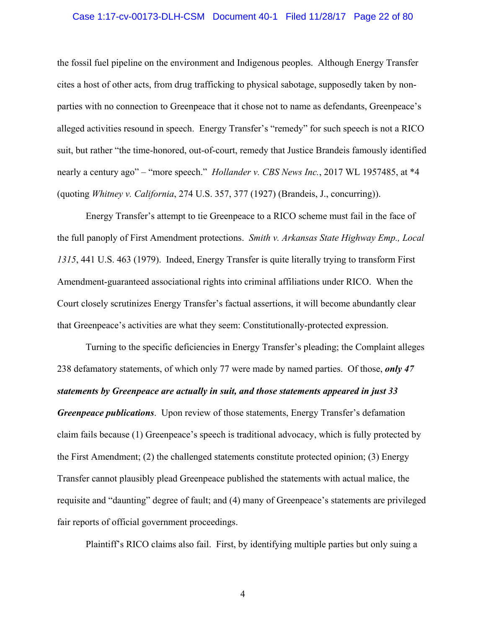#### Case 1:17-cv-00173-DLH-CSM Document 40-1 Filed 11/28/17 Page 22 of 80

the fossil fuel pipeline on the environment and Indigenous peoples. Although Energy Transfer cites a host of other acts, from drug trafficking to physical sabotage, supposedly taken by nonparties with no connection to Greenpeace that it chose not to name as defendants, Greenpeace's alleged activities resound in speech. Energy Transfer's "remedy" for such speech is not a RICO suit, but rather "the time-honored, out-of-court, remedy that Justice Brandeis famously identified nearly a century ago" – "more speech." *Hollander v. CBS News Inc.*, 2017 WL 1957485, at \*4 (quoting *Whitney v. California*, 274 U.S. 357, 377 (1927) (Brandeis, J., concurring)).

Energy Transfer's attempt to tie Greenpeace to a RICO scheme must fail in the face of the full panoply of First Amendment protections. *Smith v. Arkansas State Highway Emp., Local 1315*, 441 U.S. 463 (1979). Indeed, Energy Transfer is quite literally trying to transform First Amendment-guaranteed associational rights into criminal affiliations under RICO. When the Court closely scrutinizes Energy Transfer's factual assertions, it will become abundantly clear that Greenpeace's activities are what they seem: Constitutionally-protected expression.

Turning to the specific deficiencies in Energy Transfer's pleading; the Complaint alleges 238 defamatory statements, of which only 77 were made by named parties. Of those, *only 47 statements by Greenpeace are actually in suit, and those statements appeared in just 33 Greenpeace publications*. Upon review of those statements, Energy Transfer's defamation claim fails because (1) Greenpeace's speech is traditional advocacy, which is fully protected by the First Amendment; (2) the challenged statements constitute protected opinion; (3) Energy Transfer cannot plausibly plead Greenpeace published the statements with actual malice, the requisite and "daunting" degree of fault; and (4) many of Greenpeace's statements are privileged fair reports of official government proceedings.

Plaintiff's RICO claims also fail. First, by identifying multiple parties but only suing a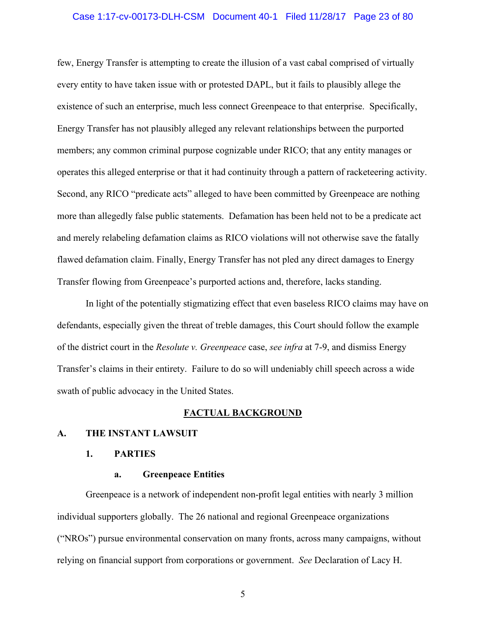#### Case 1:17-cv-00173-DLH-CSM Document 40-1 Filed 11/28/17 Page 23 of 80

few, Energy Transfer is attempting to create the illusion of a vast cabal comprised of virtually every entity to have taken issue with or protested DAPL, but it fails to plausibly allege the existence of such an enterprise, much less connect Greenpeace to that enterprise. Specifically, Energy Transfer has not plausibly alleged any relevant relationships between the purported members; any common criminal purpose cognizable under RICO; that any entity manages or operates this alleged enterprise or that it had continuity through a pattern of racketeering activity. Second, any RICO "predicate acts" alleged to have been committed by Greenpeace are nothing more than allegedly false public statements. Defamation has been held not to be a predicate act and merely relabeling defamation claims as RICO violations will not otherwise save the fatally flawed defamation claim. Finally, Energy Transfer has not pled any direct damages to Energy Transfer flowing from Greenpeace's purported actions and, therefore, lacks standing.

In light of the potentially stigmatizing effect that even baseless RICO claims may have on defendants, especially given the threat of treble damages, this Court should follow the example of the district court in the *Resolute v. Greenpeace* case, *see infra* at 7-9, and dismiss Energy Transfer's claims in their entirety. Failure to do so will undeniably chill speech across a wide swath of public advocacy in the United States.

#### **FACTUAL BACKGROUND**

## **A. THE INSTANT LAWSUIT**

## **1. PARTIES**

### **a. Greenpeace Entities**

Greenpeace is a network of independent non-profit legal entities with nearly 3 million individual supporters globally. The 26 national and regional Greenpeace organizations ("NROs") pursue environmental conservation on many fronts, across many campaigns, without relying on financial support from corporations or government. *See* Declaration of Lacy H.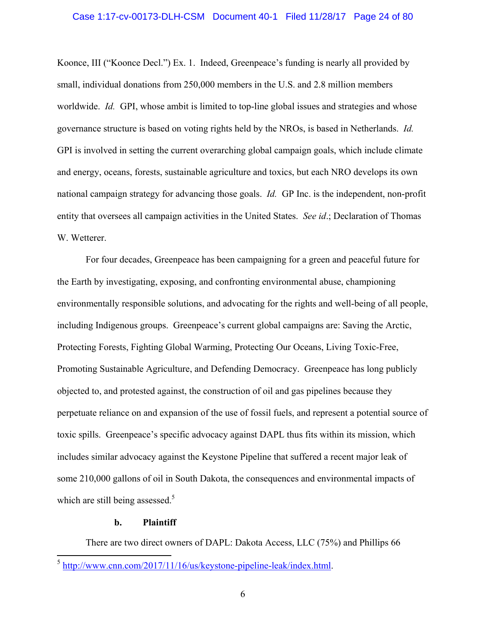#### Case 1:17-cv-00173-DLH-CSM Document 40-1 Filed 11/28/17 Page 24 of 80

Koonce, III ("Koonce Decl.") Ex. 1. Indeed, Greenpeace's funding is nearly all provided by small, individual donations from 250,000 members in the U.S. and 2.8 million members worldwide. *Id.* GPI, whose ambit is limited to top-line global issues and strategies and whose governance structure is based on voting rights held by the NROs, is based in Netherlands. *Id.* GPI is involved in setting the current overarching global campaign goals, which include climate and energy, oceans, forests, sustainable agriculture and toxics, but each NRO develops its own national campaign strategy for advancing those goals. *Id.* GP Inc. is the independent, non-profit entity that oversees all campaign activities in the United States. *See id*.; Declaration of Thomas W. Wetterer.

For four decades, Greenpeace has been campaigning for a green and peaceful future for the Earth by investigating, exposing, and confronting environmental abuse, championing environmentally responsible solutions, and advocating for the rights and well-being of all people, including Indigenous groups. Greenpeace's current global campaigns are: Saving the Arctic, Protecting Forests, Fighting Global Warming, Protecting Our Oceans, Living Toxic-Free, Promoting Sustainable Agriculture, and Defending Democracy. Greenpeace has long publicly objected to, and protested against, the construction of oil and gas pipelines because they perpetuate reliance on and expansion of the use of fossil fuels, and represent a potential source of toxic spills. Greenpeace's specific advocacy against DAPL thus fits within its mission, which includes similar advocacy against the Keystone Pipeline that suffered a recent major leak of some 210,000 gallons of oil in South Dakota, the consequences and environmental impacts of which are still being assessed. $5$ 

### **b. Plaintiff**

 $\overline{a}$ 

There are two direct owners of DAPL: Dakota Access, LLC (75%) and Phillips 66

 $5 \frac{\text{http://www.cnn.com/2017/11/16/us/keystone-pipeline-leak/index.html}}{$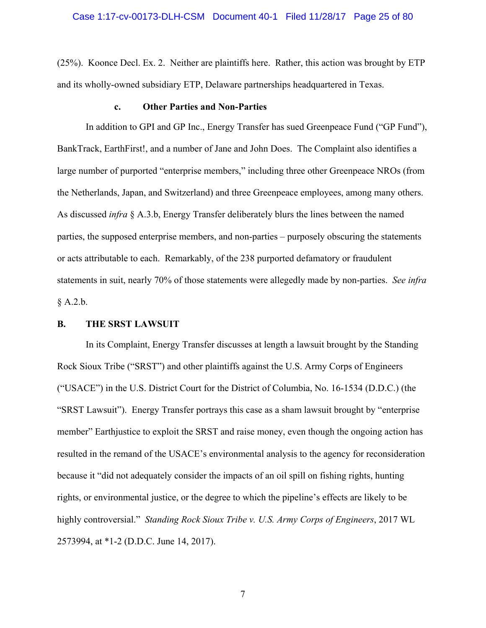(25%). Koonce Decl. Ex. 2. Neither are plaintiffs here. Rather, this action was brought by ETP and its wholly-owned subsidiary ETP, Delaware partnerships headquartered in Texas.

### **c. Other Parties and Non-Parties**

In addition to GPI and GP Inc., Energy Transfer has sued Greenpeace Fund ("GP Fund"), BankTrack, EarthFirst!, and a number of Jane and John Does. The Complaint also identifies a large number of purported "enterprise members," including three other Greenpeace NROs (from the Netherlands, Japan, and Switzerland) and three Greenpeace employees, among many others. As discussed *infra* § A.3.b, Energy Transfer deliberately blurs the lines between the named parties, the supposed enterprise members, and non-parties – purposely obscuring the statements or acts attributable to each. Remarkably, of the 238 purported defamatory or fraudulent statements in suit, nearly 70% of those statements were allegedly made by non-parties. *See infra* § A.2.b.

## **B. THE SRST LAWSUIT**

In its Complaint, Energy Transfer discusses at length a lawsuit brought by the Standing Rock Sioux Tribe ("SRST") and other plaintiffs against the U.S. Army Corps of Engineers ("USACE") in the U.S. District Court for the District of Columbia, No. 16-1534 (D.D.C.) (the "SRST Lawsuit"). Energy Transfer portrays this case as a sham lawsuit brought by "enterprise member" Earthjustice to exploit the SRST and raise money, even though the ongoing action has resulted in the remand of the USACE's environmental analysis to the agency for reconsideration because it "did not adequately consider the impacts of an oil spill on fishing rights, hunting rights, or environmental justice, or the degree to which the pipeline's effects are likely to be highly controversial." *Standing Rock Sioux Tribe v. U.S. Army Corps of Engineers*, 2017 WL 2573994, at \*1-2 (D.D.C. June 14, 2017).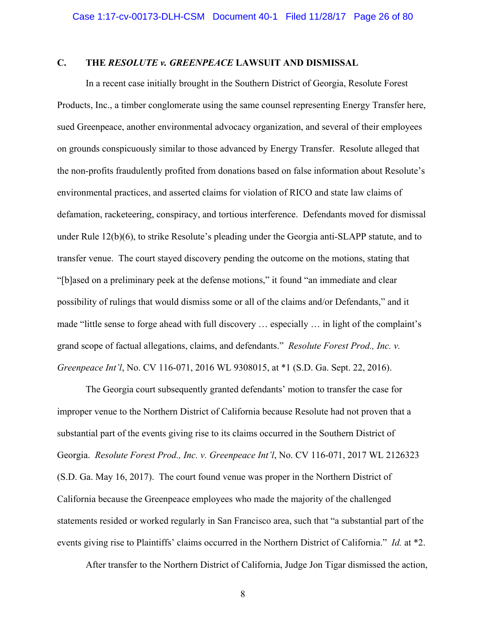## **C. THE** *RESOLUTE v. GREENPEACE* **LAWSUIT AND DISMISSAL**

In a recent case initially brought in the Southern District of Georgia, Resolute Forest Products, Inc., a timber conglomerate using the same counsel representing Energy Transfer here, sued Greenpeace, another environmental advocacy organization, and several of their employees on grounds conspicuously similar to those advanced by Energy Transfer. Resolute alleged that the non-profits fraudulently profited from donations based on false information about Resolute's environmental practices, and asserted claims for violation of RICO and state law claims of defamation, racketeering, conspiracy, and tortious interference. Defendants moved for dismissal under Rule 12(b)(6), to strike Resolute's pleading under the Georgia anti-SLAPP statute, and to transfer venue. The court stayed discovery pending the outcome on the motions, stating that "[b]ased on a preliminary peek at the defense motions," it found "an immediate and clear possibility of rulings that would dismiss some or all of the claims and/or Defendants," and it made "little sense to forge ahead with full discovery … especially … in light of the complaint's grand scope of factual allegations, claims, and defendants." *Resolute Forest Prod., Inc. v. Greenpeace Int'l*, No. CV 116-071, 2016 WL 9308015, at \*1 (S.D. Ga. Sept. 22, 2016).

The Georgia court subsequently granted defendants' motion to transfer the case for improper venue to the Northern District of California because Resolute had not proven that a substantial part of the events giving rise to its claims occurred in the Southern District of Georgia. *Resolute Forest Prod., Inc. v. Greenpeace Int'l*, No. CV 116-071, 2017 WL 2126323 (S.D. Ga. May 16, 2017). The court found venue was proper in the Northern District of California because the Greenpeace employees who made the majority of the challenged statements resided or worked regularly in San Francisco area, such that "a substantial part of the events giving rise to Plaintiffs' claims occurred in the Northern District of California." *Id.* at \*2.

After transfer to the Northern District of California, Judge Jon Tigar dismissed the action,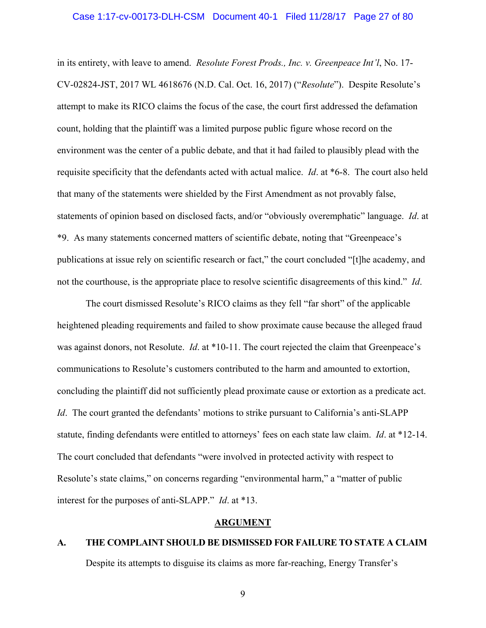#### Case 1:17-cv-00173-DLH-CSM Document 40-1 Filed 11/28/17 Page 27 of 80

in its entirety, with leave to amend. *Resolute Forest Prods., Inc. v. Greenpeace Int'l*, No. 17- CV-02824-JST, 2017 WL 4618676 (N.D. Cal. Oct. 16, 2017) ("*Resolute*"). Despite Resolute's attempt to make its RICO claims the focus of the case, the court first addressed the defamation count, holding that the plaintiff was a limited purpose public figure whose record on the environment was the center of a public debate, and that it had failed to plausibly plead with the requisite specificity that the defendants acted with actual malice. *Id*. at \*6-8. The court also held that many of the statements were shielded by the First Amendment as not provably false, statements of opinion based on disclosed facts, and/or "obviously overemphatic" language. *Id*. at \*9. As many statements concerned matters of scientific debate, noting that "Greenpeace's publications at issue rely on scientific research or fact," the court concluded "[t]he academy, and not the courthouse, is the appropriate place to resolve scientific disagreements of this kind." *Id*.

The court dismissed Resolute's RICO claims as they fell "far short" of the applicable heightened pleading requirements and failed to show proximate cause because the alleged fraud was against donors, not Resolute. *Id*. at \*10-11. The court rejected the claim that Greenpeace's communications to Resolute's customers contributed to the harm and amounted to extortion, concluding the plaintiff did not sufficiently plead proximate cause or extortion as a predicate act. *Id*. The court granted the defendants' motions to strike pursuant to California's anti-SLAPP statute, finding defendants were entitled to attorneys' fees on each state law claim. *Id*. at \*12-14. The court concluded that defendants "were involved in protected activity with respect to Resolute's state claims," on concerns regarding "environmental harm," a "matter of public interest for the purposes of anti-SLAPP." *Id*. at \*13.

## **ARGUMENT**

## **A. THE COMPLAINT SHOULD BE DISMISSED FOR FAILURE TO STATE A CLAIM**

Despite its attempts to disguise its claims as more far-reaching, Energy Transfer's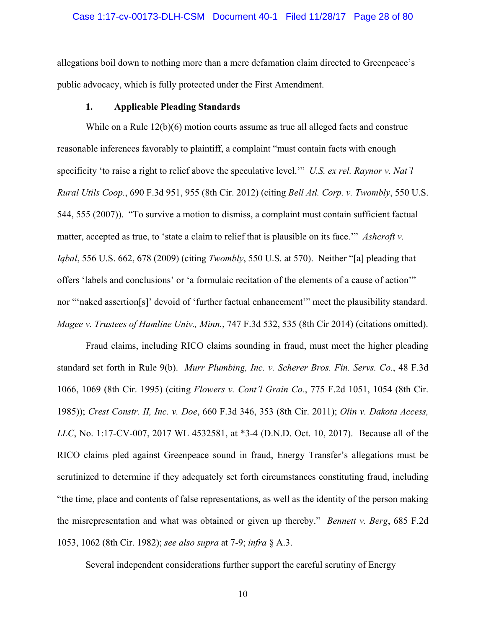#### Case 1:17-cv-00173-DLH-CSM Document 40-1 Filed 11/28/17 Page 28 of 80

allegations boil down to nothing more than a mere defamation claim directed to Greenpeace's public advocacy, which is fully protected under the First Amendment.

## **1. Applicable Pleading Standards**

While on a Rule 12(b)(6) motion courts assume as true all alleged facts and construe reasonable inferences favorably to plaintiff, a complaint "must contain facts with enough specificity 'to raise a right to relief above the speculative level.'" *U.S. ex rel. Raynor v. Nat'l Rural Utils Coop.*, 690 F.3d 951, 955 (8th Cir. 2012) (citing *Bell Atl. Corp. v. Twombly*, 550 U.S. 544, 555 (2007)). "To survive a motion to dismiss, a complaint must contain sufficient factual matter, accepted as true, to 'state a claim to relief that is plausible on its face.'" *Ashcroft v. Iqbal*, 556 U.S. 662, 678 (2009) (citing *Twombly*, 550 U.S. at 570). Neither "[a] pleading that offers 'labels and conclusions' or 'a formulaic recitation of the elements of a cause of action'" nor "'naked assertion[s]' devoid of 'further factual enhancement'" meet the plausibility standard. *Magee v. Trustees of Hamline Univ., Minn.*, 747 F.3d 532, 535 (8th Cir 2014) (citations omitted).

Fraud claims, including RICO claims sounding in fraud, must meet the higher pleading standard set forth in Rule 9(b). *Murr Plumbing, Inc. v. Scherer Bros. Fin. Servs. Co.*, 48 F.3d 1066, 1069 (8th Cir. 1995) (citing *Flowers v. Cont'l Grain Co.*, 775 F.2d 1051, 1054 (8th Cir. 1985)); *Crest Constr. II, Inc. v. Doe*, 660 F.3d 346, 353 (8th Cir. 2011); *Olin v. Dakota Access, LLC*, No. 1:17-CV-007, 2017 WL 4532581, at \*3-4 (D.N.D. Oct. 10, 2017). Because all of the RICO claims pled against Greenpeace sound in fraud, Energy Transfer's allegations must be scrutinized to determine if they adequately set forth circumstances constituting fraud, including "the time, place and contents of false representations, as well as the identity of the person making the misrepresentation and what was obtained or given up thereby." *Bennett v. Berg*, 685 F.2d 1053, 1062 (8th Cir. 1982); *see also supra* at 7-9; *infra* § A.3.

Several independent considerations further support the careful scrutiny of Energy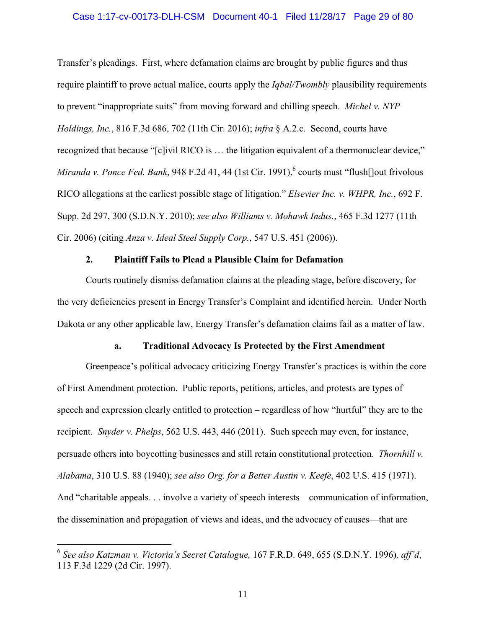### Case 1:17-cv-00173-DLH-CSM Document 40-1 Filed 11/28/17 Page 29 of 80

Transfer's pleadings. First, where defamation claims are brought by public figures and thus require plaintiff to prove actual malice, courts apply the *Iqbal/Twombly* plausibility requirements to prevent "inappropriate suits" from moving forward and chilling speech. *Michel v. NYP Holdings, Inc.*, 816 F.3d 686, 702 (11th Cir. 2016); *infra* § A.2.c. Second, courts have recognized that because "[c]ivil RICO is … the litigation equivalent of a thermonuclear device," *Miranda v. Ponce Fed. Bank*, 948 F.2d 41, 44 (1st Cir. 1991), <sup>6</sup> courts must "flush[]out frivolous RICO allegations at the earliest possible stage of litigation." *Elsevier Inc. v. WHPR, Inc.*, 692 F. Supp. 2d 297, 300 (S.D.N.Y. 2010); *see also Williams v. Mohawk Indus.*, 465 F.3d 1277 (11th Cir. 2006) (citing *Anza v. Ideal Steel Supply Corp.*, 547 U.S. 451 (2006)).

## **2. Plaintiff Fails to Plead a Plausible Claim for Defamation**

Courts routinely dismiss defamation claims at the pleading stage, before discovery, for the very deficiencies present in Energy Transfer's Complaint and identified herein. Under North Dakota or any other applicable law, Energy Transfer's defamation claims fail as a matter of law.

## **a. Traditional Advocacy Is Protected by the First Amendment**

Greenpeace's political advocacy criticizing Energy Transfer's practices is within the core of First Amendment protection. Public reports, petitions, articles, and protests are types of speech and expression clearly entitled to protection – regardless of how "hurtful" they are to the recipient. *Snyder v. Phelps*, 562 U.S. 443, 446 (2011). Such speech may even, for instance, persuade others into boycotting businesses and still retain constitutional protection. *Thornhill v. Alabama*, 310 U.S. 88 (1940); *see also Org. for a Better Austin v. Keefe*, 402 U.S. 415 (1971). And "charitable appeals. . . involve a variety of speech interests—communication of information, the dissemination and propagation of views and ideas, and the advocacy of causes—that are

<sup>6</sup> *See also Katzman v. Victoria's Secret Catalogue,* 167 F.R.D. 649, 655 (S.D.N.Y. 1996)*, aff'd*, 113 F.3d 1229 (2d Cir. 1997).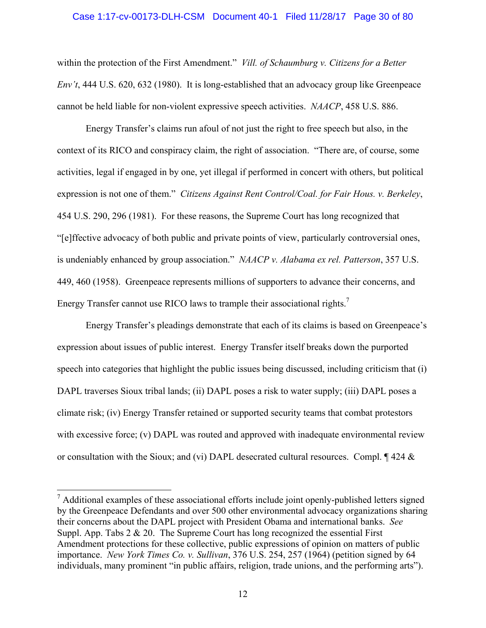#### Case 1:17-cv-00173-DLH-CSM Document 40-1 Filed 11/28/17 Page 30 of 80

within the protection of the First Amendment." *Vill. of Schaumburg v. Citizens for a Better Env't*, 444 U.S. 620, 632 (1980). It is long-established that an advocacy group like Greenpeace cannot be held liable for non-violent expressive speech activities. *NAACP*, 458 U.S. 886.

Energy Transfer's claims run afoul of not just the right to free speech but also, in the context of its RICO and conspiracy claim, the right of association. "There are, of course, some activities, legal if engaged in by one, yet illegal if performed in concert with others, but political expression is not one of them." *Citizens Against Rent Control/Coal. for Fair Hous. v. Berkeley*, 454 U.S. 290, 296 (1981). For these reasons, the Supreme Court has long recognized that "[e]ffective advocacy of both public and private points of view, particularly controversial ones, is undeniably enhanced by group association." *NAACP v. Alabama ex rel. Patterson*, 357 U.S. 449, 460 (1958). Greenpeace represents millions of supporters to advance their concerns, and Energy Transfer cannot use RICO laws to trample their associational rights.<sup>7</sup>

Energy Transfer's pleadings demonstrate that each of its claims is based on Greenpeace's expression about issues of public interest. Energy Transfer itself breaks down the purported speech into categories that highlight the public issues being discussed, including criticism that (i) DAPL traverses Sioux tribal lands; (ii) DAPL poses a risk to water supply; (iii) DAPL poses a climate risk; (iv) Energy Transfer retained or supported security teams that combat protestors with excessive force; (v) DAPL was routed and approved with inadequate environmental review or consultation with the Sioux; and (vi) DAPL desecrated cultural resources. Compl.  $\sqrt{424 \&$ 

 $<sup>7</sup>$  Additional examples of these associational efforts include joint openly-published letters signed</sup> by the Greenpeace Defendants and over 500 other environmental advocacy organizations sharing their concerns about the DAPL project with President Obama and international banks. *See* Suppl. App. Tabs  $2 \& 20$ . The Supreme Court has long recognized the essential First Amendment protections for these collective, public expressions of opinion on matters of public importance. *New York Times Co. v. Sullivan*, 376 U.S. 254, 257 (1964) (petition signed by 64 individuals, many prominent "in public affairs, religion, trade unions, and the performing arts").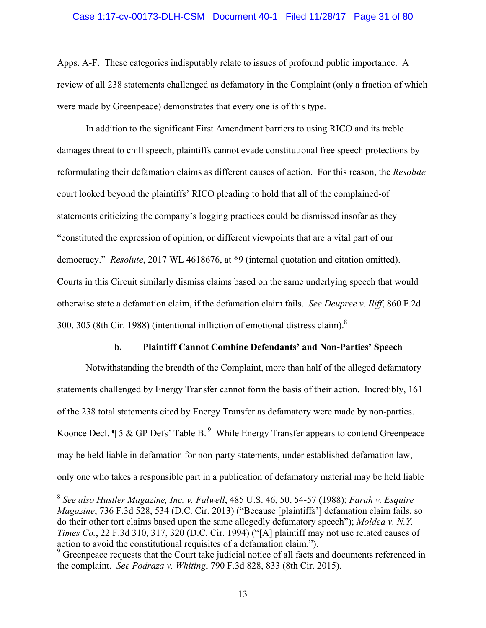### Case 1:17-cv-00173-DLH-CSM Document 40-1 Filed 11/28/17 Page 31 of 80

Apps. A-F. These categories indisputably relate to issues of profound public importance. A review of all 238 statements challenged as defamatory in the Complaint (only a fraction of which were made by Greenpeace) demonstrates that every one is of this type.

In addition to the significant First Amendment barriers to using RICO and its treble damages threat to chill speech, plaintiffs cannot evade constitutional free speech protections by reformulating their defamation claims as different causes of action. For this reason, the *Resolute* court looked beyond the plaintiffs' RICO pleading to hold that all of the complained-of statements criticizing the company's logging practices could be dismissed insofar as they "constituted the expression of opinion, or different viewpoints that are a vital part of our democracy." *Resolute*, 2017 WL 4618676, at \*9 (internal quotation and citation omitted). Courts in this Circuit similarly dismiss claims based on the same underlying speech that would otherwise state a defamation claim, if the defamation claim fails. *See Deupree v. Iliff*, 860 F.2d 300, 305 (8th Cir. 1988) (intentional infliction of emotional distress claim).8

#### **b. Plaintiff Cannot Combine Defendants' and Non-Parties' Speech**

Notwithstanding the breadth of the Complaint, more than half of the alleged defamatory statements challenged by Energy Transfer cannot form the basis of their action. Incredibly, 161 of the 238 total statements cited by Energy Transfer as defamatory were made by non-parties. Koonce Decl.  $\P$  5 & GP Defs' Table B.<sup>9</sup> While Energy Transfer appears to contend Greenpeace may be held liable in defamation for non-party statements, under established defamation law, only one who takes a responsible part in a publication of defamatory material may be held liable

<sup>8</sup> *See also Hustler Magazine, Inc. v. Falwell*, 485 U.S. 46, 50, 54-57 (1988); *Farah v. Esquire Magazine*, 736 F.3d 528, 534 (D.C. Cir. 2013) ("Because [plaintiffs'] defamation claim fails, so do their other tort claims based upon the same allegedly defamatory speech"); *Moldea v. N.Y. Times Co.*, 22 F.3d 310, 317, 320 (D.C. Cir. 1994) ("[A] plaintiff may not use related causes of action to avoid the constitutional requisites of a defamation claim.").

<sup>&</sup>lt;sup>9</sup> Greenpeace requests that the Court take judicial notice of all facts and documents referenced in the complaint. *See Podraza v. Whiting*, 790 F.3d 828, 833 (8th Cir. 2015).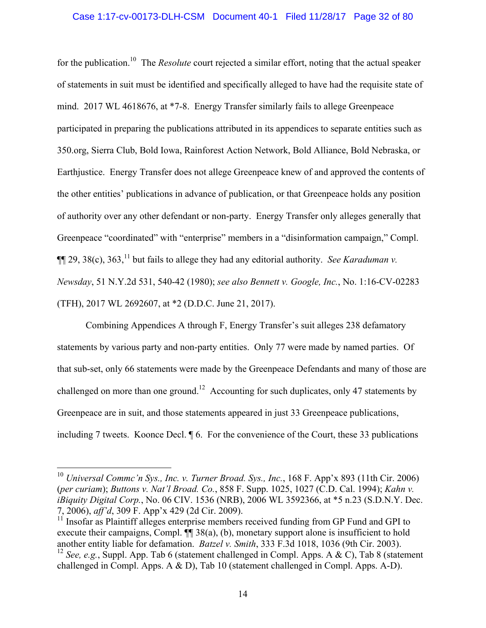## Case 1:17-cv-00173-DLH-CSM Document 40-1 Filed 11/28/17 Page 32 of 80

for the publication.10 The *Resolute* court rejected a similar effort, noting that the actual speaker of statements in suit must be identified and specifically alleged to have had the requisite state of mind. 2017 WL 4618676, at \*7-8. Energy Transfer similarly fails to allege Greenpeace participated in preparing the publications attributed in its appendices to separate entities such as 350.org, Sierra Club, Bold Iowa, Rainforest Action Network, Bold Alliance, Bold Nebraska, or Earthjustice. Energy Transfer does not allege Greenpeace knew of and approved the contents of the other entities' publications in advance of publication, or that Greenpeace holds any position of authority over any other defendant or non-party. Energy Transfer only alleges generally that Greenpeace "coordinated" with "enterprise" members in a "disinformation campaign," Compl.  $\P$ [29, 38(c), 363,<sup>11</sup> but fails to allege they had any editorial authority. *See Karaduman v. Newsday*, 51 N.Y.2d 531, 540-42 (1980); *see also Bennett v. Google, Inc.*, No. 1:16-CV-02283 (TFH), 2017 WL 2692607, at \*2 (D.D.C. June 21, 2017).

Combining Appendices A through F, Energy Transfer's suit alleges 238 defamatory statements by various party and non-party entities. Only 77 were made by named parties. Of that sub-set, only 66 statements were made by the Greenpeace Defendants and many of those are challenged on more than one ground.<sup>12</sup> Accounting for such duplicates, only 47 statements by Greenpeace are in suit, and those statements appeared in just 33 Greenpeace publications, including 7 tweets. Koonce Decl. ¶ 6. For the convenience of the Court, these 33 publications

<sup>10</sup> *Universal Commc'n Sys., Inc. v. Turner Broad. Sys., Inc.*, 168 F. App'x 893 (11th Cir. 2006) (*per curiam*); *Buttons v. Nat'l Broad. Co.*, 858 F. Supp. 1025, 1027 (C.D. Cal. 1994); *Kahn v. iBiquity Digital Corp.*, No. 06 CIV. 1536 (NRB), 2006 WL 3592366, at  $*$ 5 n.23 (S.D.N.Y. Dec. 7, 2006), *aff'd*, 309 F. App'x 429 (2d Cir. 2009).

 $11$  Insofar as Plaintiff alleges enterprise members received funding from GP Fund and GPI to execute their campaigns, Compl.  $\P$  38(a), (b), monetary support alone is insufficient to hold another entity liable for defamation. *Batzel v. Smith*, 333 F.3d 1018, 1036 (9th Cir. 2003).

<sup>12</sup> *See, e.g.*, Suppl. App. Tab 6 (statement challenged in Compl. Apps. A & C), Tab 8 (statement challenged in Compl. Apps. A & D), Tab 10 (statement challenged in Compl. Apps. A-D).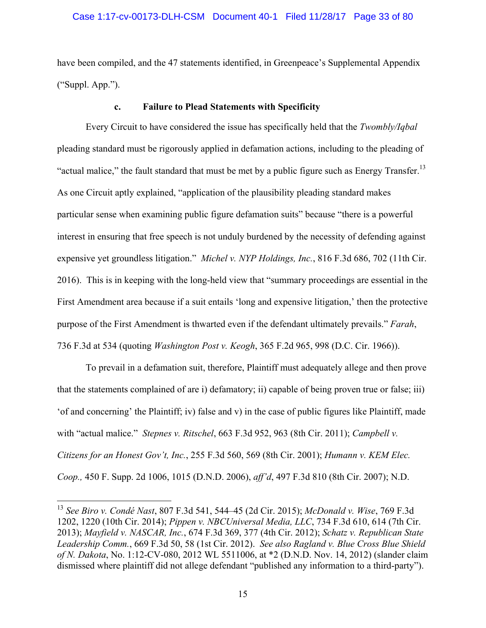have been compiled, and the 47 statements identified, in Greenpeace's Supplemental Appendix ("Suppl. App.").

## **c. Failure to Plead Statements with Specificity**

Every Circuit to have considered the issue has specifically held that the *Twombly/Iqbal* pleading standard must be rigorously applied in defamation actions, including to the pleading of "actual malice," the fault standard that must be met by a public figure such as Energy Transfer.<sup>13</sup> As one Circuit aptly explained, "application of the plausibility pleading standard makes particular sense when examining public figure defamation suits" because "there is a powerful interest in ensuring that free speech is not unduly burdened by the necessity of defending against expensive yet groundless litigation." *Michel v. NYP Holdings, Inc.*, 816 F.3d 686, 702 (11th Cir. 2016). This is in keeping with the long-held view that "summary proceedings are essential in the First Amendment area because if a suit entails 'long and expensive litigation,' then the protective purpose of the First Amendment is thwarted even if the defendant ultimately prevails." *Farah*, 736 F.3d at 534 (quoting *Washington Post v. Keogh*, 365 F.2d 965, 998 (D.C. Cir. 1966)).

To prevail in a defamation suit, therefore, Plaintiff must adequately allege and then prove that the statements complained of are i) defamatory; ii) capable of being proven true or false; iii) 'of and concerning' the Plaintiff; iv) false and v) in the case of public figures like Plaintiff, made with "actual malice." *Stepnes v. Ritschel*, 663 F.3d 952, 963 (8th Cir. 2011); *Campbell v. Citizens for an Honest Gov't, Inc.*, 255 F.3d 560, 569 (8th Cir. 2001); *Humann v. KEM Elec. Coop.,* 450 F. Supp. 2d 1006, 1015 (D.N.D. 2006), *aff'd*, 497 F.3d 810 (8th Cir. 2007); N.D.

<sup>13</sup> *See Biro v. Condé Nast*, 807 F.3d 541, 544–45 (2d Cir. 2015); *McDonald v. Wise*, 769 F.3d 1202, 1220 (10th Cir. 2014); *Pippen v. NBCUniversal Media, LLC*, 734 F.3d 610, 614 (7th Cir. 2013); *Mayfield v. NASCAR, Inc.*, 674 F.3d 369, 377 (4th Cir. 2012); *Schatz v. Republican State Leadership Comm.*, 669 F.3d 50, 58 (1st Cir. 2012). *See also Ragland v. Blue Cross Blue Shield of N. Dakota*, No. 1:12-CV-080, 2012 WL 5511006, at \*2 (D.N.D. Nov. 14, 2012) (slander claim dismissed where plaintiff did not allege defendant "published any information to a third-party").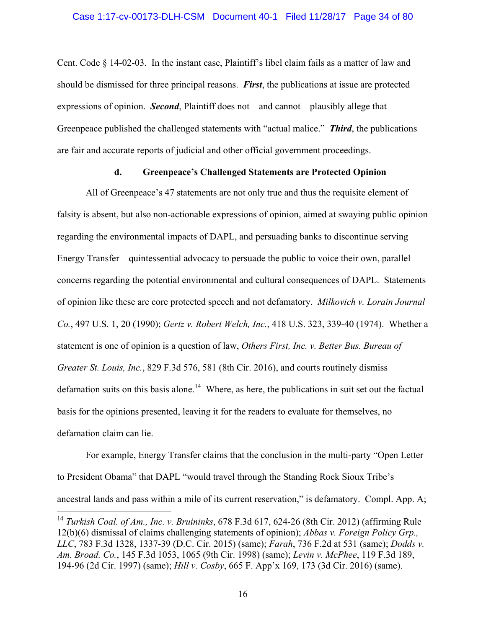Cent. Code § 14-02-03. In the instant case, Plaintiff's libel claim fails as a matter of law and should be dismissed for three principal reasons. *First*, the publications at issue are protected expressions of opinion. *Second*, Plaintiff does not – and cannot – plausibly allege that Greenpeace published the challenged statements with "actual malice." *Third*, the publications are fair and accurate reports of judicial and other official government proceedings.

## **d. Greenpeace's Challenged Statements are Protected Opinion**

All of Greenpeace's 47 statements are not only true and thus the requisite element of falsity is absent, but also non-actionable expressions of opinion, aimed at swaying public opinion regarding the environmental impacts of DAPL, and persuading banks to discontinue serving Energy Transfer – quintessential advocacy to persuade the public to voice their own, parallel concerns regarding the potential environmental and cultural consequences of DAPL. Statements of opinion like these are core protected speech and not defamatory. *Milkovich v. Lorain Journal Co.*, 497 U.S. 1, 20 (1990); *Gertz v. Robert Welch, Inc.*, 418 U.S. 323, 339-40 (1974). Whether a statement is one of opinion is a question of law, *Others First, Inc. v. Better Bus. Bureau of Greater St. Louis, Inc.*, 829 F.3d 576, 581 (8th Cir. 2016), and courts routinely dismiss defamation suits on this basis alone.<sup>14</sup> Where, as here, the publications in suit set out the factual basis for the opinions presented, leaving it for the readers to evaluate for themselves, no defamation claim can lie.

For example, Energy Transfer claims that the conclusion in the multi-party "Open Letter to President Obama" that DAPL "would travel through the Standing Rock Sioux Tribe's ancestral lands and pass within a mile of its current reservation," is defamatory. Compl. App. A;

<sup>14</sup> *Turkish Coal. of Am., Inc. v. Bruininks*, 678 F.3d 617, 624-26 (8th Cir. 2012) (affirming Rule 12(b)(6) dismissal of claims challenging statements of opinion); *Abbas v. Foreign Policy Grp., LLC*, 783 F.3d 1328, 1337-39 (D.C. Cir. 2015) (same); *Farah*, 736 F.2d at 531 (same); *Dodds v. Am. Broad. Co.*, 145 F.3d 1053, 1065 (9th Cir. 1998) (same); *Levin v. McPhee*, 119 F.3d 189, 194-96 (2d Cir. 1997) (same); *Hill v. Cosby*, 665 F. App'x 169, 173 (3d Cir. 2016) (same).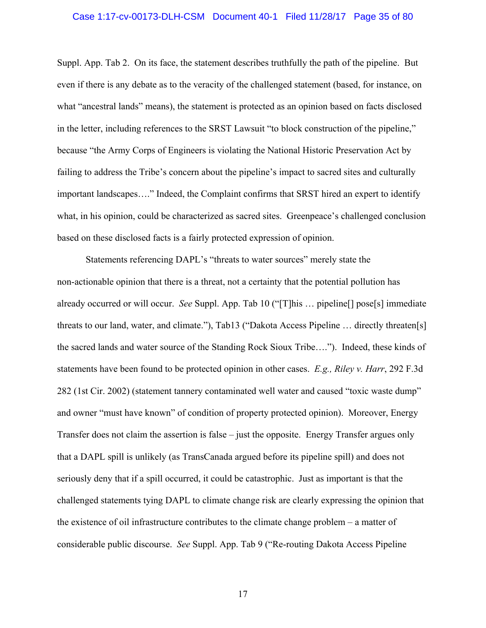#### Case 1:17-cv-00173-DLH-CSM Document 40-1 Filed 11/28/17 Page 35 of 80

Suppl. App. Tab 2. On its face, the statement describes truthfully the path of the pipeline. But even if there is any debate as to the veracity of the challenged statement (based, for instance, on what "ancestral lands" means), the statement is protected as an opinion based on facts disclosed in the letter, including references to the SRST Lawsuit "to block construction of the pipeline," because "the Army Corps of Engineers is violating the National Historic Preservation Act by failing to address the Tribe's concern about the pipeline's impact to sacred sites and culturally important landscapes…." Indeed, the Complaint confirms that SRST hired an expert to identify what, in his opinion, could be characterized as sacred sites. Greenpeace's challenged conclusion based on these disclosed facts is a fairly protected expression of opinion.

Statements referencing DAPL's "threats to water sources" merely state the non-actionable opinion that there is a threat, not a certainty that the potential pollution has already occurred or will occur. *See* Suppl. App. Tab 10 ("[T]his … pipeline[] pose[s] immediate threats to our land, water, and climate."), Tab13 ("Dakota Access Pipeline … directly threaten[s] the sacred lands and water source of the Standing Rock Sioux Tribe…."). Indeed, these kinds of statements have been found to be protected opinion in other cases. *E.g., Riley v. Harr*, 292 F.3d 282 (1st Cir. 2002) (statement tannery contaminated well water and caused "toxic waste dump" and owner "must have known" of condition of property protected opinion). Moreover, Energy Transfer does not claim the assertion is false – just the opposite. Energy Transfer argues only that a DAPL spill is unlikely (as TransCanada argued before its pipeline spill) and does not seriously deny that if a spill occurred, it could be catastrophic. Just as important is that the challenged statements tying DAPL to climate change risk are clearly expressing the opinion that the existence of oil infrastructure contributes to the climate change problem – a matter of considerable public discourse. *See* Suppl. App. Tab 9 ("Re-routing Dakota Access Pipeline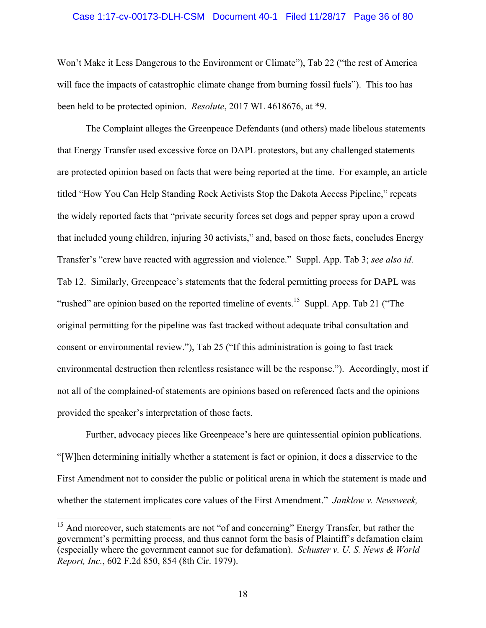#### Case 1:17-cv-00173-DLH-CSM Document 40-1 Filed 11/28/17 Page 36 of 80

Won't Make it Less Dangerous to the Environment or Climate"), Tab 22 ("the rest of America will face the impacts of catastrophic climate change from burning fossil fuels"). This too has been held to be protected opinion. *Resolute*, 2017 WL 4618676, at \*9.

The Complaint alleges the Greenpeace Defendants (and others) made libelous statements that Energy Transfer used excessive force on DAPL protestors, but any challenged statements are protected opinion based on facts that were being reported at the time. For example, an article titled "How You Can Help Standing Rock Activists Stop the Dakota Access Pipeline," repeats the widely reported facts that "private security forces set dogs and pepper spray upon a crowd that included young children, injuring 30 activists," and, based on those facts, concludes Energy Transfer's "crew have reacted with aggression and violence." Suppl. App. Tab 3; *see also id.* Tab 12. Similarly, Greenpeace's statements that the federal permitting process for DAPL was "rushed" are opinion based on the reported timeline of events.<sup>15</sup> Suppl. App. Tab 21 ("The original permitting for the pipeline was fast tracked without adequate tribal consultation and consent or environmental review."), Tab 25 ("If this administration is going to fast track environmental destruction then relentless resistance will be the response."). Accordingly, most if not all of the complained-of statements are opinions based on referenced facts and the opinions provided the speaker's interpretation of those facts.

Further, advocacy pieces like Greenpeace's here are quintessential opinion publications. "[W]hen determining initially whether a statement is fact or opinion, it does a disservice to the First Amendment not to consider the public or political arena in which the statement is made and whether the statement implicates core values of the First Amendment." *Janklow v. Newsweek,* 

<sup>&</sup>lt;sup>15</sup> And moreover, such statements are not "of and concerning" Energy Transfer, but rather the government's permitting process, and thus cannot form the basis of Plaintiff's defamation claim (especially where the government cannot sue for defamation). *Schuster v. U. S. News & World Report, Inc.*, 602 F.2d 850, 854 (8th Cir. 1979).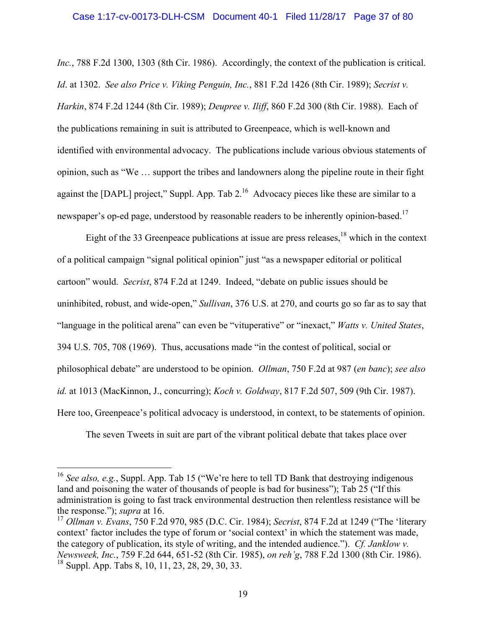#### Case 1:17-cv-00173-DLH-CSM Document 40-1 Filed 11/28/17 Page 37 of 80

*Inc.*, 788 F.2d 1300, 1303 (8th Cir. 1986). Accordingly, the context of the publication is critical. *Id*. at 1302. *See also Price v. Viking Penguin, Inc.*, 881 F.2d 1426 (8th Cir. 1989); *Secrist v. Harkin*, 874 F.2d 1244 (8th Cir. 1989); *Deupree v. Iliff*, 860 F.2d 300 (8th Cir. 1988). Each of the publications remaining in suit is attributed to Greenpeace, which is well-known and identified with environmental advocacy. The publications include various obvious statements of opinion, such as "We … support the tribes and landowners along the pipeline route in their fight against the [DAPL] project," Suppl. App. Tab  $2^{16}$  Advocacy pieces like these are similar to a newspaper's op-ed page, understood by reasonable readers to be inherently opinion-based.<sup>17</sup>

Eight of the 33 Greenpeace publications at issue are press releases, $18$  which in the context of a political campaign "signal political opinion" just "as a newspaper editorial or political cartoon" would. *Secrist*, 874 F.2d at 1249. Indeed, "debate on public issues should be uninhibited, robust, and wide-open," *Sullivan*, 376 U.S. at 270, and courts go so far as to say that "language in the political arena" can even be "vituperative" or "inexact," *Watts v. United States*, 394 U.S. 705, 708 (1969). Thus, accusations made "in the contest of political, social or philosophical debate" are understood to be opinion. *Ollman*, 750 F.2d at 987 (*en banc*); *see also id.* at 1013 (MacKinnon, J., concurring); *Koch v. Goldway*, 817 F.2d 507, 509 (9th Cir. 1987). Here too, Greenpeace's political advocacy is understood, in context, to be statements of opinion.

The seven Tweets in suit are part of the vibrant political debate that takes place over

<sup>&</sup>lt;sup>16</sup> See also, e.g., Suppl. App. Tab 15 ("We're here to tell TD Bank that destroying indigenous land and poisoning the water of thousands of people is bad for business"); Tab 25 ("If this administration is going to fast track environmental destruction then relentless resistance will be the response."); *supra* at 16.

<sup>17</sup> *Ollman v. Evans*, 750 F.2d 970, 985 (D.C. Cir. 1984); *Secrist*, 874 F.2d at 1249 ("The 'literary context' factor includes the type of forum or 'social context' in which the statement was made, the category of publication, its style of writing, and the intended audience."). *Cf. Janklow v. Newsweek, Inc.*, 759 F.2d 644, 651-52 (8th Cir. 1985), *on reh'g*, 788 F.2d 1300 (8th Cir. 1986).  $18$  Suppl. App. Tabs 8, 10, 11, 23, 28, 29, 30, 33.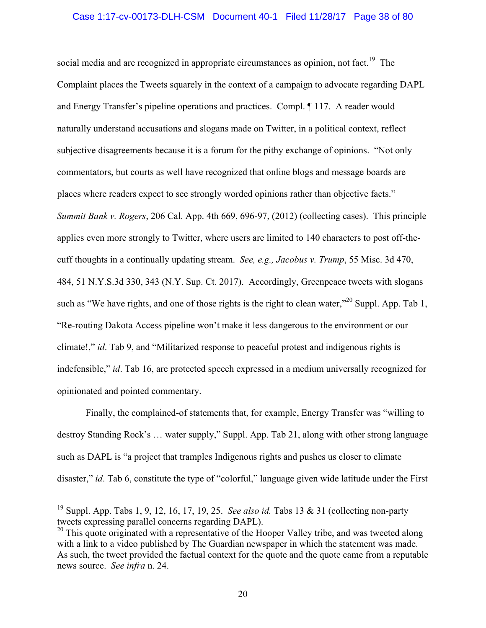## Case 1:17-cv-00173-DLH-CSM Document 40-1 Filed 11/28/17 Page 38 of 80

social media and are recognized in appropriate circumstances as opinion, not fact.<sup>19</sup> The Complaint places the Tweets squarely in the context of a campaign to advocate regarding DAPL and Energy Transfer's pipeline operations and practices. Compl. ¶ 117. A reader would naturally understand accusations and slogans made on Twitter, in a political context, reflect subjective disagreements because it is a forum for the pithy exchange of opinions. "Not only commentators, but courts as well have recognized that online blogs and message boards are places where readers expect to see strongly worded opinions rather than objective facts." *Summit Bank v. Rogers*, 206 Cal. App. 4th 669, 696-97, (2012) (collecting cases). This principle applies even more strongly to Twitter, where users are limited to 140 characters to post off-thecuff thoughts in a continually updating stream. *See, e.g., Jacobus v. Trump*, 55 Misc. 3d 470, 484, 51 N.Y.S.3d 330, 343 (N.Y. Sup. Ct. 2017). Accordingly, Greenpeace tweets with slogans such as "We have rights, and one of those rights is the right to clean water,"  $^{20}$  Suppl. App. Tab 1, "Re-routing Dakota Access pipeline won't make it less dangerous to the environment or our climate!," *id*. Tab 9, and "Militarized response to peaceful protest and indigenous rights is indefensible," *id*. Tab 16, are protected speech expressed in a medium universally recognized for opinionated and pointed commentary.

Finally, the complained-of statements that, for example, Energy Transfer was "willing to destroy Standing Rock's … water supply," Suppl. App. Tab 21, along with other strong language such as DAPL is "a project that tramples Indigenous rights and pushes us closer to climate disaster," *id*. Tab 6, constitute the type of "colorful," language given wide latitude under the First

<sup>19</sup> Suppl. App. Tabs 1, 9, 12, 16, 17, 19, 25. *See also id.* Tabs 13 & 31 (collecting non-party tweets expressing parallel concerns regarding DAPL).

<sup>&</sup>lt;sup>20</sup> This quote originated with a representative of the Hooper Valley tribe, and was tweeted along with a link to a video published by The Guardian newspaper in which the statement was made. As such, the tweet provided the factual context for the quote and the quote came from a reputable news source. *See infra* n. 24.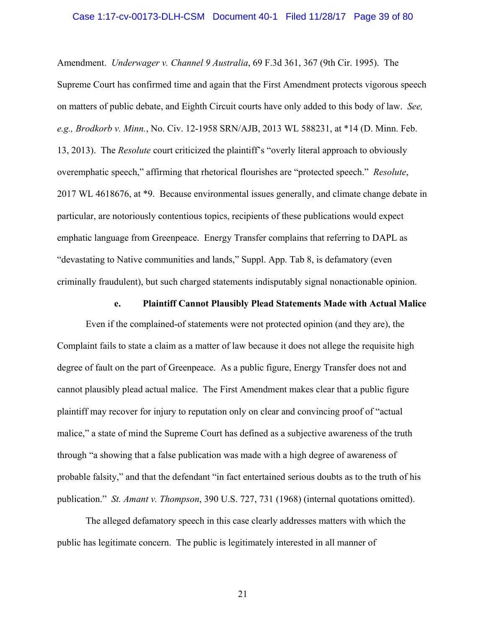### Case 1:17-cv-00173-DLH-CSM Document 40-1 Filed 11/28/17 Page 39 of 80

Amendment. *Underwager v. Channel 9 Australia*, 69 F.3d 361, 367 (9th Cir. 1995). The Supreme Court has confirmed time and again that the First Amendment protects vigorous speech on matters of public debate, and Eighth Circuit courts have only added to this body of law. *See, e.g., Brodkorb v. Minn.*, No. Civ. 12-1958 SRN/AJB, 2013 WL 588231, at \*14 (D. Minn. Feb. 13, 2013). The *Resolute* court criticized the plaintiff's "overly literal approach to obviously overemphatic speech," affirming that rhetorical flourishes are "protected speech." *Resolute*, 2017 WL 4618676, at \*9. Because environmental issues generally, and climate change debate in particular, are notoriously contentious topics, recipients of these publications would expect emphatic language from Greenpeace. Energy Transfer complains that referring to DAPL as "devastating to Native communities and lands," Suppl. App. Tab 8, is defamatory (even criminally fraudulent), but such charged statements indisputably signal nonactionable opinion.

### **e. Plaintiff Cannot Plausibly Plead Statements Made with Actual Malice**

Even if the complained-of statements were not protected opinion (and they are), the Complaint fails to state a claim as a matter of law because it does not allege the requisite high degree of fault on the part of Greenpeace. As a public figure, Energy Transfer does not and cannot plausibly plead actual malice. The First Amendment makes clear that a public figure plaintiff may recover for injury to reputation only on clear and convincing proof of "actual malice," a state of mind the Supreme Court has defined as a subjective awareness of the truth through "a showing that a false publication was made with a high degree of awareness of probable falsity," and that the defendant "in fact entertained serious doubts as to the truth of his publication." *St. Amant v. Thompson*, 390 U.S. 727, 731 (1968) (internal quotations omitted).

The alleged defamatory speech in this case clearly addresses matters with which the public has legitimate concern. The public is legitimately interested in all manner of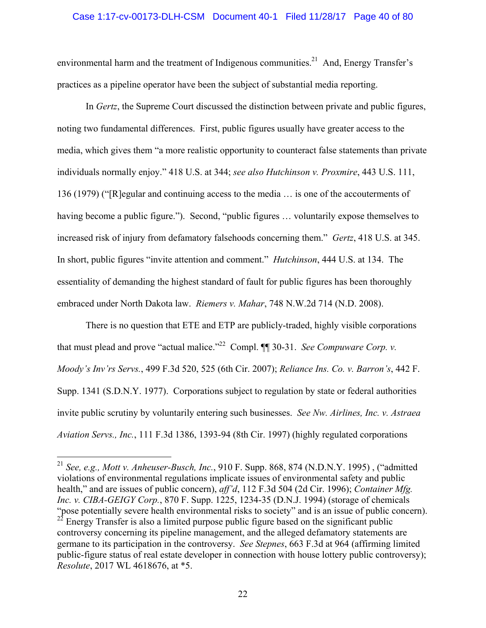## Case 1:17-cv-00173-DLH-CSM Document 40-1 Filed 11/28/17 Page 40 of 80

environmental harm and the treatment of Indigenous communities.<sup>21</sup> And, Energy Transfer's practices as a pipeline operator have been the subject of substantial media reporting.

In *Gertz*, the Supreme Court discussed the distinction between private and public figures, noting two fundamental differences. First, public figures usually have greater access to the media, which gives them "a more realistic opportunity to counteract false statements than private individuals normally enjoy." 418 U.S. at 344; *see also Hutchinson v. Proxmire*, 443 U.S. 111, 136 (1979) ("[R]egular and continuing access to the media … is one of the accouterments of having become a public figure."). Second, "public figures ... voluntarily expose themselves to increased risk of injury from defamatory falsehoods concerning them." *Gertz*, 418 U.S. at 345. In short, public figures "invite attention and comment." *Hutchinson*, 444 U.S. at 134. The essentiality of demanding the highest standard of fault for public figures has been thoroughly embraced under North Dakota law. *Riemers v. Mahar*, 748 N.W.2d 714 (N.D. 2008).

There is no question that ETE and ETP are publicly-traded, highly visible corporations that must plead and prove "actual malice."<sup>22</sup> Compl. ¶¶ 30-31. *See Compuware Corp. v. Moody's Inv'rs Servs.*, 499 F.3d 520, 525 (6th Cir. 2007); *Reliance Ins. Co. v. Barron's*, 442 F. Supp. 1341 (S.D.N.Y. 1977). Corporations subject to regulation by state or federal authorities invite public scrutiny by voluntarily entering such businesses. *See Nw. Airlines, Inc. v. Astraea Aviation Servs., Inc.*, 111 F.3d 1386, 1393-94 (8th Cir. 1997) (highly regulated corporations

<sup>21</sup> *See, e.g., Mott v. Anheuser-Busch, Inc.*, 910 F. Supp. 868, 874 (N.D.N.Y. 1995) , ("admitted violations of environmental regulations implicate issues of environmental safety and public health," and are issues of public concern), *aff'd*, 112 F.3d 504 (2d Cir. 1996); *Container Mfg. Inc. v. CIBA-GEIGY Corp.*, 870 F. Supp. 1225, 1234-35 (D.N.J. 1994) (storage of chemicals "pose potentially severe health environmental risks to society" and is an issue of public concern). 22 Energy Transfer is also a limited purpose public figure based on the significant public controversy concerning its pipeline management, and the alleged defamatory statements are germane to its participation in the controversy. *See Stepnes*, 663 F.3d at 964 (affirming limited public-figure status of real estate developer in connection with house lottery public controversy); *Resolute*, 2017 WL 4618676, at \*5.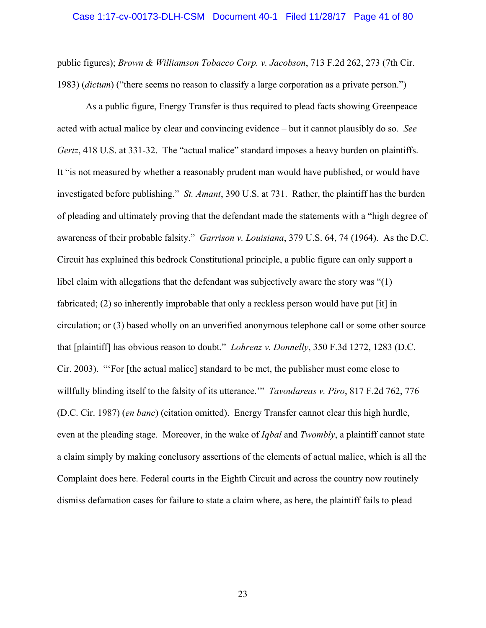#### Case 1:17-cv-00173-DLH-CSM Document 40-1 Filed 11/28/17 Page 41 of 80

public figures); *Brown & Williamson Tobacco Corp. v. Jacobson*, 713 F.2d 262, 273 (7th Cir. 1983) (*dictum*) ("there seems no reason to classify a large corporation as a private person.")

As a public figure, Energy Transfer is thus required to plead facts showing Greenpeace acted with actual malice by clear and convincing evidence – but it cannot plausibly do so. *See Gertz*, 418 U.S. at 331-32. The "actual malice" standard imposes a heavy burden on plaintiffs. It "is not measured by whether a reasonably prudent man would have published, or would have investigated before publishing." *St. Amant*, 390 U.S. at 731. Rather, the plaintiff has the burden of pleading and ultimately proving that the defendant made the statements with a "high degree of awareness of their probable falsity." *Garrison v. Louisiana*, 379 U.S. 64, 74 (1964). As the D.C. Circuit has explained this bedrock Constitutional principle, a public figure can only support a libel claim with allegations that the defendant was subjectively aware the story was "(1) fabricated; (2) so inherently improbable that only a reckless person would have put [it] in circulation; or (3) based wholly on an unverified anonymous telephone call or some other source that [plaintiff] has obvious reason to doubt." *Lohrenz v. Donnelly*, 350 F.3d 1272, 1283 (D.C. Cir. 2003). "'For [the actual malice] standard to be met, the publisher must come close to willfully blinding itself to the falsity of its utterance.'" *Tavoulareas v. Piro*, 817 F.2d 762, 776 (D.C. Cir. 1987) (*en banc*) (citation omitted). Energy Transfer cannot clear this high hurdle, even at the pleading stage. Moreover, in the wake of *Iqbal* and *Twombly*, a plaintiff cannot state a claim simply by making conclusory assertions of the elements of actual malice, which is all the Complaint does here. Federal courts in the Eighth Circuit and across the country now routinely dismiss defamation cases for failure to state a claim where, as here, the plaintiff fails to plead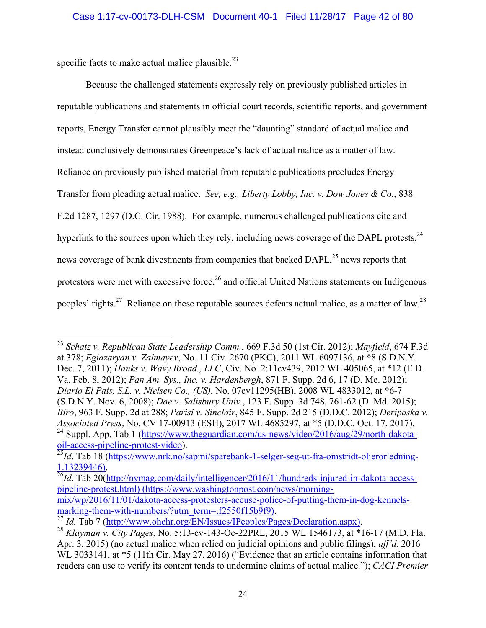specific facts to make actual malice plausible. $^{23}$ 

<u>.</u>

Because the challenged statements expressly rely on previously published articles in reputable publications and statements in official court records, scientific reports, and government reports, Energy Transfer cannot plausibly meet the "daunting" standard of actual malice and instead conclusively demonstrates Greenpeace's lack of actual malice as a matter of law. Reliance on previously published material from reputable publications precludes Energy Transfer from pleading actual malice. *See, e.g., Liberty Lobby, Inc. v. Dow Jones & Co.*, 838 F.2d 1287, 1297 (D.C. Cir. 1988). For example, numerous challenged publications cite and hyperlink to the sources upon which they rely, including news coverage of the DAPL protests,  $24$ news coverage of bank divestments from companies that backed  $DAPL<sup>25</sup>$  news reports that protestors were met with excessive force, $2<sup>6</sup>$  and official United Nations statements on Indigenous peoples' rights.<sup>27</sup> Reliance on these reputable sources defeats actual malice, as a matter of law.<sup>28</sup>

<sup>23</sup> *Schatz v. Republican State Leadership Comm.*, 669 F.3d 50 (1st Cir. 2012); *Mayfield*, 674 F.3d at 378; *Egiazaryan v. Zalmayev*, No. 11 Civ. 2670 (PKC), 2011 WL 6097136, at \*8 (S.D.N.Y. Dec. 7, 2011); *Hanks v. Wavy Broad., LLC*, Civ. No. 2:11cv439, 2012 WL 405065, at \*12 (E.D. Va. Feb. 8, 2012); *Pan Am. Sys., Inc. v. Hardenbergh*, 871 F. Supp. 2d 6, 17 (D. Me. 2012); *Diario El Pais, S.L. v. Nielsen Co., (US)*, No. 07cv11295(HB), 2008 WL 4833012, at \*6-7 (S.D.N.Y. Nov. 6, 2008); *Doe v. Salisbury Univ.*, 123 F. Supp. 3d 748, 761-62 (D. Md. 2015); *Biro*, 963 F. Supp. 2d at 288; *Parisi v. Sinclair*, 845 F. Supp. 2d 215 (D.D.C. 2012); *Deripaska v. Associated Press*, No. CV 17-00913 (ESH), 2017 WL 4685297, at \*5 (D.D.C. Oct. 17, 2017). <sup>24</sup> Suppl. App. Tab 1 (https://www.theguardian.com/us-news/video/2016/aug/29/north-dakotaoil-access-pipeline-protest-video).

<sup>&</sup>lt;sup>25</sup>*Id*. Tab 18 (https://www.nrk.no/sapmi/sparebank-1-selger-seg-ut-fra-omstridt-oljerorledning-1.13239446). 26*Id*. Tab 20(http://nymag.com/daily/intelligencer/2016/11/hundreds-injured-in-dakota-access-

pipeline-protest.html) (https://www.washingtonpost.com/news/morning-

mix/wp/2016/11/01/dakota-access-protesters-accuse-police-of-putting-them-in-dog-kennels-<br>marking-them-with-numbers/?utm\_term=.f2550f15b9f9).

 $\frac{27}{27}$  *Id.* Tab 7 (http://www.ohchr.org/EN/Issues/IPeoples/Pages/Declaration.aspx).<br><sup>28</sup> Klayman v. City Pages, No. 5:13-cv-143-Oc-22PRL, 2015 WL 1546173, at \*16-17 (M.D. Fla. Apr. 3, 2015) (no actual malice when relied on judicial opinions and public filings), *aff'd*, 2016 WL 3033141, at  $*5$  (11th Cir. May 27, 2016) ("Evidence that an article contains information that readers can use to verify its content tends to undermine claims of actual malice."); *CACI Premier*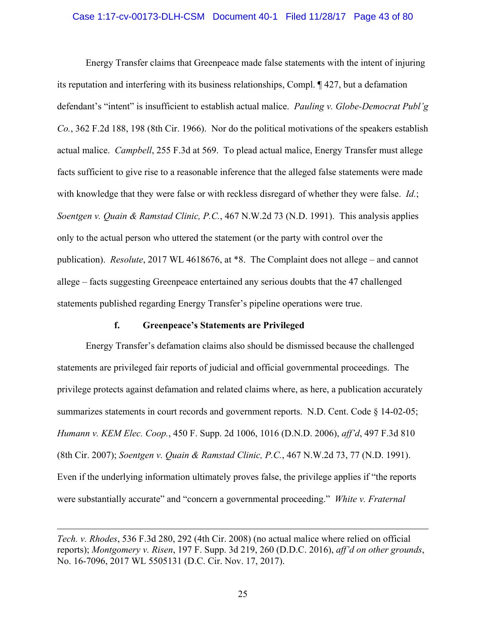## Case 1:17-cv-00173-DLH-CSM Document 40-1 Filed 11/28/17 Page 43 of 80

Energy Transfer claims that Greenpeace made false statements with the intent of injuring its reputation and interfering with its business relationships, Compl. ¶ 427, but a defamation defendant's "intent" is insufficient to establish actual malice. *Pauling v. Globe-Democrat Publ'g Co.*, 362 F.2d 188, 198 (8th Cir. 1966). Nor do the political motivations of the speakers establish actual malice. *Campbell*, 255 F.3d at 569. To plead actual malice, Energy Transfer must allege facts sufficient to give rise to a reasonable inference that the alleged false statements were made with knowledge that they were false or with reckless disregard of whether they were false. *Id.*; *Soentgen v. Quain & Ramstad Clinic, P.C.*, 467 N.W.2d 73 (N.D. 1991). This analysis applies only to the actual person who uttered the statement (or the party with control over the publication). *Resolute*, 2017 WL 4618676, at \*8. The Complaint does not allege – and cannot allege – facts suggesting Greenpeace entertained any serious doubts that the 47 challenged statements published regarding Energy Transfer's pipeline operations were true.

## **f. Greenpeace's Statements are Privileged**

Energy Transfer's defamation claims also should be dismissed because the challenged statements are privileged fair reports of judicial and official governmental proceedings. The privilege protects against defamation and related claims where, as here, a publication accurately summarizes statements in court records and government reports. N.D. Cent. Code § 14-02-05; *Humann v. KEM Elec. Coop.*, 450 F. Supp. 2d 1006, 1016 (D.N.D. 2006), *aff'd*, 497 F.3d 810 (8th Cir. 2007); *Soentgen v. Quain & Ramstad Clinic, P.C.*, 467 N.W.2d 73, 77 (N.D. 1991). Even if the underlying information ultimately proves false, the privilege applies if "the reports were substantially accurate" and "concern a governmental proceeding." *White v. Fraternal* 

*Tech. v. Rhodes*, 536 F.3d 280, 292 (4th Cir. 2008) (no actual malice where relied on official reports); *Montgomery v. Risen*, 197 F. Supp. 3d 219, 260 (D.D.C. 2016), *aff'd on other grounds*, No. 16-7096, 2017 WL 5505131 (D.C. Cir. Nov. 17, 2017).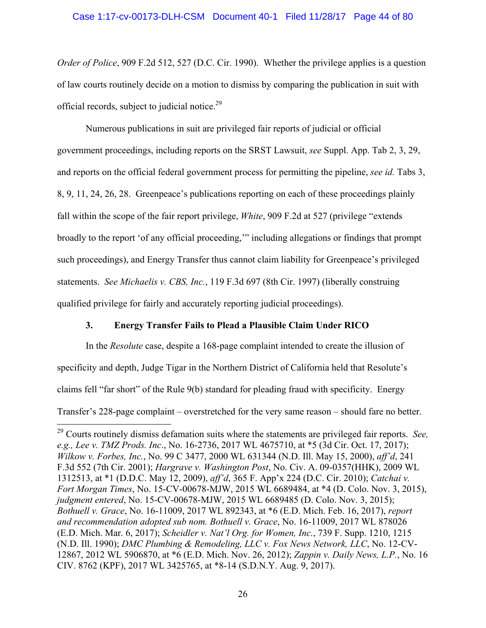# Case 1:17-cv-00173-DLH-CSM Document 40-1 Filed 11/28/17 Page 44 of 80

*Order of Police*, 909 F.2d 512, 527 (D.C. Cir. 1990). Whether the privilege applies is a question of law courts routinely decide on a motion to dismiss by comparing the publication in suit with official records, subject to judicial notice.<sup>29</sup>

Numerous publications in suit are privileged fair reports of judicial or official government proceedings, including reports on the SRST Lawsuit, *see* Suppl. App. Tab 2, 3, 29, and reports on the official federal government process for permitting the pipeline, *see id.* Tabs 3, 8, 9, 11, 24, 26, 28. Greenpeace's publications reporting on each of these proceedings plainly fall within the scope of the fair report privilege, *White*, 909 F.2d at 527 (privilege "extends broadly to the report 'of any official proceeding,'" including allegations or findings that prompt such proceedings), and Energy Transfer thus cannot claim liability for Greenpeace's privileged statements. *See Michaelis v. CBS, Inc.*, 119 F.3d 697 (8th Cir. 1997) (liberally construing qualified privilege for fairly and accurately reporting judicial proceedings).

# **3. Energy Transfer Fails to Plead a Plausible Claim Under RICO**

In the *Resolute* case, despite a 168-page complaint intended to create the illusion of specificity and depth, Judge Tigar in the Northern District of California held that Resolute's claims fell "far short" of the Rule 9(b) standard for pleading fraud with specificity. Energy Transfer's 228-page complaint – overstretched for the very same reason – should fare no better.

<sup>29</sup> Courts routinely dismiss defamation suits where the statements are privileged fair reports. *See, e.g., Lee v. TMZ Prods. Inc*., No. 16-2736, 2017 WL 4675710, at \*5 (3d Cir. Oct. 17, 2017); *Wilkow v. Forbes, Inc.*, No. 99 C 3477, 2000 WL 631344 (N.D. Ill. May 15, 2000), *aff'd*, 241 F.3d 552 (7th Cir. 2001); *Hargrave v. Washington Post*, No. Civ. A. 09-0357(HHK), 2009 WL 1312513, at \*1 (D.D.C. May 12, 2009), *aff'd*, 365 F. App'x 224 (D.C. Cir. 2010); *Catchai v. Fort Morgan Times*, No. 15-CV-00678-MJW, 2015 WL 6689484, at \*4 (D. Colo. Nov. 3, 2015), *judgment entered*, No. 15-CV-00678-MJW, 2015 WL 6689485 (D. Colo. Nov. 3, 2015); *Bothuell v. Grace*, No. 16-11009, 2017 WL 892343, at \*6 (E.D. Mich. Feb. 16, 2017), *report and recommendation adopted sub nom. Bothuell v. Grace*, No. 16-11009, 2017 WL 878026 (E.D. Mich. Mar. 6, 2017); *Scheidler v. Nat'l Org. for Women, Inc.*, 739 F. Supp. 1210, 1215 (N.D. Ill. 1990); *DMC Plumbing & Remodeling, LLC v. Fox News Network, LLC*, No. 12-CV-12867, 2012 WL 5906870, at \*6 (E.D. Mich. Nov. 26, 2012); *Zappin v. Daily News, L.P.*, No. 16 CIV. 8762 (KPF), 2017 WL 3425765, at \*8-14 (S.D.N.Y. Aug. 9, 2017).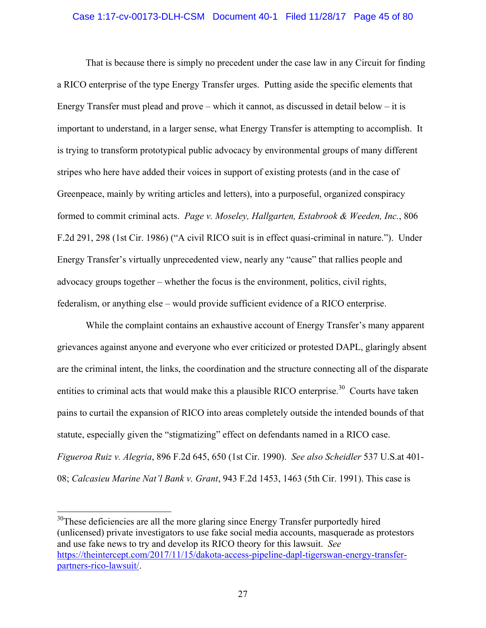## Case 1:17-cv-00173-DLH-CSM Document 40-1 Filed 11/28/17 Page 45 of 80

That is because there is simply no precedent under the case law in any Circuit for finding a RICO enterprise of the type Energy Transfer urges. Putting aside the specific elements that Energy Transfer must plead and prove – which it cannot, as discussed in detail below – it is important to understand, in a larger sense, what Energy Transfer is attempting to accomplish. It is trying to transform prototypical public advocacy by environmental groups of many different stripes who here have added their voices in support of existing protests (and in the case of Greenpeace, mainly by writing articles and letters), into a purposeful, organized conspiracy formed to commit criminal acts. *Page v. Moseley, Hallgarten, Estabrook & Weeden, Inc.*, 806 F.2d 291, 298 (1st Cir. 1986) ("A civil RICO suit is in effect quasi-criminal in nature."). Under Energy Transfer's virtually unprecedented view, nearly any "cause" that rallies people and advocacy groups together – whether the focus is the environment, politics, civil rights, federalism, or anything else – would provide sufficient evidence of a RICO enterprise.

While the complaint contains an exhaustive account of Energy Transfer's many apparent grievances against anyone and everyone who ever criticized or protested DAPL, glaringly absent are the criminal intent, the links, the coordination and the structure connecting all of the disparate entities to criminal acts that would make this a plausible RICO enterprise.<sup>30</sup> Courts have taken pains to curtail the expansion of RICO into areas completely outside the intended bounds of that statute, especially given the "stigmatizing" effect on defendants named in a RICO case. *Figueroa Ruiz v. Alegria*, 896 F.2d 645, 650 (1st Cir. 1990). *See also Scheidler* 537 U.S.at 401- 08; *Calcasieu Marine Nat'l Bank v. Grant*, 943 F.2d 1453, 1463 (5th Cir. 1991). This case is

 $30$ These deficiencies are all the more glaring since Energy Transfer purportedly hired (unlicensed) private investigators to use fake social media accounts, masquerade as protestors and use fake news to try and develop its RICO theory for this lawsuit. *See*  https://theintercept.com/2017/11/15/dakota-access-pipeline-dapl-tigerswan-energy-transferpartners-rico-lawsuit/.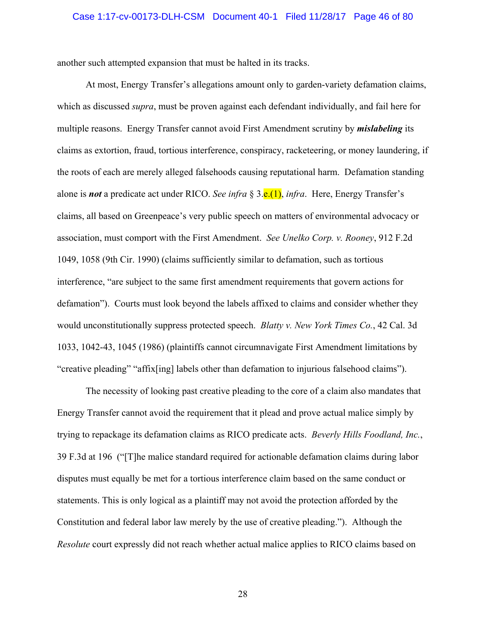#### Case 1:17-cv-00173-DLH-CSM Document 40-1 Filed 11/28/17 Page 46 of 80

another such attempted expansion that must be halted in its tracks.

At most, Energy Transfer's allegations amount only to garden-variety defamation claims, which as discussed *supra*, must be proven against each defendant individually, and fail here for multiple reasons. Energy Transfer cannot avoid First Amendment scrutiny by *mislabeling* its claims as extortion, fraud, tortious interference, conspiracy, racketeering, or money laundering, if the roots of each are merely alleged falsehoods causing reputational harm. Defamation standing alone is *not* a predicate act under RICO. *See infra* § 3.e.(1), *infra*. Here, Energy Transfer's claims, all based on Greenpeace's very public speech on matters of environmental advocacy or association, must comport with the First Amendment. *See Unelko Corp. v. Rooney*, 912 F.2d 1049, 1058 (9th Cir. 1990) (claims sufficiently similar to defamation, such as tortious interference, "are subject to the same first amendment requirements that govern actions for defamation"). Courts must look beyond the labels affixed to claims and consider whether they would unconstitutionally suppress protected speech. *Blatty v. New York Times Co.*, 42 Cal. 3d 1033, 1042-43, 1045 (1986) (plaintiffs cannot circumnavigate First Amendment limitations by "creative pleading" "affix[ing] labels other than defamation to injurious falsehood claims").

The necessity of looking past creative pleading to the core of a claim also mandates that Energy Transfer cannot avoid the requirement that it plead and prove actual malice simply by trying to repackage its defamation claims as RICO predicate acts. *Beverly Hills Foodland, Inc.*, 39 F.3d at 196 ("[T]he malice standard required for actionable defamation claims during labor disputes must equally be met for a tortious interference claim based on the same conduct or statements. This is only logical as a plaintiff may not avoid the protection afforded by the Constitution and federal labor law merely by the use of creative pleading."). Although the *Resolute* court expressly did not reach whether actual malice applies to RICO claims based on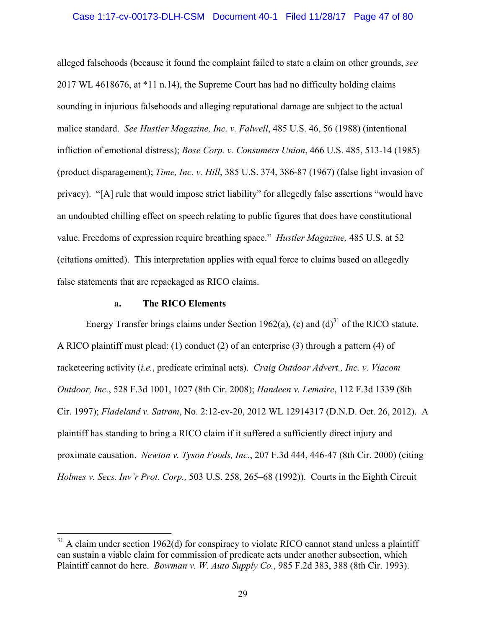## Case 1:17-cv-00173-DLH-CSM Document 40-1 Filed 11/28/17 Page 47 of 80

alleged falsehoods (because it found the complaint failed to state a claim on other grounds, *see*  2017 WL 4618676, at \*11 n.14), the Supreme Court has had no difficulty holding claims sounding in injurious falsehoods and alleging reputational damage are subject to the actual malice standard. *See Hustler Magazine, Inc. v. Falwell*, 485 U.S. 46, 56 (1988) (intentional infliction of emotional distress); *Bose Corp. v. Consumers Union*, 466 U.S. 485, 513-14 (1985) (product disparagement); *Time, Inc. v. Hill*, 385 U.S. 374, 386-87 (1967) (false light invasion of privacy). "[A] rule that would impose strict liability" for allegedly false assertions "would have an undoubted chilling effect on speech relating to public figures that does have constitutional value. Freedoms of expression require breathing space." *Hustler Magazine,* 485 U.S. at 52 (citations omitted). This interpretation applies with equal force to claims based on allegedly false statements that are repackaged as RICO claims.

### **a. The RICO Elements**

 $\overline{a}$ 

Energy Transfer brings claims under Section 1962(a), (c) and  $(d)^{31}$  of the RICO statute. A RICO plaintiff must plead: (1) conduct (2) of an enterprise (3) through a pattern (4) of racketeering activity (*i.e.*, predicate criminal acts). *Craig Outdoor Advert., Inc. v. Viacom Outdoor, Inc.*, 528 F.3d 1001, 1027 (8th Cir. 2008); *Handeen v. Lemaire*, 112 F.3d 1339 (8th Cir. 1997); *Fladeland v. Satrom*, No. 2:12-cv-20, 2012 WL 12914317 (D.N.D. Oct. 26, 2012). A plaintiff has standing to bring a RICO claim if it suffered a sufficiently direct injury and proximate causation. *Newton v. Tyson Foods, Inc.*, 207 F.3d 444, 446-47 (8th Cir. 2000) (citing *Holmes v. Secs. Inv'r Prot. Corp.,* 503 U.S. 258, 265–68 (1992)). Courts in the Eighth Circuit

 $31$  A claim under section 1962(d) for conspiracy to violate RICO cannot stand unless a plaintiff can sustain a viable claim for commission of predicate acts under another subsection, which Plaintiff cannot do here. *Bowman v. W. Auto Supply Co.*, 985 F.2d 383, 388 (8th Cir. 1993).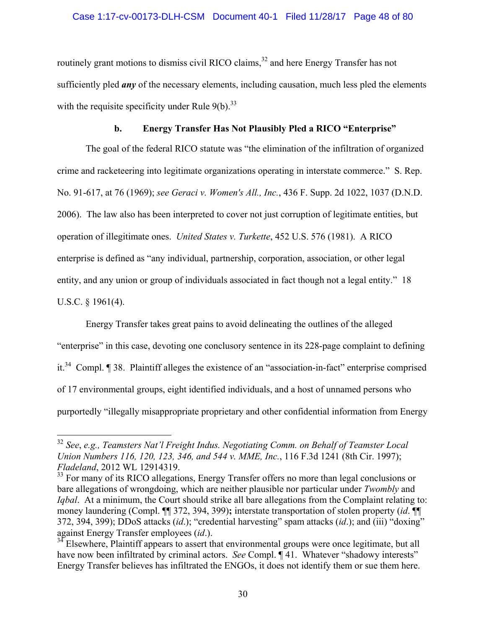# Case 1:17-cv-00173-DLH-CSM Document 40-1 Filed 11/28/17 Page 48 of 80

routinely grant motions to dismiss civil RICO claims,<sup>32</sup> and here Energy Transfer has not sufficiently pled *any* of the necessary elements, including causation, much less pled the elements with the requisite specificity under Rule  $9(b)$ .<sup>33</sup>

# **b. Energy Transfer Has Not Plausibly Pled a RICO "Enterprise"**

The goal of the federal RICO statute was "the elimination of the infiltration of organized crime and racketeering into legitimate organizations operating in interstate commerce." S. Rep. No. 91-617, at 76 (1969); *see Geraci v. Women's All., Inc.*, 436 F. Supp. 2d 1022, 1037 (D.N.D. 2006). The law also has been interpreted to cover not just corruption of legitimate entities, but operation of illegitimate ones. *United States v. Turkette*, 452 U.S. 576 (1981). A RICO enterprise is defined as "any individual, partnership, corporation, association, or other legal entity, and any union or group of individuals associated in fact though not a legal entity." 18 U.S.C. § 1961(4).

Energy Transfer takes great pains to avoid delineating the outlines of the alleged "enterprise" in this case, devoting one conclusory sentence in its 228-page complaint to defining it.34 Compl. ¶ 38. Plaintiff alleges the existence of an "association-in-fact" enterprise comprised of 17 environmental groups, eight identified individuals, and a host of unnamed persons who purportedly "illegally misappropriate proprietary and other confidential information from Energy

<sup>32</sup> *See*, *e.g., Teamsters Nat'l Freight Indus. Negotiating Comm. on Behalf of Teamster Local Union Numbers 116, 120, 123, 346, and 544 v. MME, Inc.*, 116 F.3d 1241 (8th Cir. 1997); *Fladeland*, 2012 WL 12914319.

<sup>&</sup>lt;sup>33</sup> For many of its RICO allegations, Energy Transfer offers no more than legal conclusions or bare allegations of wrongdoing, which are neither plausible nor particular under *Twombly* and *Iqbal*. At a minimum, the Court should strike all bare allegations from the Complaint relating to: money laundering (Compl. ¶¶ 372, 394, 399)**;** interstate transportation of stolen property (*id*. ¶¶ 372, 394, 399); DDoS attacks (*id*.); "credential harvesting" spam attacks (*id*.); and (iii) "doxing" against Energy Transfer employees (*id*.).

Elsewhere, Plaintiff appears to assert that environmental groups were once legitimate, but all have now been infiltrated by criminal actors. *See* Compl. **[41.** Whatever "shadowy interests" Energy Transfer believes has infiltrated the ENGOs, it does not identify them or sue them here.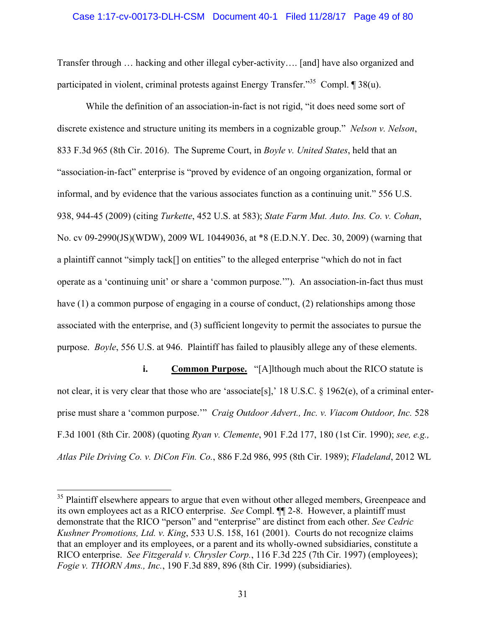### Case 1:17-cv-00173-DLH-CSM Document 40-1 Filed 11/28/17 Page 49 of 80

Transfer through … hacking and other illegal cyber-activity…. [and] have also organized and participated in violent, criminal protests against Energy Transfer.<sup>35</sup> Compl.  $\blacksquare$  38(u).

While the definition of an association-in-fact is not rigid, "it does need some sort of discrete existence and structure uniting its members in a cognizable group." *Nelson v. Nelson*, 833 F.3d 965 (8th Cir. 2016). The Supreme Court, in *Boyle v. United States*, held that an "association-in-fact" enterprise is "proved by evidence of an ongoing organization, formal or informal, and by evidence that the various associates function as a continuing unit." 556 U.S. 938, 944-45 (2009) (citing *Turkette*, 452 U.S. at 583); *State Farm Mut. Auto. Ins. Co. v. Cohan*, No. cv 09-2990(JS)(WDW), 2009 WL 10449036, at \*8 (E.D.N.Y. Dec. 30, 2009) (warning that a plaintiff cannot "simply tack[] on entities" to the alleged enterprise "which do not in fact operate as a 'continuing unit' or share a 'common purpose.'"). An association-in-fact thus must have (1) a common purpose of engaging in a course of conduct, (2) relationships among those associated with the enterprise, and (3) sufficient longevity to permit the associates to pursue the purpose. *Boyle*, 556 U.S. at 946. Plaintiff has failed to plausibly allege any of these elements.

**i. Common Purpose.** "[A]lthough much about the RICO statute is not clear, it is very clear that those who are 'associate[s],' 18 U.S.C.  $\S$  1962(e), of a criminal enterprise must share a 'common purpose.'" *Craig Outdoor Advert., Inc. v. Viacom Outdoor, Inc.* 528 F.3d 1001 (8th Cir. 2008) (quoting *Ryan v. Clemente*, 901 F.2d 177, 180 (1st Cir. 1990); *see, e.g., Atlas Pile Driving Co. v. DiCon Fin. Co.*, 886 F.2d 986, 995 (8th Cir. 1989); *Fladeland*, 2012 WL

<sup>&</sup>lt;sup>35</sup> Plaintiff elsewhere appears to argue that even without other alleged members, Greenpeace and its own employees act as a RICO enterprise. *See* Compl. ¶¶ 2-8. However, a plaintiff must demonstrate that the RICO "person" and "enterprise" are distinct from each other. *See Cedric Kushner Promotions, Ltd. v. King*, 533 U.S. 158, 161 (2001). Courts do not recognize claims that an employer and its employees, or a parent and its wholly-owned subsidiaries, constitute a RICO enterprise. *See Fitzgerald v. Chrysler Corp.*, 116 F.3d 225 (7th Cir. 1997) (employees); *Fogie v. THORN Ams., Inc.*, 190 F.3d 889, 896 (8th Cir. 1999) (subsidiaries).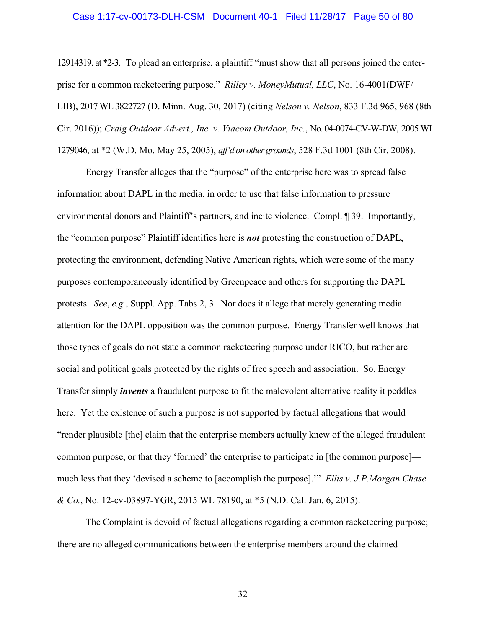#### Case 1:17-cv-00173-DLH-CSM Document 40-1 Filed 11/28/17 Page 50 of 80

12914319, at \*2-3. To plead an enterprise, a plaintiff "must show that all persons joined the enterprise for a common racketeering purpose." *Rilley v. MoneyMutual, LLC*, No. 16-4001(DWF/ LIB), 2017 WL 3822727 (D. Minn. Aug. 30, 2017) (citing *Nelson v. Nelson*, 833 F.3d 965, 968 (8th Cir. 2016)); *Craig Outdoor Advert., Inc. v. Viacom Outdoor, Inc.*, No. 04-0074-CV-W-DW, 2005 WL 1279046, at \*2 (W.D. Mo. May 25, 2005), *aff'd on other grounds*, 528 F.3d 1001 (8th Cir. 2008).

Energy Transfer alleges that the "purpose" of the enterprise here was to spread false information about DAPL in the media, in order to use that false information to pressure environmental donors and Plaintiff's partners, and incite violence. Compl. ¶ 39. Importantly, the "common purpose" Plaintiff identifies here is *not* protesting the construction of DAPL, protecting the environment, defending Native American rights, which were some of the many purposes contemporaneously identified by Greenpeace and others for supporting the DAPL protests. *See*, *e.g.*, Suppl. App. Tabs 2, 3.Nor does it allege that merely generating media attention for the DAPL opposition was the common purpose. Energy Transfer well knows that those types of goals do not state a common racketeering purpose under RICO, but rather are social and political goals protected by the rights of free speech and association. So, Energy Transfer simply *invents* a fraudulent purpose to fit the malevolent alternative reality it peddles here. Yet the existence of such a purpose is not supported by factual allegations that would "render plausible [the] claim that the enterprise members actually knew of the alleged fraudulent common purpose, or that they 'formed' the enterprise to participate in [the common purpose] much less that they 'devised a scheme to [accomplish the purpose].'" *Ellis v. J.P.Morgan Chase & Co.*, No. 12-cv-03897-YGR, 2015 WL 78190, at \*5 (N.D. Cal. Jan. 6, 2015).

The Complaint is devoid of factual allegations regarding a common racketeering purpose; there are no alleged communications between the enterprise members around the claimed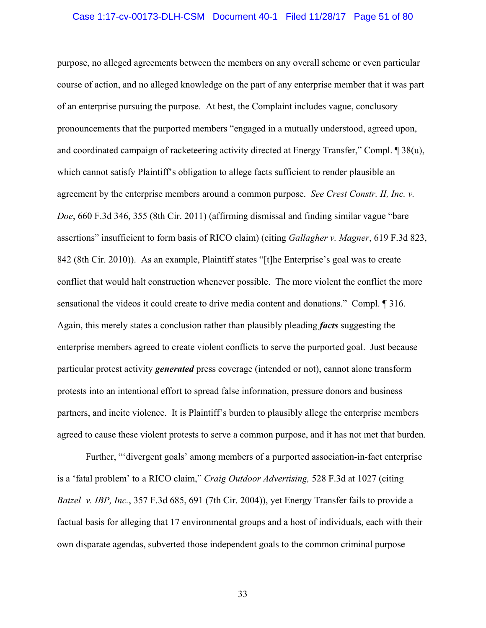#### Case 1:17-cv-00173-DLH-CSM Document 40-1 Filed 11/28/17 Page 51 of 80

purpose, no alleged agreements between the members on any overall scheme or even particular course of action, and no alleged knowledge on the part of any enterprise member that it was part of an enterprise pursuing the purpose. At best, the Complaint includes vague, conclusory pronouncements that the purported members "engaged in a mutually understood, agreed upon, and coordinated campaign of racketeering activity directed at Energy Transfer," Compl. ¶ 38(u), which cannot satisfy Plaintiff's obligation to allege facts sufficient to render plausible an agreement by the enterprise members around a common purpose. *See Crest Constr. II, Inc. v. Doe*, 660 F.3d 346, 355 (8th Cir. 2011) (affirming dismissal and finding similar vague "bare assertions" insufficient to form basis of RICO claim) (citing *Gallagher v. Magner*, 619 F.3d 823, 842 (8th Cir. 2010)). As an example, Plaintiff states "[t]he Enterprise's goal was to create conflict that would halt construction whenever possible. The more violent the conflict the more sensational the videos it could create to drive media content and donations." Compl. ¶ 316. Again, this merely states a conclusion rather than plausibly pleading *facts* suggesting the enterprise members agreed to create violent conflicts to serve the purported goal. Just because particular protest activity *generated* press coverage (intended or not), cannot alone transform protests into an intentional effort to spread false information, pressure donors and business partners, and incite violence. It is Plaintiff's burden to plausibly allege the enterprise members agreed to cause these violent protests to serve a common purpose, and it has not met that burden.

Further, "'divergent goals' among members of a purported association-in-fact enterprise is a 'fatal problem' to a RICO claim," *Craig Outdoor Advertising,* 528 F.3d at 1027 (citing *Batzel v. IBP, Inc.*, 357 F.3d 685, 691 (7th Cir. 2004)), yet Energy Transfer fails to provide a factual basis for alleging that 17 environmental groups and a host of individuals, each with their own disparate agendas, subverted those independent goals to the common criminal purpose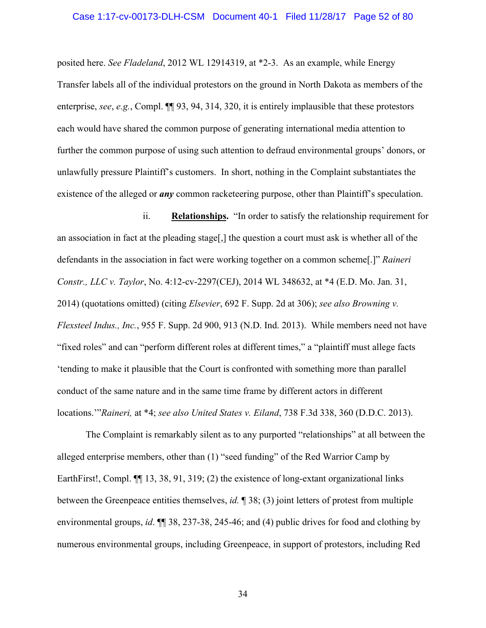#### Case 1:17-cv-00173-DLH-CSM Document 40-1 Filed 11/28/17 Page 52 of 80

posited here. *See Fladeland*, 2012 WL 12914319, at \*2-3. As an example, while Energy Transfer labels all of the individual protestors on the ground in North Dakota as members of the enterprise, *see*, *e.g.*, Compl. ¶¶ 93, 94, 314, 320, it is entirely implausible that these protestors each would have shared the common purpose of generating international media attention to further the common purpose of using such attention to defraud environmental groups' donors, or unlawfully pressure Plaintiff's customers. In short, nothing in the Complaint substantiates the existence of the alleged or *any* common racketeering purpose, other than Plaintiff's speculation.

ii. **Relationships.** "In order to satisfy the relationship requirement for an association in fact at the pleading stage[,] the question a court must ask is whether all of the defendants in the association in fact were working together on a common scheme[.]" *Raineri Constr., LLC v. Taylor*, No. 4:12-cv-2297(CEJ), 2014 WL 348632, at \*4 (E.D. Mo. Jan. 31, 2014) (quotations omitted) (citing *Elsevier*, 692 F. Supp. 2d at 306); *see also Browning v. Flexsteel Indus., Inc.*, 955 F. Supp. 2d 900, 913 (N.D. Ind. 2013). While members need not have "fixed roles" and can "perform different roles at different times," a "plaintiff must allege facts 'tending to make it plausible that the Court is confronted with something more than parallel conduct of the same nature and in the same time frame by different actors in different locations.'"*Raineri,* at \*4; *see also United States v. Eiland*, 738 F.3d 338, 360 (D.D.C. 2013).

The Complaint is remarkably silent as to any purported "relationships" at all between the alleged enterprise members, other than (1) "seed funding" of the Red Warrior Camp by EarthFirst!, Compl.  $\P$  13, 38, 91, 319; (2) the existence of long-extant organizational links between the Greenpeace entities themselves, *id.* ¶ 38; (3) joint letters of protest from multiple environmental groups, *id*. ¶¶ 38, 237-38, 245-46; and (4) public drives for food and clothing by numerous environmental groups, including Greenpeace, in support of protestors, including Red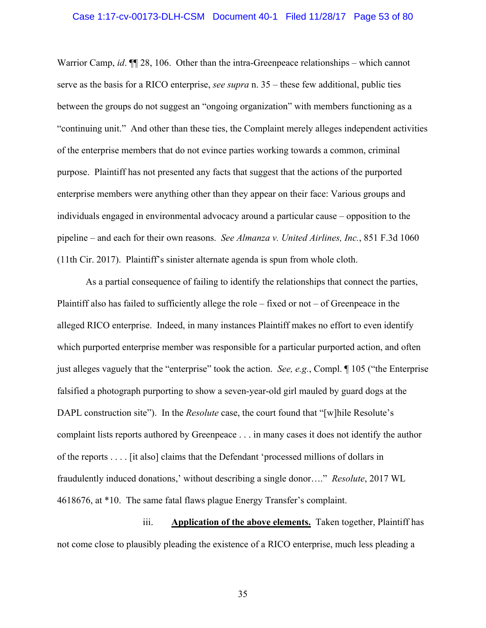#### Case 1:17-cv-00173-DLH-CSM Document 40-1 Filed 11/28/17 Page 53 of 80

Warrior Camp, *id*. ¶¶ 28, 106. Other than the intra-Greenpeace relationships – which cannot serve as the basis for a RICO enterprise, *see supra* n. 35 – these few additional, public ties between the groups do not suggest an "ongoing organization" with members functioning as a "continuing unit." And other than these ties, the Complaint merely alleges independent activities of the enterprise members that do not evince parties working towards a common, criminal purpose. Plaintiff has not presented any facts that suggest that the actions of the purported enterprise members were anything other than they appear on their face: Various groups and individuals engaged in environmental advocacy around a particular cause – opposition to the pipeline – and each for their own reasons. *See Almanza v. United Airlines, Inc.*, 851 F.3d 1060 (11th Cir. 2017). Plaintiff's sinister alternate agenda is spun from whole cloth.

As a partial consequence of failing to identify the relationships that connect the parties, Plaintiff also has failed to sufficiently allege the role – fixed or not – of Greenpeace in the alleged RICO enterprise. Indeed, in many instances Plaintiff makes no effort to even identify which purported enterprise member was responsible for a particular purported action, and often just alleges vaguely that the "enterprise" took the action. *See, e.g.*, Compl. ¶ 105 ("the Enterprise falsified a photograph purporting to show a seven-year-old girl mauled by guard dogs at the DAPL construction site"). In the *Resolute* case, the court found that "[w]hile Resolute's complaint lists reports authored by Greenpeace . . . in many cases it does not identify the author of the reports . . . . [it also] claims that the Defendant 'processed millions of dollars in fraudulently induced donations,' without describing a single donor…." *Resolute*, 2017 WL 4618676, at \*10. The same fatal flaws plague Energy Transfer's complaint.

iii. **Application of the above elements.** Taken together, Plaintiff has not come close to plausibly pleading the existence of a RICO enterprise, much less pleading a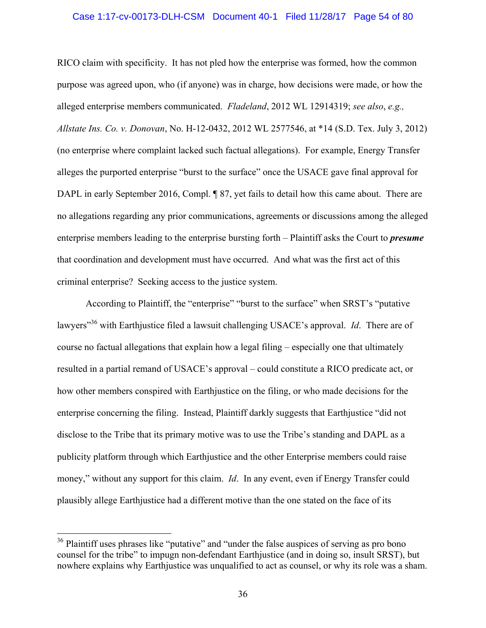#### Case 1:17-cv-00173-DLH-CSM Document 40-1 Filed 11/28/17 Page 54 of 80

RICO claim with specificity. It has not pled how the enterprise was formed, how the common purpose was agreed upon, who (if anyone) was in charge, how decisions were made, or how the alleged enterprise members communicated. *Fladeland*, 2012 WL 12914319; *see also*, *e.g., Allstate Ins. Co. v. Donovan*, No. H-12-0432, 2012 WL 2577546, at \*14 (S.D. Tex. July 3, 2012) (no enterprise where complaint lacked such factual allegations). For example, Energy Transfer alleges the purported enterprise "burst to the surface" once the USACE gave final approval for DAPL in early September 2016, Compl. ¶ 87, yet fails to detail how this came about. There are no allegations regarding any prior communications, agreements or discussions among the alleged enterprise members leading to the enterprise bursting forth – Plaintiff asks the Court to *presume* that coordination and development must have occurred. And what was the first act of this criminal enterprise? Seeking access to the justice system.

According to Plaintiff, the "enterprise" "burst to the surface" when SRST's "putative lawyers<sup>"36</sup> with Earthjustice filed a lawsuit challenging USACE's approval. *Id*. There are of course no factual allegations that explain how a legal filing – especially one that ultimately resulted in a partial remand of USACE's approval – could constitute a RICO predicate act, or how other members conspired with Earthjustice on the filing, or who made decisions for the enterprise concerning the filing. Instead, Plaintiff darkly suggests that Earthjustice "did not disclose to the Tribe that its primary motive was to use the Tribe's standing and DAPL as a publicity platform through which Earthjustice and the other Enterprise members could raise money," without any support for this claim. *Id*. In any event, even if Energy Transfer could plausibly allege Earthjustice had a different motive than the one stated on the face of its

<sup>&</sup>lt;sup>36</sup> Plaintiff uses phrases like "putative" and "under the false auspices of serving as pro bono counsel for the tribe" to impugn non-defendant Earthjustice (and in doing so, insult SRST), but nowhere explains why Earthjustice was unqualified to act as counsel, or why its role was a sham.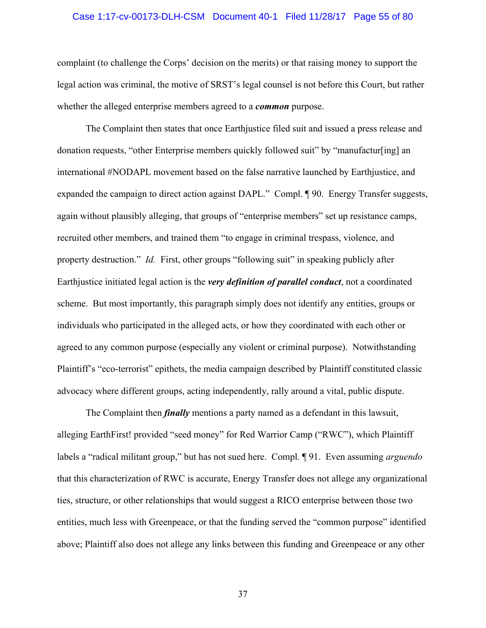#### Case 1:17-cv-00173-DLH-CSM Document 40-1 Filed 11/28/17 Page 55 of 80

complaint (to challenge the Corps' decision on the merits) or that raising money to support the legal action was criminal, the motive of SRST's legal counsel is not before this Court, but rather whether the alleged enterprise members agreed to a *common* purpose.

The Complaint then states that once Earthjustice filed suit and issued a press release and donation requests, "other Enterprise members quickly followed suit" by "manufactur[ing] an international #NODAPL movement based on the false narrative launched by Earthjustice, and expanded the campaign to direct action against DAPL." Compl. ¶ 90. Energy Transfer suggests, again without plausibly alleging, that groups of "enterprise members" set up resistance camps, recruited other members, and trained them "to engage in criminal trespass, violence, and property destruction." *Id.* First, other groups "following suit" in speaking publicly after Earthjustice initiated legal action is the *very definition of parallel conduct*, not a coordinated scheme. But most importantly, this paragraph simply does not identify any entities, groups or individuals who participated in the alleged acts, or how they coordinated with each other or agreed to any common purpose (especially any violent or criminal purpose). Notwithstanding Plaintiff's "eco-terrorist" epithets, the media campaign described by Plaintiff constituted classic advocacy where different groups, acting independently, rally around a vital, public dispute.

The Complaint then *finally* mentions a party named as a defendant in this lawsuit, alleging EarthFirst! provided "seed money" for Red Warrior Camp ("RWC"), which Plaintiff labels a "radical militant group," but has not sued here. Compl. ¶ 91. Even assuming *arguendo* that this characterization of RWC is accurate, Energy Transfer does not allege any organizational ties, structure, or other relationships that would suggest a RICO enterprise between those two entities, much less with Greenpeace, or that the funding served the "common purpose" identified above; Plaintiff also does not allege any links between this funding and Greenpeace or any other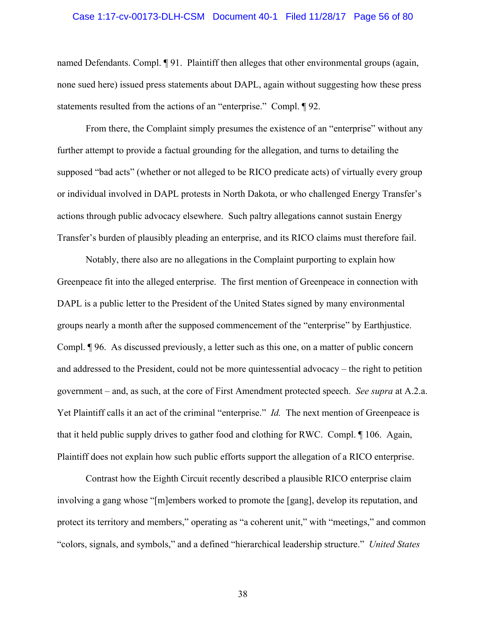#### Case 1:17-cv-00173-DLH-CSM Document 40-1 Filed 11/28/17 Page 56 of 80

named Defendants. Compl. ¶ 91. Plaintiff then alleges that other environmental groups (again, none sued here) issued press statements about DAPL, again without suggesting how these press statements resulted from the actions of an "enterprise." Compl. ¶ 92.

From there, the Complaint simply presumes the existence of an "enterprise" without any further attempt to provide a factual grounding for the allegation, and turns to detailing the supposed "bad acts" (whether or not alleged to be RICO predicate acts) of virtually every group or individual involved in DAPL protests in North Dakota, or who challenged Energy Transfer's actions through public advocacy elsewhere. Such paltry allegations cannot sustain Energy Transfer's burden of plausibly pleading an enterprise, and its RICO claims must therefore fail.

Notably, there also are no allegations in the Complaint purporting to explain how Greenpeace fit into the alleged enterprise. The first mention of Greenpeace in connection with DAPL is a public letter to the President of the United States signed by many environmental groups nearly a month after the supposed commencement of the "enterprise" by Earthjustice. Compl. ¶ 96. As discussed previously, a letter such as this one, on a matter of public concern and addressed to the President, could not be more quintessential advocacy – the right to petition government – and, as such, at the core of First Amendment protected speech. *See supra* at A.2.a. Yet Plaintiff calls it an act of the criminal "enterprise." *Id.* The next mention of Greenpeace is that it held public supply drives to gather food and clothing for RWC. Compl. ¶ 106. Again, Plaintiff does not explain how such public efforts support the allegation of a RICO enterprise.

Contrast how the Eighth Circuit recently described a plausible RICO enterprise claim involving a gang whose "[m]embers worked to promote the [gang], develop its reputation, and protect its territory and members," operating as "a coherent unit," with "meetings," and common "colors, signals, and symbols," and a defined "hierarchical leadership structure." *United States*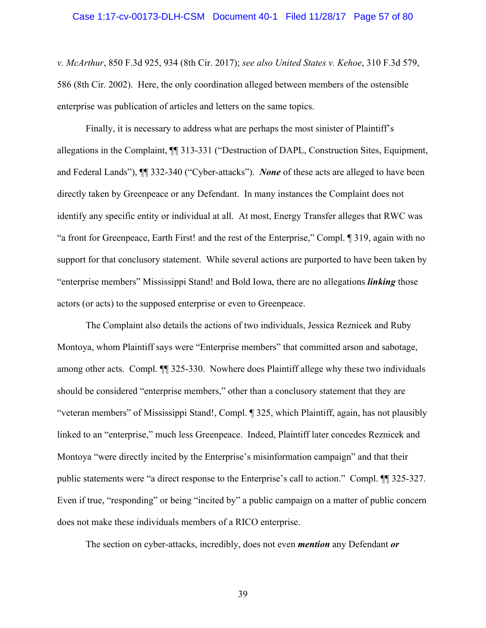### Case 1:17-cv-00173-DLH-CSM Document 40-1 Filed 11/28/17 Page 57 of 80

*v. McArthur*, 850 F.3d 925, 934 (8th Cir. 2017); *see also United States v. Kehoe*, 310 F.3d 579, 586 (8th Cir. 2002). Here, the only coordination alleged between members of the ostensible enterprise was publication of articles and letters on the same topics.

Finally, it is necessary to address what are perhaps the most sinister of Plaintiff's allegations in the Complaint, ¶¶ 313-331 ("Destruction of DAPL, Construction Sites, Equipment, and Federal Lands"), ¶¶ 332-340 ("Cyber-attacks"). *None* of these acts are alleged to have been directly taken by Greenpeace or any Defendant. In many instances the Complaint does not identify any specific entity or individual at all. At most, Energy Transfer alleges that RWC was "a front for Greenpeace, Earth First! and the rest of the Enterprise," Compl. ¶ 319, again with no support for that conclusory statement. While several actions are purported to have been taken by "enterprise members" Mississippi Stand! and Bold Iowa, there are no allegations *linking* those actors (or acts) to the supposed enterprise or even to Greenpeace.

The Complaint also details the actions of two individuals, Jessica Reznicek and Ruby Montoya, whom Plaintiff says were "Enterprise members" that committed arson and sabotage, among other acts. Compl. ¶¶ 325-330. Nowhere does Plaintiff allege why these two individuals should be considered "enterprise members," other than a conclusory statement that they are "veteran members" of Mississippi Stand!, Compl. ¶ 325, which Plaintiff, again, has not plausibly linked to an "enterprise," much less Greenpeace. Indeed, Plaintiff later concedes Reznicek and Montoya "were directly incited by the Enterprise's misinformation campaign" and that their public statements were "a direct response to the Enterprise's call to action." Compl. ¶¶ 325-327. Even if true, "responding" or being "incited by" a public campaign on a matter of public concern does not make these individuals members of a RICO enterprise.

The section on cyber-attacks, incredibly, does not even *mention* any Defendant *or*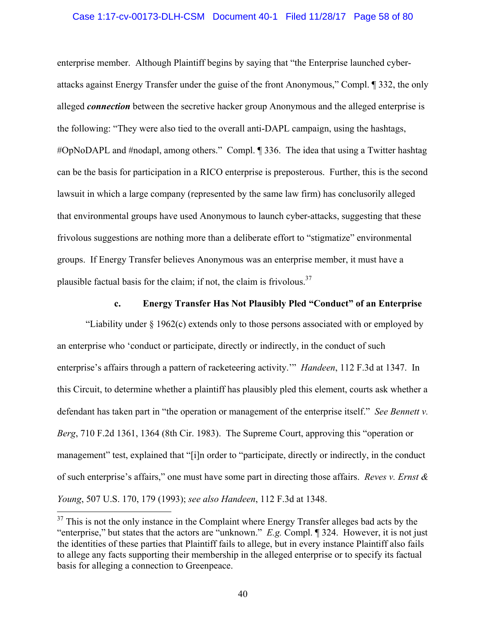### Case 1:17-cv-00173-DLH-CSM Document 40-1 Filed 11/28/17 Page 58 of 80

enterprise member. Although Plaintiff begins by saying that "the Enterprise launched cyberattacks against Energy Transfer under the guise of the front Anonymous," Compl. ¶ 332, the only alleged *connection* between the secretive hacker group Anonymous and the alleged enterprise is the following: "They were also tied to the overall anti-DAPL campaign, using the hashtags, #OpNoDAPL and #nodapl, among others." Compl. ¶ 336. The idea that using a Twitter hashtag can be the basis for participation in a RICO enterprise is preposterous. Further, this is the second lawsuit in which a large company (represented by the same law firm) has conclusorily alleged that environmental groups have used Anonymous to launch cyber-attacks, suggesting that these frivolous suggestions are nothing more than a deliberate effort to "stigmatize" environmental groups. If Energy Transfer believes Anonymous was an enterprise member, it must have a plausible factual basis for the claim; if not, the claim is frivolous. $37$ 

## **c. Energy Transfer Has Not Plausibly Pled "Conduct" of an Enterprise**

"Liability under § 1962(c) extends only to those persons associated with or employed by an enterprise who 'conduct or participate, directly or indirectly, in the conduct of such enterprise's affairs through a pattern of racketeering activity.'" *Handeen*, 112 F.3d at 1347. In this Circuit, to determine whether a plaintiff has plausibly pled this element, courts ask whether a defendant has taken part in "the operation or management of the enterprise itself." *See Bennett v. Berg*, 710 F.2d 1361, 1364 (8th Cir. 1983). The Supreme Court, approving this "operation or management" test, explained that "[i]n order to "participate, directly or indirectly, in the conduct of such enterprise's affairs," one must have some part in directing those affairs. *Reves v. Ernst & Young*, 507 U.S. 170, 179 (1993); *see also Handeen*, 112 F.3d at 1348.

 $37$  This is not the only instance in the Complaint where Energy Transfer alleges bad acts by the "enterprise," but states that the actors are "unknown." *E.g.* Compl. ¶ 324. However, it is not just the identities of these parties that Plaintiff fails to allege, but in every instance Plaintiff also fails to allege any facts supporting their membership in the alleged enterprise or to specify its factual basis for alleging a connection to Greenpeace.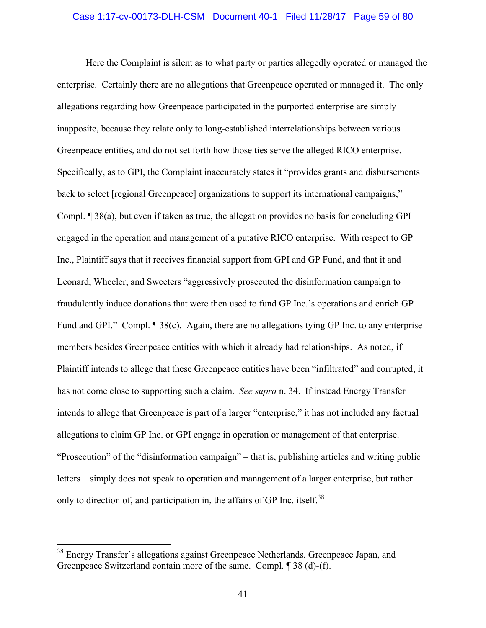#### Case 1:17-cv-00173-DLH-CSM Document 40-1 Filed 11/28/17 Page 59 of 80

Here the Complaint is silent as to what party or parties allegedly operated or managed the enterprise. Certainly there are no allegations that Greenpeace operated or managed it. The only allegations regarding how Greenpeace participated in the purported enterprise are simply inapposite, because they relate only to long-established interrelationships between various Greenpeace entities, and do not set forth how those ties serve the alleged RICO enterprise. Specifically, as to GPI, the Complaint inaccurately states it "provides grants and disbursements back to select [regional Greenpeace] organizations to support its international campaigns," Compl. ¶ 38(a), but even if taken as true, the allegation provides no basis for concluding GPI engaged in the operation and management of a putative RICO enterprise. With respect to GP Inc., Plaintiff says that it receives financial support from GPI and GP Fund, and that it and Leonard, Wheeler, and Sweeters "aggressively prosecuted the disinformation campaign to fraudulently induce donations that were then used to fund GP Inc.'s operations and enrich GP Fund and GPI." Compl. ¶ 38(c). Again, there are no allegations tying GP Inc. to any enterprise members besides Greenpeace entities with which it already had relationships. As noted, if Plaintiff intends to allege that these Greenpeace entities have been "infiltrated" and corrupted, it has not come close to supporting such a claim. *See supra* n. 34. If instead Energy Transfer intends to allege that Greenpeace is part of a larger "enterprise," it has not included any factual allegations to claim GP Inc. or GPI engage in operation or management of that enterprise. "Prosecution" of the "disinformation campaign" – that is, publishing articles and writing public letters – simply does not speak to operation and management of a larger enterprise, but rather only to direction of, and participation in, the affairs of GP Inc. itself.<sup>38</sup>

<sup>&</sup>lt;sup>38</sup> Energy Transfer's allegations against Greenpeace Netherlands, Greenpeace Japan, and Greenpeace Switzerland contain more of the same. Compl. ¶ 38 (d)-(f).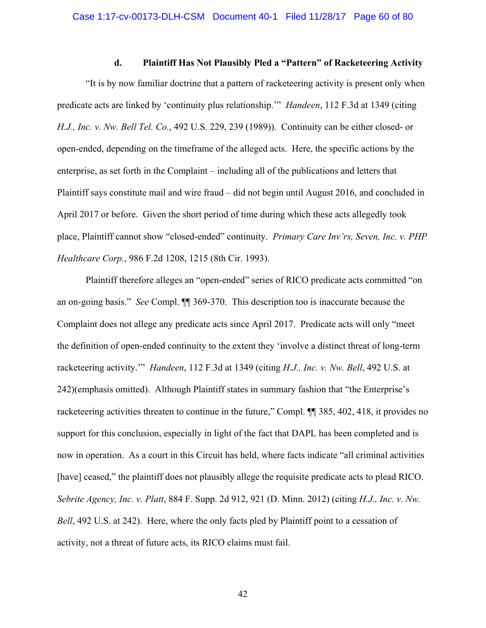## **d. Plaintiff Has Not Plausibly Pled a "Pattern" of Racketeering Activity**

"It is by now familiar doctrine that a pattern of racketeering activity is present only when predicate acts are linked by 'continuity plus relationship.'" *Handeen*, 112 F.3d at 1349 (citing *H.J., Inc. v. Nw. Bell Tel. Co.*, 492 U.S. 229, 239 (1989)). Continuity can be either closed- or open-ended, depending on the timeframe of the alleged acts. Here, the specific actions by the enterprise, as set forth in the Complaint – including all of the publications and letters that Plaintiff says constitute mail and wire fraud – did not begin until August 2016, and concluded in April 2017 or before. Given the short period of time during which these acts allegedly took place, Plaintiff cannot show "closed-ended" continuity. *Primary Care Inv'rs, Seven, Inc. v. PHP Healthcare Corp.*, 986 F.2d 1208, 1215 (8th Cir. 1993).

Plaintiff therefore alleges an "open-ended" series of RICO predicate acts committed "on an on-going basis." *See* Compl. ¶¶ 369-370. This description too is inaccurate because the Complaint does not allege any predicate acts since April 2017. Predicate acts will only "meet the definition of open-ended continuity to the extent they 'involve a distinct threat of long-term racketeering activity.'" *Handeen*, 112 F.3d at 1349 (citing *H.J., Inc. v. Nw. Bell*, 492 U.S. at 242)(emphasis omitted). Although Plaintiff states in summary fashion that "the Enterprise's racketeering activities threaten to continue in the future," Compl. ¶¶ 385, 402, 418, it provides no support for this conclusion, especially in light of the fact that DAPL has been completed and is now in operation. As a court in this Circuit has held, where facts indicate "all criminal activities [have] ceased," the plaintiff does not plausibly allege the requisite predicate acts to plead RICO. *Sebrite Agency, Inc. v. Platt*, 884 F. Supp. 2d 912, 921 (D. Minn. 2012) (citing *H.J., Inc. v. Nw. Bell*, 492 U.S. at 242). Here, where the only facts pled by Plaintiff point to a cessation of activity, not a threat of future acts, its RICO claims must fail.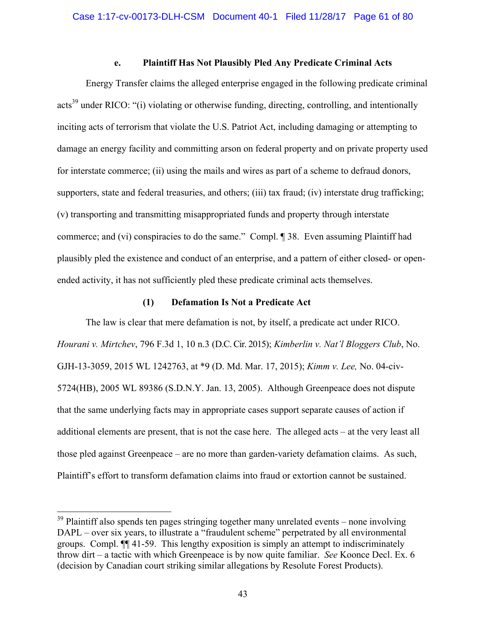# **e. Plaintiff Has Not Plausibly Pled Any Predicate Criminal Acts**

Energy Transfer claims the alleged enterprise engaged in the following predicate criminal acts<sup>39</sup> under RICO: "(i) violating or otherwise funding, directing, controlling, and intentionally inciting acts of terrorism that violate the U.S. Patriot Act, including damaging or attempting to damage an energy facility and committing arson on federal property and on private property used for interstate commerce; (ii) using the mails and wires as part of a scheme to defraud donors, supporters, state and federal treasuries, and others; (iii) tax fraud; (iv) interstate drug trafficking; (v) transporting and transmitting misappropriated funds and property through interstate commerce; and (vi) conspiracies to do the same." Compl. ¶ 38. Even assuming Plaintiff had plausibly pled the existence and conduct of an enterprise, and a pattern of either closed- or openended activity, it has not sufficiently pled these predicate criminal acts themselves.

## **(1) Defamation Is Not a Predicate Act**

The law is clear that mere defamation is not, by itself, a predicate act under RICO. *Hourani v. Mirtchev*, 796 F.3d 1, 10 n.3 (D.C. Cir. 2015); *Kimberlin v. Nat'l Bloggers Club*, No. GJH-13-3059, 2015 WL 1242763, at \*9 (D. Md. Mar. 17, 2015); *Kimm v. Lee,* No. 04-civ-5724(HB), 2005 WL 89386 (S.D.N.Y. Jan. 13, 2005). Although Greenpeace does not dispute that the same underlying facts may in appropriate cases support separate causes of action if additional elements are present, that is not the case here. The alleged acts – at the very least all those pled against Greenpeace – are no more than garden-variety defamation claims. As such, Plaintiff's effort to transform defamation claims into fraud or extortion cannot be sustained.

 $39$  Plaintiff also spends ten pages stringing together many unrelated events – none involving DAPL – over six years, to illustrate a "fraudulent scheme" perpetrated by all environmental groups. Compl. ¶¶ 41-59. This lengthy exposition is simply an attempt to indiscriminately throw dirt – a tactic with which Greenpeace is by now quite familiar. *See* Koonce Decl. Ex. 6 (decision by Canadian court striking similar allegations by Resolute Forest Products).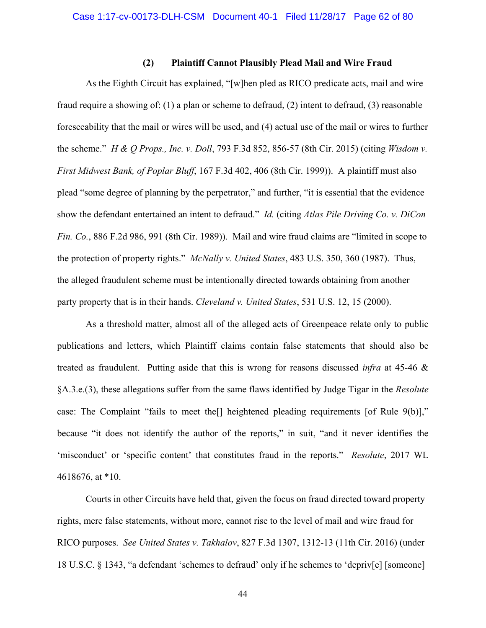## **(2) Plaintiff Cannot Plausibly Plead Mail and Wire Fraud**

As the Eighth Circuit has explained, "[w]hen pled as RICO predicate acts, mail and wire fraud require a showing of: (1) a plan or scheme to defraud, (2) intent to defraud, (3) reasonable foreseeability that the mail or wires will be used, and (4) actual use of the mail or wires to further the scheme." *H & Q Props., Inc. v. Doll*, 793 F.3d 852, 856-57 (8th Cir. 2015) (citing *Wisdom v. First Midwest Bank, of Poplar Bluff*, 167 F.3d 402, 406 (8th Cir. 1999)). A plaintiff must also plead "some degree of planning by the perpetrator," and further, "it is essential that the evidence show the defendant entertained an intent to defraud." *Id.* (citing *Atlas Pile Driving Co. v. DiCon Fin. Co.*, 886 F.2d 986, 991 (8th Cir. 1989)). Mail and wire fraud claims are "limited in scope to the protection of property rights." *McNally v. United States*, 483 U.S. 350, 360 (1987). Thus, the alleged fraudulent scheme must be intentionally directed towards obtaining from another party property that is in their hands. *Cleveland v. United States*, 531 U.S. 12, 15 (2000).

As a threshold matter, almost all of the alleged acts of Greenpeace relate only to public publications and letters, which Plaintiff claims contain false statements that should also be treated as fraudulent. Putting aside that this is wrong for reasons discussed *infra* at 45-46 & §A.3.e.(3), these allegations suffer from the same flaws identified by Judge Tigar in the *Resolute* case: The Complaint "fails to meet the[] heightened pleading requirements [of Rule 9(b)]," because "it does not identify the author of the reports," in suit, "and it never identifies the 'misconduct' or 'specific content' that constitutes fraud in the reports." *Resolute*, 2017 WL 4618676, at \*10.

Courts in other Circuits have held that, given the focus on fraud directed toward property rights, mere false statements, without more, cannot rise to the level of mail and wire fraud for RICO purposes. *See United States v. Takhalov*, 827 F.3d 1307, 1312-13 (11th Cir. 2016) (under 18 U.S.C. § 1343, "a defendant 'schemes to defraud' only if he schemes to 'depriv[e] [someone]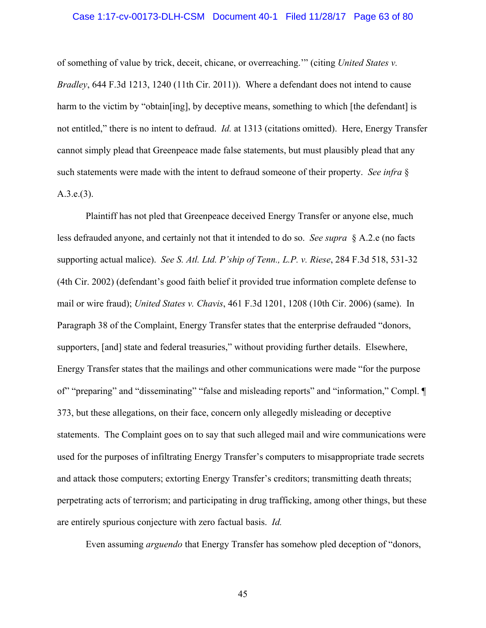#### Case 1:17-cv-00173-DLH-CSM Document 40-1 Filed 11/28/17 Page 63 of 80

of something of value by trick, deceit, chicane, or overreaching.'" (citing *United States v. Bradley*, 644 F.3d 1213, 1240 (11th Cir. 2011)). Where a defendant does not intend to cause harm to the victim by "obtain [ing], by deceptive means, something to which [the defendant] is not entitled," there is no intent to defraud. *Id.* at 1313 (citations omitted). Here, Energy Transfer cannot simply plead that Greenpeace made false statements, but must plausibly plead that any such statements were made with the intent to defraud someone of their property. *See infra* § A.3.e.(3).

Plaintiff has not pled that Greenpeace deceived Energy Transfer or anyone else, much less defrauded anyone, and certainly not that it intended to do so. *See supra* § A.2.e (no facts supporting actual malice). *See S. Atl. Ltd. P'ship of Tenn., L.P. v. Riese*, 284 F.3d 518, 531-32 (4th Cir. 2002) (defendant's good faith belief it provided true information complete defense to mail or wire fraud); *United States v. Chavis*, 461 F.3d 1201, 1208 (10th Cir. 2006) (same). In Paragraph 38 of the Complaint, Energy Transfer states that the enterprise defrauded "donors, supporters, [and] state and federal treasuries," without providing further details. Elsewhere, Energy Transfer states that the mailings and other communications were made "for the purpose of" "preparing" and "disseminating" "false and misleading reports" and "information," Compl. ¶ 373, but these allegations, on their face, concern only allegedly misleading or deceptive statements. The Complaint goes on to say that such alleged mail and wire communications were used for the purposes of infiltrating Energy Transfer's computers to misappropriate trade secrets and attack those computers; extorting Energy Transfer's creditors; transmitting death threats; perpetrating acts of terrorism; and participating in drug trafficking, among other things, but these are entirely spurious conjecture with zero factual basis. *Id.* 

Even assuming *arguendo* that Energy Transfer has somehow pled deception of "donors,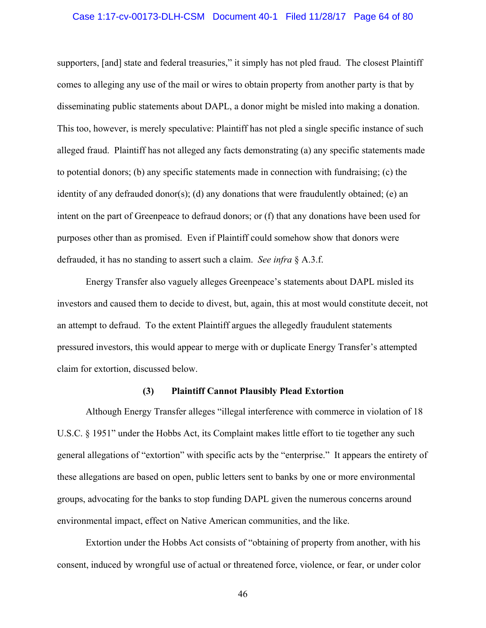### Case 1:17-cv-00173-DLH-CSM Document 40-1 Filed 11/28/17 Page 64 of 80

supporters, [and] state and federal treasuries," it simply has not pled fraud. The closest Plaintiff comes to alleging any use of the mail or wires to obtain property from another party is that by disseminating public statements about DAPL, a donor might be misled into making a donation. This too, however, is merely speculative: Plaintiff has not pled a single specific instance of such alleged fraud. Plaintiff has not alleged any facts demonstrating (a) any specific statements made to potential donors; (b) any specific statements made in connection with fundraising; (c) the identity of any defrauded donor(s); (d) any donations that were fraudulently obtained; (e) an intent on the part of Greenpeace to defraud donors; or (f) that any donations have been used for purposes other than as promised. Even if Plaintiff could somehow show that donors were defrauded, it has no standing to assert such a claim. *See infra* § A.3.f.

Energy Transfer also vaguely alleges Greenpeace's statements about DAPL misled its investors and caused them to decide to divest, but, again, this at most would constitute deceit, not an attempt to defraud. To the extent Plaintiff argues the allegedly fraudulent statements pressured investors, this would appear to merge with or duplicate Energy Transfer's attempted claim for extortion, discussed below.

## **(3) Plaintiff Cannot Plausibly Plead Extortion**

Although Energy Transfer alleges "illegal interference with commerce in violation of 18 U.S.C. § 1951" under the Hobbs Act, its Complaint makes little effort to tie together any such general allegations of "extortion" with specific acts by the "enterprise." It appears the entirety of these allegations are based on open, public letters sent to banks by one or more environmental groups, advocating for the banks to stop funding DAPL given the numerous concerns around environmental impact, effect on Native American communities, and the like.

Extortion under the Hobbs Act consists of "obtaining of property from another, with his consent, induced by wrongful use of actual or threatened force, violence, or fear, or under color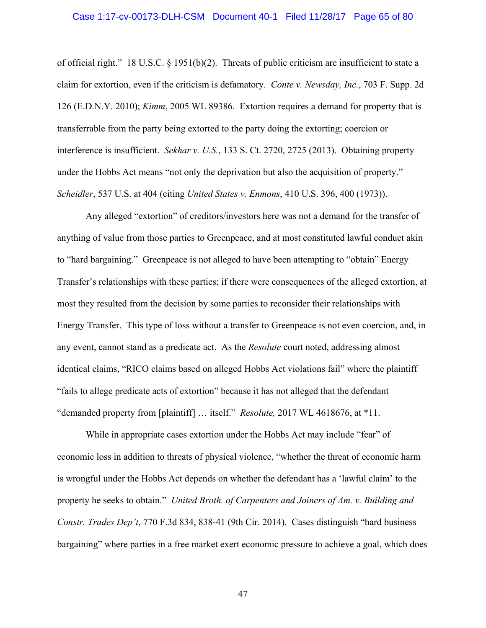### Case 1:17-cv-00173-DLH-CSM Document 40-1 Filed 11/28/17 Page 65 of 80

of official right." 18 U.S.C. § 1951(b)(2). Threats of public criticism are insufficient to state a claim for extortion, even if the criticism is defamatory. *Conte v. Newsday, Inc.*, 703 F. Supp. 2d 126 (E.D.N.Y. 2010); *Kimm*, 2005 WL 89386. Extortion requires a demand for property that is transferrable from the party being extorted to the party doing the extorting; coercion or interference is insufficient. *Sekhar v. U.S.*, 133 S. Ct. 2720, 2725 (2013). Obtaining property under the Hobbs Act means "not only the deprivation but also the acquisition of property." *Scheidler*, 537 U.S. at 404 (citing *United States v. Enmons*, 410 U.S. 396, 400 (1973)).

Any alleged "extortion" of creditors/investors here was not a demand for the transfer of anything of value from those parties to Greenpeace, and at most constituted lawful conduct akin to "hard bargaining." Greenpeace is not alleged to have been attempting to "obtain" Energy Transfer's relationships with these parties; if there were consequences of the alleged extortion, at most they resulted from the decision by some parties to reconsider their relationships with Energy Transfer. This type of loss without a transfer to Greenpeace is not even coercion, and, in any event, cannot stand as a predicate act. As the *Resolute* court noted, addressing almost identical claims, "RICO claims based on alleged Hobbs Act violations fail" where the plaintiff "fails to allege predicate acts of extortion" because it has not alleged that the defendant "demanded property from [plaintiff] … itself." *Resolute,* 2017 WL 4618676, at \*11.

While in appropriate cases extortion under the Hobbs Act may include "fear" of economic loss in addition to threats of physical violence, "whether the threat of economic harm is wrongful under the Hobbs Act depends on whether the defendant has a 'lawful claim' to the property he seeks to obtain." *United Broth. of Carpenters and Joiners of Am. v. Building and Constr. Trades Dep't*, 770 F.3d 834, 838-41 (9th Cir. 2014). Cases distinguish "hard business bargaining" where parties in a free market exert economic pressure to achieve a goal, which does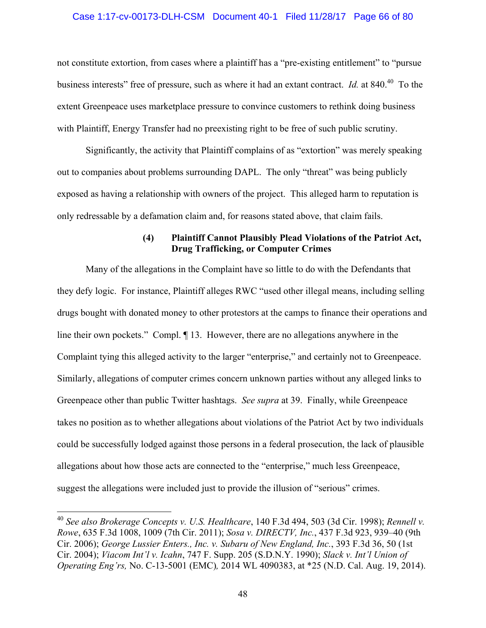## Case 1:17-cv-00173-DLH-CSM Document 40-1 Filed 11/28/17 Page 66 of 80

not constitute extortion, from cases where a plaintiff has a "pre-existing entitlement" to "pursue business interests" free of pressure, such as where it had an extant contract. *Id.* at 840.<sup>40</sup> To the extent Greenpeace uses marketplace pressure to convince customers to rethink doing business with Plaintiff, Energy Transfer had no preexisting right to be free of such public scrutiny.

Significantly, the activity that Plaintiff complains of as "extortion" was merely speaking out to companies about problems surrounding DAPL. The only "threat" was being publicly exposed as having a relationship with owners of the project. This alleged harm to reputation is only redressable by a defamation claim and, for reasons stated above, that claim fails.

# **(4) Plaintiff Cannot Plausibly Plead Violations of the Patriot Act, Drug Trafficking, or Computer Crimes**

Many of the allegations in the Complaint have so little to do with the Defendants that they defy logic. For instance, Plaintiff alleges RWC "used other illegal means, including selling drugs bought with donated money to other protestors at the camps to finance their operations and line their own pockets." Compl. ¶ 13. However, there are no allegations anywhere in the Complaint tying this alleged activity to the larger "enterprise," and certainly not to Greenpeace. Similarly, allegations of computer crimes concern unknown parties without any alleged links to Greenpeace other than public Twitter hashtags. *See supra* at 39. Finally, while Greenpeace takes no position as to whether allegations about violations of the Patriot Act by two individuals could be successfully lodged against those persons in a federal prosecution, the lack of plausible allegations about how those acts are connected to the "enterprise," much less Greenpeace, suggest the allegations were included just to provide the illusion of "serious" crimes.

<sup>40</sup> *See also Brokerage Concepts v. U.S. Healthcare*, 140 F.3d 494, 503 (3d Cir. 1998); *Rennell v. Rowe*, 635 F.3d 1008, 1009 (7th Cir. 2011); *Sosa v. DIRECTV, Inc.*, 437 F.3d 923, 939–40 (9th Cir. 2006); *George Lussier Enters., Inc. v. Subaru of New England, Inc.*, 393 F.3d 36, 50 (1st Cir. 2004); *Viacom Int'l v. Icahn*, 747 F. Supp. 205 (S.D.N.Y. 1990); *Slack v. Int'l Union of Operating Eng'rs,* No. C-13-5001 (EMC)*,* 2014 WL 4090383, at \*25 (N.D. Cal. Aug. 19, 2014).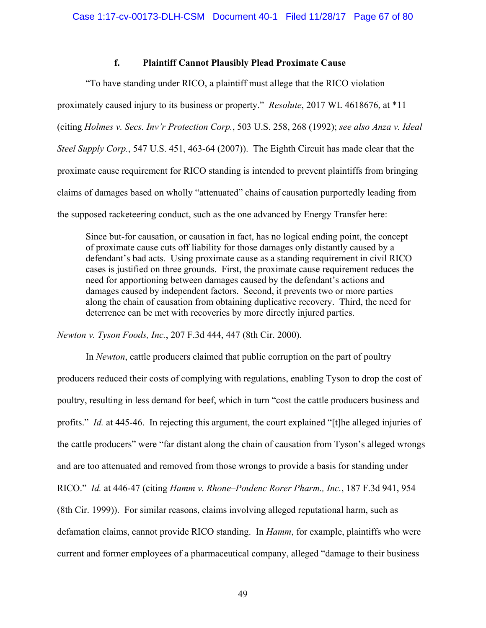# **f. Plaintiff Cannot Plausibly Plead Proximate Cause**

"To have standing under RICO, a plaintiff must allege that the RICO violation proximately caused injury to its business or property." *Resolute*, 2017 WL 4618676, at \*11 (citing *Holmes v. Secs. Inv'r Protection Corp.*, 503 U.S. 258, 268 (1992); *see also Anza v. Ideal Steel Supply Corp.*, 547 U.S. 451, 463-64 (2007)). The Eighth Circuit has made clear that the proximate cause requirement for RICO standing is intended to prevent plaintiffs from bringing claims of damages based on wholly "attenuated" chains of causation purportedly leading from the supposed racketeering conduct, such as the one advanced by Energy Transfer here:

Since but-for causation, or causation in fact, has no logical ending point, the concept of proximate cause cuts off liability for those damages only distantly caused by a defendant's bad acts. Using proximate cause as a standing requirement in civil RICO cases is justified on three grounds. First, the proximate cause requirement reduces the need for apportioning between damages caused by the defendant's actions and damages caused by independent factors. Second, it prevents two or more parties along the chain of causation from obtaining duplicative recovery. Third, the need for deterrence can be met with recoveries by more directly injured parties.

*Newton v. Tyson Foods, Inc.*, 207 F.3d 444, 447 (8th Cir. 2000).

In *Newton*, cattle producers claimed that public corruption on the part of poultry producers reduced their costs of complying with regulations, enabling Tyson to drop the cost of poultry, resulting in less demand for beef, which in turn "cost the cattle producers business and profits." *Id.* at 445-46. In rejecting this argument, the court explained "[t]he alleged injuries of the cattle producers" were "far distant along the chain of causation from Tyson's alleged wrongs and are too attenuated and removed from those wrongs to provide a basis for standing under RICO." *Id.* at 446-47 (citing *Hamm v. Rhone–Poulenc Rorer Pharm., Inc.*, 187 F.3d 941, 954 (8th Cir. 1999)). For similar reasons, claims involving alleged reputational harm, such as defamation claims, cannot provide RICO standing. In *Hamm*, for example, plaintiffs who were current and former employees of a pharmaceutical company, alleged "damage to their business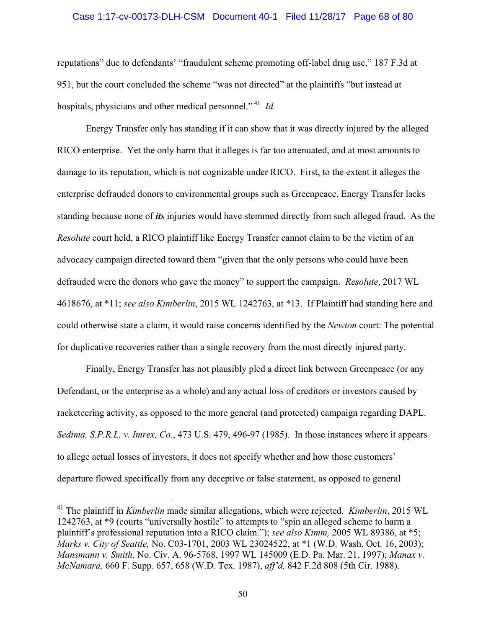### Case 1:17-cv-00173-DLH-CSM Document 40-1 Filed 11/28/17 Page 68 of 80

reputations" due to defendants' "fraudulent scheme promoting off-label drug use," 187 F.3d at 951, but the court concluded the scheme "was not directed" at the plaintiffs "but instead at hospitals, physicians and other medical personnel."<sup>41</sup> *Id.* 

Energy Transfer only has standing if it can show that it was directly injured by the alleged RICO enterprise. Yet the only harm that it alleges is far too attenuated, and at most amounts to damage to its reputation, which is not cognizable under RICO. First, to the extent it alleges the enterprise defrauded donors to environmental groups such as Greenpeace, Energy Transfer lacks standing because none of *its* injuries would have stemmed directly from such alleged fraud. As the *Resolute* court held, a RICO plaintiff like Energy Transfer cannot claim to be the victim of an advocacy campaign directed toward them "given that the only persons who could have been defrauded were the donors who gave the money" to support the campaign. *Resolute*, 2017 WL 4618676, at \*11; *see also Kimberlin*, 2015 WL 1242763, at \*13. If Plaintiff had standing here and could otherwise state a claim, it would raise concerns identified by the *Newton* court: The potential for duplicative recoveries rather than a single recovery from the most directly injured party.

Finally, Energy Transfer has not plausibly pled a direct link between Greenpeace (or any Defendant, or the enterprise as a whole) and any actual loss of creditors or investors caused by racketeering activity, as opposed to the more general (and protected) campaign regarding DAPL. *Sedima, S.P.R.L. v. Imrex, Co.*, 473 U.S. 479, 496-97 (1985). In those instances where it appears to allege actual losses of investors, it does not specify whether and how those customers' departure flowed specifically from any deceptive or false statement, as opposed to general

<sup>41</sup> The plaintiff in *Kimberlin* made similar allegations, which were rejected. *Kimberlin*, 2015 WL 1242763, at \*9 (courts "universally hostile" to attempts to "spin an alleged scheme to harm a plaintiff's professional reputation into a RICO claim."); *see also Kimm,* 2005 WL 89386, at \*5; *Marks v. City of Seattle,* No. C03-1701, 2003 WL 23024522, at \*1 (W.D. Wash. Oct. 16, 2003); *Mansmann v. Smith,* No. Civ. A. 96-5768, 1997 WL 145009 (E.D. Pa. Mar. 21, 1997); *Manax v. McNamara,* 660 F. Supp. 657, 658 (W.D. Tex. 1987), *aff'd,* 842 F.2d 808 (5th Cir. 1988).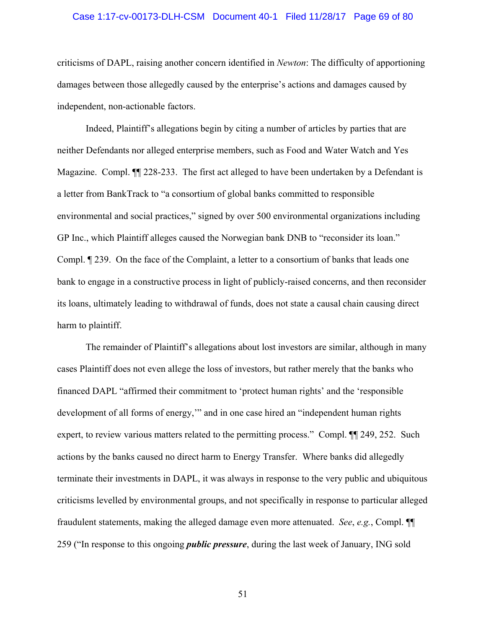### Case 1:17-cv-00173-DLH-CSM Document 40-1 Filed 11/28/17 Page 69 of 80

criticisms of DAPL, raising another concern identified in *Newton*: The difficulty of apportioning damages between those allegedly caused by the enterprise's actions and damages caused by independent, non-actionable factors.

Indeed, Plaintiff's allegations begin by citing a number of articles by parties that are neither Defendants nor alleged enterprise members, such as Food and Water Watch and Yes Magazine. Compl. ¶¶ 228-233. The first act alleged to have been undertaken by a Defendant is a letter from BankTrack to "a consortium of global banks committed to responsible environmental and social practices," signed by over 500 environmental organizations including GP Inc., which Plaintiff alleges caused the Norwegian bank DNB to "reconsider its loan." Compl. ¶ 239. On the face of the Complaint, a letter to a consortium of banks that leads one bank to engage in a constructive process in light of publicly-raised concerns, and then reconsider its loans, ultimately leading to withdrawal of funds, does not state a causal chain causing direct harm to plaintiff.

The remainder of Plaintiff's allegations about lost investors are similar, although in many cases Plaintiff does not even allege the loss of investors, but rather merely that the banks who financed DAPL "affirmed their commitment to 'protect human rights' and the 'responsible development of all forms of energy,'" and in one case hired an "independent human rights expert, to review various matters related to the permitting process." Compl.  $\P$ [249, 252. Such actions by the banks caused no direct harm to Energy Transfer. Where banks did allegedly terminate their investments in DAPL, it was always in response to the very public and ubiquitous criticisms levelled by environmental groups, and not specifically in response to particular alleged fraudulent statements, making the alleged damage even more attenuated. *See*, *e.g.*, Compl. ¶¶ 259 ("In response to this ongoing *public pressure*, during the last week of January, ING sold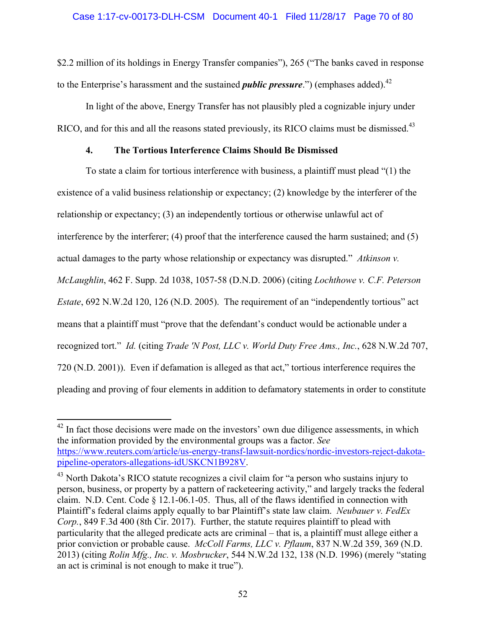\$2.2 million of its holdings in Energy Transfer companies"), 265 ("The banks caved in response to the Enterprise's harassment and the sustained *public pressure*.") (emphases added).<sup>42</sup>

In light of the above, Energy Transfer has not plausibly pled a cognizable injury under RICO, and for this and all the reasons stated previously, its RICO claims must be dismissed.<sup>43</sup>

# **4. The Tortious Interference Claims Should Be Dismissed**

To state a claim for tortious interference with business, a plaintiff must plead "(1) the existence of a valid business relationship or expectancy; (2) knowledge by the interferer of the relationship or expectancy; (3) an independently tortious or otherwise unlawful act of interference by the interferer; (4) proof that the interference caused the harm sustained; and (5) actual damages to the party whose relationship or expectancy was disrupted." *Atkinson v. McLaughlin*, 462 F. Supp. 2d 1038, 1057-58 (D.N.D. 2006) (citing *Lochthowe v. C.F. Peterson Estate*, 692 N.W.2d 120, 126 (N.D. 2005). The requirement of an "independently tortious" act means that a plaintiff must "prove that the defendant's conduct would be actionable under a recognized tort." *Id.* (citing *Trade 'N Post, LLC v. World Duty Free Ams., Inc.*, 628 N.W.2d 707, 720 (N.D. 2001)). Even if defamation is alleged as that act," tortious interference requires the pleading and proving of four elements in addition to defamatory statements in order to constitute

 $42$  In fact those decisions were made on the investors' own due diligence assessments, in which the information provided by the environmental groups was a factor. *See* https://www.reuters.com/article/us-energy-transf-lawsuit-nordics/nordic-investors-reject-dakotapipeline-operators-allegations-idUSKCN1B928V.

<sup>&</sup>lt;sup>43</sup> North Dakota's RICO statute recognizes a civil claim for "a person who sustains injury to person, business, or property by a pattern of racketeering activity," and largely tracks the federal claim. N.D. Cent. Code § 12.1-06.1-05. Thus, all of the flaws identified in connection with Plaintiff's federal claims apply equally to bar Plaintiff's state law claim. *Neubauer v. FedEx Corp.*, 849 F.3d 400 (8th Cir. 2017). Further, the statute requires plaintiff to plead with particularity that the alleged predicate acts are criminal – that is, a plaintiff must allege either a prior conviction or probable cause. *McColl Farms, LLC v. Pflaum*, 837 N.W.2d 359, 369 (N.D. 2013) (citing *Rolin Mfg., Inc. v. Mosbrucker*, 544 N.W.2d 132, 138 (N.D. 1996) (merely "stating an act is criminal is not enough to make it true").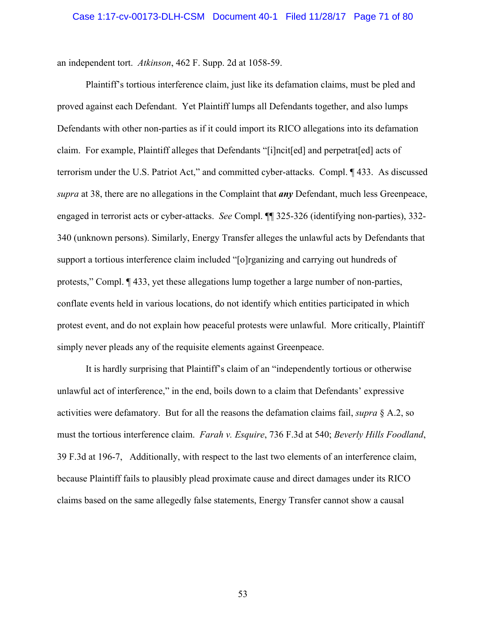an independent tort. *Atkinson*, 462 F. Supp. 2d at 1058-59.

Plaintiff's tortious interference claim, just like its defamation claims, must be pled and proved against each Defendant. Yet Plaintiff lumps all Defendants together, and also lumps Defendants with other non-parties as if it could import its RICO allegations into its defamation claim. For example, Plaintiff alleges that Defendants "[i]ncit[ed] and perpetrat[ed] acts of terrorism under the U.S. Patriot Act," and committed cyber-attacks. Compl. ¶ 433. As discussed *supra* at 38, there are no allegations in the Complaint that *any* Defendant, much less Greenpeace, engaged in terrorist acts or cyber-attacks. *See* Compl. ¶¶ 325-326 (identifying non-parties), 332- 340 (unknown persons). Similarly, Energy Transfer alleges the unlawful acts by Defendants that support a tortious interference claim included "[o]rganizing and carrying out hundreds of protests," Compl. ¶ 433, yet these allegations lump together a large number of non-parties, conflate events held in various locations, do not identify which entities participated in which protest event, and do not explain how peaceful protests were unlawful. More critically, Plaintiff simply never pleads any of the requisite elements against Greenpeace.

It is hardly surprising that Plaintiff's claim of an "independently tortious or otherwise unlawful act of interference," in the end, boils down to a claim that Defendants' expressive activities were defamatory. But for all the reasons the defamation claims fail, *supra* § A.2, so must the tortious interference claim. *Farah v. Esquire*, 736 F.3d at 540; *Beverly Hills Foodland*, 39 F.3d at 196-7, Additionally, with respect to the last two elements of an interference claim, because Plaintiff fails to plausibly plead proximate cause and direct damages under its RICO claims based on the same allegedly false statements, Energy Transfer cannot show a causal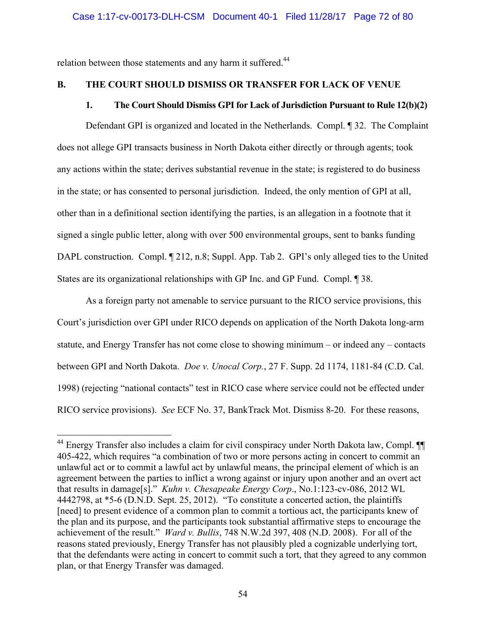relation between those statements and any harm it suffered.<sup>44</sup>

 $\overline{a}$ 

# **B. THE COURT SHOULD DISMISS OR TRANSFER FOR LACK OF VENUE**

# **1. The Court Should Dismiss GPI for Lack of Jurisdiction Pursuant to Rule 12(b)(2)**

Defendant GPI is organized and located in the Netherlands. Compl. ¶ 32. The Complaint does not allege GPI transacts business in North Dakota either directly or through agents; took any actions within the state; derives substantial revenue in the state; is registered to do business in the state; or has consented to personal jurisdiction. Indeed, the only mention of GPI at all, other than in a definitional section identifying the parties, is an allegation in a footnote that it signed a single public letter, along with over 500 environmental groups, sent to banks funding DAPL construction. Compl.  $\llbracket 212, n.8$ ; Suppl. App. Tab 2. GPI's only alleged ties to the United States are its organizational relationships with GP Inc. and GP Fund. Compl. ¶ 38.

As a foreign party not amenable to service pursuant to the RICO service provisions, this Court's jurisdiction over GPI under RICO depends on application of the North Dakota long-arm statute, and Energy Transfer has not come close to showing minimum – or indeed any – contacts between GPI and North Dakota. *Doe v. Unocal Corp.*, 27 F. Supp. 2d 1174, 1181-84 (C.D. Cal. 1998) (rejecting "national contacts" test in RICO case where service could not be effected under RICO service provisions). *See* ECF No. 37, BankTrack Mot. Dismiss 8-20. For these reasons,

<sup>44</sup> Energy Transfer also includes a claim for civil conspiracy under North Dakota law, Compl. ¶¶ 405-422, which requires "a combination of two or more persons acting in concert to commit an unlawful act or to commit a lawful act by unlawful means, the principal element of which is an agreement between the parties to inflict a wrong against or injury upon another and an overt act that results in damage[s]." *Kuhn v. Chesapeake Energy Corp*., No.1:123-cv-086, 2012 WL 4442798, at \*5-6 (D.N.D. Sept. 25, 2012). "To constitute a concerted action, the plaintiffs [need] to present evidence of a common plan to commit a tortious act, the participants knew of the plan and its purpose, and the participants took substantial affirmative steps to encourage the achievement of the result." *Ward v. Bullis*, 748 N.W.2d 397, 408 (N.D. 2008). For all of the reasons stated previously, Energy Transfer has not plausibly pled a cognizable underlying tort, that the defendants were acting in concert to commit such a tort, that they agreed to any common plan, or that Energy Transfer was damaged.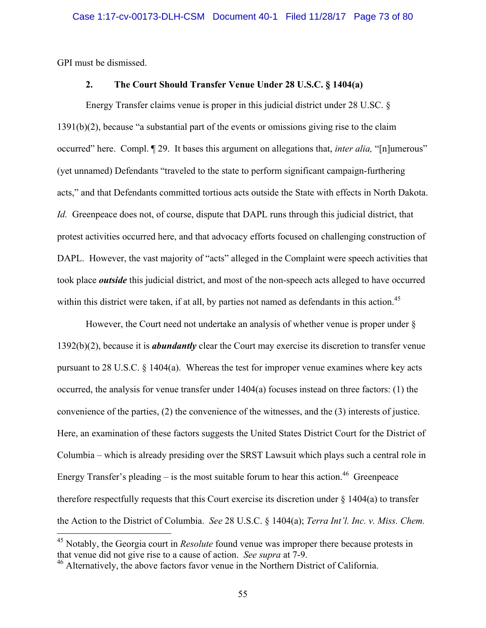GPI must be dismissed.

 $\overline{a}$ 

## **2. The Court Should Transfer Venue Under 28 U.S.C. § 1404(a)**

Energy Transfer claims venue is proper in this judicial district under 28 U.SC. § 1391(b)(2), because "a substantial part of the events or omissions giving rise to the claim occurred" here. Compl. ¶ 29. It bases this argument on allegations that, *inter alia,* "[n]umerous" (yet unnamed) Defendants "traveled to the state to perform significant campaign-furthering acts," and that Defendants committed tortious acts outside the State with effects in North Dakota. *Id.* Greenpeace does not, of course, dispute that DAPL runs through this judicial district, that protest activities occurred here, and that advocacy efforts focused on challenging construction of DAPL. However, the vast majority of "acts" alleged in the Complaint were speech activities that took place *outside* this judicial district, and most of the non-speech acts alleged to have occurred within this district were taken, if at all, by parties not named as defendants in this action.<sup>45</sup>

However, the Court need not undertake an analysis of whether venue is proper under § 1392(b)(2), because it is *abundantly* clear the Court may exercise its discretion to transfer venue pursuant to 28 U.S.C. § 1404(a). Whereas the test for improper venue examines where key acts occurred, the analysis for venue transfer under 1404(a) focuses instead on three factors: (1) the convenience of the parties, (2) the convenience of the witnesses, and the (3) interests of justice. Here, an examination of these factors suggests the United States District Court for the District of Columbia – which is already presiding over the SRST Lawsuit which plays such a central role in Energy Transfer's pleading – is the most suitable forum to hear this action.<sup>46</sup> Greenpeace therefore respectfully requests that this Court exercise its discretion under  $\S$  1404(a) to transfer the Action to the District of Columbia. *See* 28 U.S.C. § 1404(a); *Terra Int'l. Inc. v. Miss. Chem.* 

<sup>45</sup> Notably, the Georgia court in *Resolute* found venue was improper there because protests in that venue did not give rise to a cause of action. *See supra* at 7-9.

<sup>&</sup>lt;sup>46</sup> Alternatively, the above factors favor venue in the Northern District of California.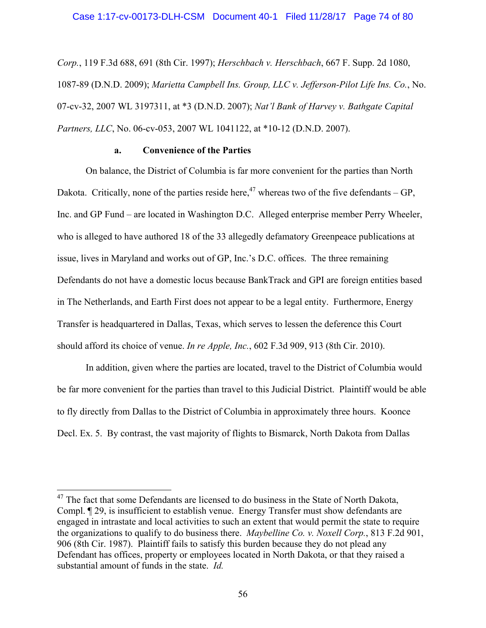*Corp.*, 119 F.3d 688, 691 (8th Cir. 1997); *Herschbach v. Herschbach*, 667 F. Supp. 2d 1080, 1087-89 (D.N.D. 2009); *Marietta Campbell Ins. Group, LLC v. Jefferson-Pilot Life Ins. Co.*, No. 07-cv-32, 2007 WL 3197311, at \*3 (D.N.D. 2007); *Nat'l Bank of Harvey v. Bathgate Capital Partners, LLC*, No. 06-cv-053, 2007 WL 1041122, at \*10-12 (D.N.D. 2007).

## **a. Convenience of the Parties**

On balance, the District of Columbia is far more convenient for the parties than North Dakota. Critically, none of the parties reside here,<sup>47</sup> whereas two of the five defendants – GP, Inc. and GP Fund – are located in Washington D.C. Alleged enterprise member Perry Wheeler, who is alleged to have authored 18 of the 33 allegedly defamatory Greenpeace publications at issue, lives in Maryland and works out of GP, Inc.'s D.C. offices. The three remaining Defendants do not have a domestic locus because BankTrack and GPI are foreign entities based in The Netherlands, and Earth First does not appear to be a legal entity. Furthermore, Energy Transfer is headquartered in Dallas, Texas, which serves to lessen the deference this Court should afford its choice of venue. *In re Apple, Inc.*, 602 F.3d 909, 913 (8th Cir. 2010).

In addition, given where the parties are located, travel to the District of Columbia would be far more convenient for the parties than travel to this Judicial District. Plaintiff would be able to fly directly from Dallas to the District of Columbia in approximately three hours. Koonce Decl. Ex. 5. By contrast, the vast majority of flights to Bismarck, North Dakota from Dallas

 $47$  The fact that some Defendants are licensed to do business in the State of North Dakota, Compl. ¶ 29, is insufficient to establish venue. Energy Transfer must show defendants are engaged in intrastate and local activities to such an extent that would permit the state to require the organizations to qualify to do business there. *Maybelline Co. v. Noxell Corp.*, 813 F.2d 901, 906 (8th Cir. 1987). Plaintiff fails to satisfy this burden because they do not plead any Defendant has offices, property or employees located in North Dakota, or that they raised a substantial amount of funds in the state. *Id.*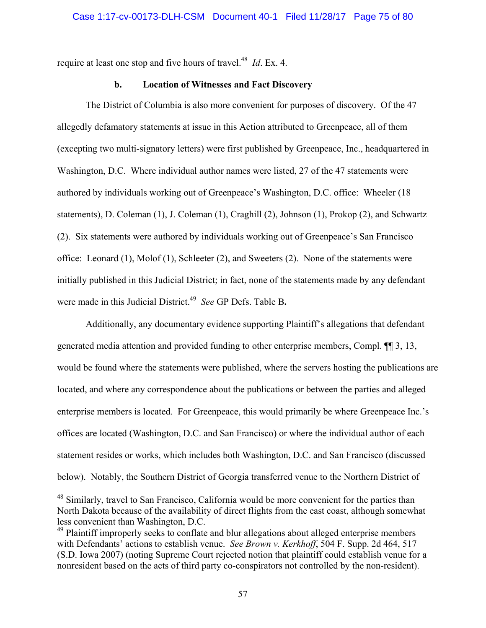require at least one stop and five hours of travel.<sup>48</sup> *Id*. Ex. 4.

# **b. Location of Witnesses and Fact Discovery**

The District of Columbia is also more convenient for purposes of discovery. Of the 47 allegedly defamatory statements at issue in this Action attributed to Greenpeace, all of them (excepting two multi-signatory letters) were first published by Greenpeace, Inc., headquartered in Washington, D.C. Where individual author names were listed, 27 of the 47 statements were authored by individuals working out of Greenpeace's Washington, D.C. office: Wheeler (18 statements), D. Coleman (1), J. Coleman (1), Craghill (2), Johnson (1), Prokop (2), and Schwartz (2). Six statements were authored by individuals working out of Greenpeace's San Francisco office: Leonard (1), Molof (1), Schleeter (2), and Sweeters (2). None of the statements were initially published in this Judicial District; in fact, none of the statements made by any defendant were made in this Judicial District.49 *See* GP Defs. Table B**.**

Additionally, any documentary evidence supporting Plaintiff's allegations that defendant generated media attention and provided funding to other enterprise members, Compl. ¶¶ 3, 13, would be found where the statements were published, where the servers hosting the publications are located, and where any correspondence about the publications or between the parties and alleged enterprise members is located. For Greenpeace, this would primarily be where Greenpeace Inc.'s offices are located (Washington, D.C. and San Francisco) or where the individual author of each statement resides or works, which includes both Washington, D.C. and San Francisco (discussed below). Notably, the Southern District of Georgia transferred venue to the Northern District of

<sup>&</sup>lt;sup>48</sup> Similarly, travel to San Francisco, California would be more convenient for the parties than North Dakota because of the availability of direct flights from the east coast, although somewhat less convenient than Washington, D.C.

<sup>&</sup>lt;sup>49</sup> Plaintiff improperly seeks to conflate and blur allegations about alleged enterprise members with Defendants' actions to establish venue. *See Brown v. Kerkhoff*, 504 F. Supp. 2d 464, 517 (S.D. Iowa 2007) (noting Supreme Court rejected notion that plaintiff could establish venue for a nonresident based on the acts of third party co-conspirators not controlled by the non-resident).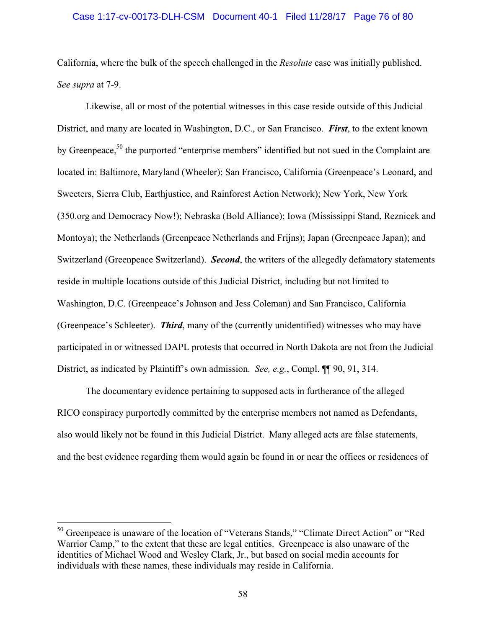#### Case 1:17-cv-00173-DLH-CSM Document 40-1 Filed 11/28/17 Page 76 of 80

California, where the bulk of the speech challenged in the *Resolute* case was initially published. *See supra* at 7-9.

Likewise, all or most of the potential witnesses in this case reside outside of this Judicial District, and many are located in Washington, D.C., or San Francisco. *First*, to the extent known by Greenpeace,<sup>50</sup> the purported "enterprise members" identified but not sued in the Complaint are located in: Baltimore, Maryland (Wheeler); San Francisco, California (Greenpeace's Leonard, and Sweeters, Sierra Club, Earthjustice, and Rainforest Action Network); New York, New York (350.org and Democracy Now!); Nebraska (Bold Alliance); Iowa (Mississippi Stand, Reznicek and Montoya); the Netherlands (Greenpeace Netherlands and Frijns); Japan (Greenpeace Japan); and Switzerland (Greenpeace Switzerland). *Second*, the writers of the allegedly defamatory statements reside in multiple locations outside of this Judicial District, including but not limited to Washington, D.C. (Greenpeace's Johnson and Jess Coleman) and San Francisco, California (Greenpeace's Schleeter). *Third*, many of the (currently unidentified) witnesses who may have participated in or witnessed DAPL protests that occurred in North Dakota are not from the Judicial District, as indicated by Plaintiff's own admission. *See, e.g.*, Compl. ¶¶ 90, 91, 314.

The documentary evidence pertaining to supposed acts in furtherance of the alleged RICO conspiracy purportedly committed by the enterprise members not named as Defendants, also would likely not be found in this Judicial District. Many alleged acts are false statements, and the best evidence regarding them would again be found in or near the offices or residences of

<sup>&</sup>lt;sup>50</sup> Greenpeace is unaware of the location of "Veterans Stands," "Climate Direct Action" or "Red Warrior Camp," to the extent that these are legal entities. Greenpeace is also unaware of the identities of Michael Wood and Wesley Clark, Jr., but based on social media accounts for individuals with these names, these individuals may reside in California.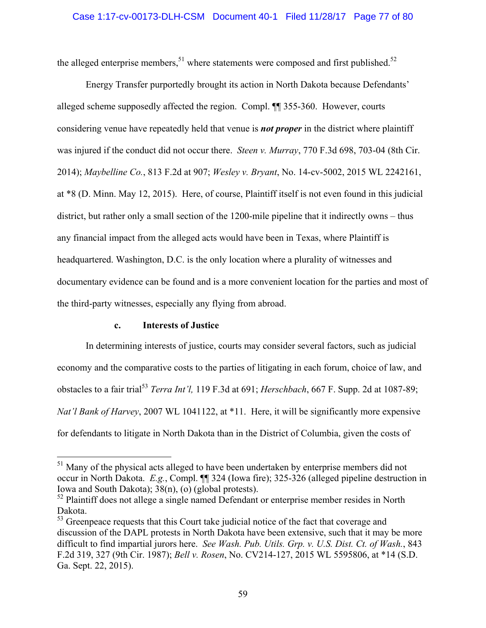the alleged enterprise members,<sup>51</sup> where statements were composed and first published.<sup>52</sup>

Energy Transfer purportedly brought its action in North Dakota because Defendants' alleged scheme supposedly affected the region. Compl. ¶¶ 355-360. However, courts considering venue have repeatedly held that venue is *not proper* in the district where plaintiff was injured if the conduct did not occur there. *Steen v. Murray*, 770 F.3d 698, 703-04 (8th Cir. 2014); *Maybelline Co.*, 813 F.2d at 907; *Wesley v. Bryant*, No. 14-cv-5002, 2015 WL 2242161, at \*8 (D. Minn. May 12, 2015). Here, of course, Plaintiff itself is not even found in this judicial district, but rather only a small section of the 1200-mile pipeline that it indirectly owns – thus any financial impact from the alleged acts would have been in Texas, where Plaintiff is headquartered. Washington, D.C. is the only location where a plurality of witnesses and documentary evidence can be found and is a more convenient location for the parties and most of the third-party witnesses, especially any flying from abroad.

### **c. Interests of Justice**

 $\overline{a}$ 

In determining interests of justice, courts may consider several factors, such as judicial economy and the comparative costs to the parties of litigating in each forum, choice of law, and obstacles to a fair trial53 *Terra Int'l,* 119 F.3d at 691; *Herschbach*, 667 F. Supp. 2d at 1087-89; *Nat'l Bank of Harvey*, 2007 WL 1041122, at \*11. Here, it will be significantly more expensive for defendants to litigate in North Dakota than in the District of Columbia, given the costs of

 $<sup>51</sup>$  Many of the physical acts alleged to have been undertaken by enterprise members did not</sup> occur in North Dakota. *E.g.*, Compl. ¶¶ 324 (Iowa fire); 325-326 (alleged pipeline destruction in Iowa and South Dakota); 38(n), (o) (global protests).

 $52$  Plaintiff does not allege a single named Defendant or enterprise member resides in North Dakota.

<sup>&</sup>lt;sup>53</sup> Greenpeace requests that this Court take judicial notice of the fact that coverage and discussion of the DAPL protests in North Dakota have been extensive, such that it may be more difficult to find impartial jurors here. *See Wash. Pub. Utils. Grp. v. U.S. Dist. Ct. of Wash.*, 843 F.2d 319, 327 (9th Cir. 1987); *Bell v. Rosen*, No. CV214-127, 2015 WL 5595806, at \*14 (S.D. Ga. Sept. 22, 2015).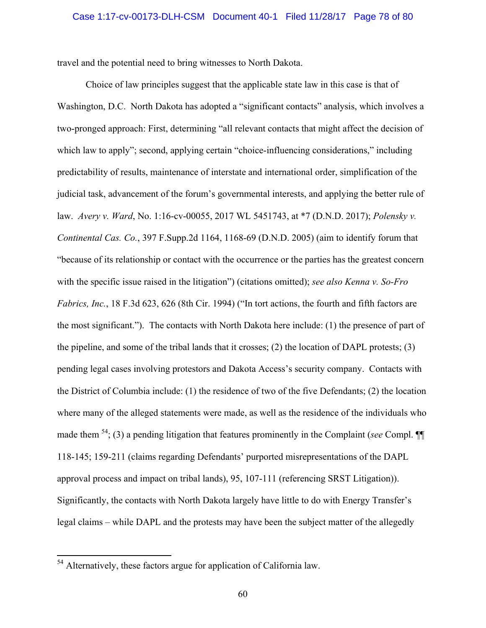travel and the potential need to bring witnesses to North Dakota.

Choice of law principles suggest that the applicable state law in this case is that of Washington, D.C. North Dakota has adopted a "significant contacts" analysis, which involves a two-pronged approach: First, determining "all relevant contacts that might affect the decision of which law to apply"; second, applying certain "choice-influencing considerations," including predictability of results, maintenance of interstate and international order, simplification of the judicial task, advancement of the forum's governmental interests, and applying the better rule of law. *Avery v. Ward*, No. 1:16-cv-00055, 2017 WL 5451743, at \*7 (D.N.D. 2017); *Polensky v. Continental Cas. Co.*, 397 F.Supp.2d 1164, 1168-69 (D.N.D. 2005) (aim to identify forum that "because of its relationship or contact with the occurrence or the parties has the greatest concern with the specific issue raised in the litigation") (citations omitted); *see also Kenna v. So-Fro Fabrics, Inc.*, 18 F.3d 623, 626 (8th Cir. 1994) ("In tort actions, the fourth and fifth factors are the most significant."). The contacts with North Dakota here include: (1) the presence of part of the pipeline, and some of the tribal lands that it crosses; (2) the location of DAPL protests; (3) pending legal cases involving protestors and Dakota Access's security company. Contacts with the District of Columbia include: (1) the residence of two of the five Defendants; (2) the location where many of the alleged statements were made, as well as the residence of the individuals who made them 54; (3) a pending litigation that features prominently in the Complaint (*see* Compl. ¶¶ 118-145; 159-211 (claims regarding Defendants' purported misrepresentations of the DAPL approval process and impact on tribal lands), 95, 107-111 (referencing SRST Litigation)). Significantly, the contacts with North Dakota largely have little to do with Energy Transfer's legal claims – while DAPL and the protests may have been the subject matter of the allegedly

 $54$  Alternatively, these factors argue for application of California law.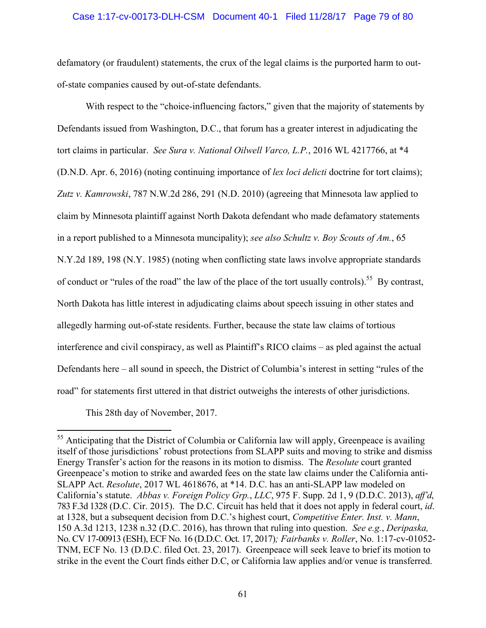## Case 1:17-cv-00173-DLH-CSM Document 40-1 Filed 11/28/17 Page 79 of 80

defamatory (or fraudulent) statements, the crux of the legal claims is the purported harm to outof-state companies caused by out-of-state defendants.

With respect to the "choice-influencing factors," given that the majority of statements by Defendants issued from Washington, D.C., that forum has a greater interest in adjudicating the tort claims in particular. *See Sura v. National Oilwell Varco, L.P.*, 2016 WL 4217766, at \*4 (D.N.D. Apr. 6, 2016) (noting continuing importance of *lex loci delicti* doctrine for tort claims); *Zutz v. Kamrowski*, 787 N.W.2d 286, 291 (N.D. 2010) (agreeing that Minnesota law applied to claim by Minnesota plaintiff against North Dakota defendant who made defamatory statements in a report published to a Minnesota muncipality); *see also Schultz v. Boy Scouts of Am.*, 65 N.Y.2d 189, 198 (N.Y. 1985) (noting when conflicting state laws involve appropriate standards of conduct or "rules of the road" the law of the place of the tort usually controls).<sup>55</sup> By contrast, North Dakota has little interest in adjudicating claims about speech issuing in other states and allegedly harming out-of-state residents. Further, because the state law claims of tortious interference and civil conspiracy, as well as Plaintiff's RICO claims – as pled against the actual Defendants here – all sound in speech, the District of Columbia's interest in setting "rules of the road" for statements first uttered in that district outweighs the interests of other jurisdictions.

This 28th day of November, 2017.

 $55$  Anticipating that the District of Columbia or California law will apply, Greenpeace is availing itself of those jurisdictions' robust protections from SLAPP suits and moving to strike and dismiss Energy Transfer's action for the reasons in its motion to dismiss. The *Resolute* court granted Greenpeace's motion to strike and awarded fees on the state law claims under the California anti-SLAPP Act. *Resolute*, 2017 WL 4618676, at \*14. D.C. has an anti-SLAPP law modeled on California's statute. *Abbas v. Foreign Policy Grp.*, *LLC*, 975 F. Supp. 2d 1, 9 (D.D.C. 2013), *aff'd*, 783 F.3d 1328 (D.C. Cir. 2015). The D.C. Circuit has held that it does not apply in federal court, *id*. at 1328, but a subsequent decision from D.C.'s highest court, *Competitive Enter. Inst. v. Mann*, 150 A.3d 1213, 1238 n.32 (D.C. 2016), has thrown that ruling into question. *See e.g.*, *Deripaska,*  No. CV 17-00913 (ESH), ECF No. 16 (D.D.C. Oct. 17, 2017)*; Fairbanks v. Roller*, No. 1:17-cv-01052- TNM, ECF No. 13 (D.D.C. filed Oct. 23, 2017). Greenpeace will seek leave to brief its motion to strike in the event the Court finds either D.C, or California law applies and/or venue is transferred.